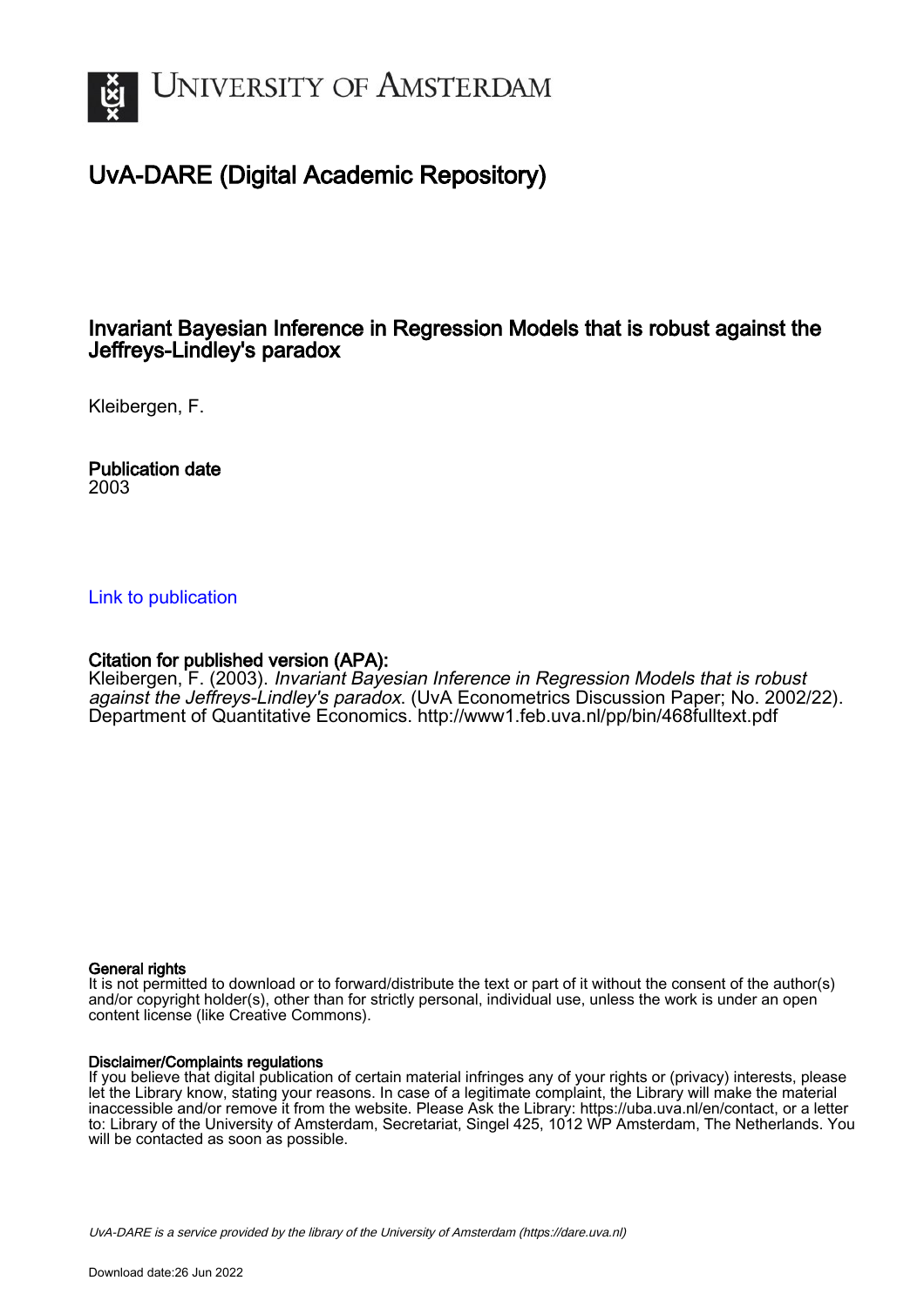

## UvA-DARE (Digital Academic Repository)

## Invariant Bayesian Inference in Regression Models that is robust against the Jeffreys-Lindley's paradox

Kleibergen, F.

Publication date 2003

## [Link to publication](https://dare.uva.nl/personal/pure/en/publications/invariant-bayesian-inference-in-regression-models-that-is-robust-against-the-jeffreyslindleys-paradox(d50f752e-90a8-40ee-ab8d-b62ef3acf33d).html)

## Citation for published version (APA):

Kleibergen, F. (2003). Invariant Bayesian Inference in Regression Models that is robust against the Jeffreys-Lindley's paradox. (UvA Econometrics Discussion Paper; No. 2002/22). Department of Quantitative Economics. <http://www1.feb.uva.nl/pp/bin/468fulltext.pdf>

## General rights

It is not permitted to download or to forward/distribute the text or part of it without the consent of the author(s) and/or copyright holder(s), other than for strictly personal, individual use, unless the work is under an open content license (like Creative Commons).

## Disclaimer/Complaints regulations

If you believe that digital publication of certain material infringes any of your rights or (privacy) interests, please let the Library know, stating your reasons. In case of a legitimate complaint, the Library will make the material inaccessible and/or remove it from the website. Please Ask the Library: https://uba.uva.nl/en/contact, or a letter to: Library of the University of Amsterdam, Secretariat, Singel 425, 1012 WP Amsterdam, The Netherlands. You will be contacted as soon as possible.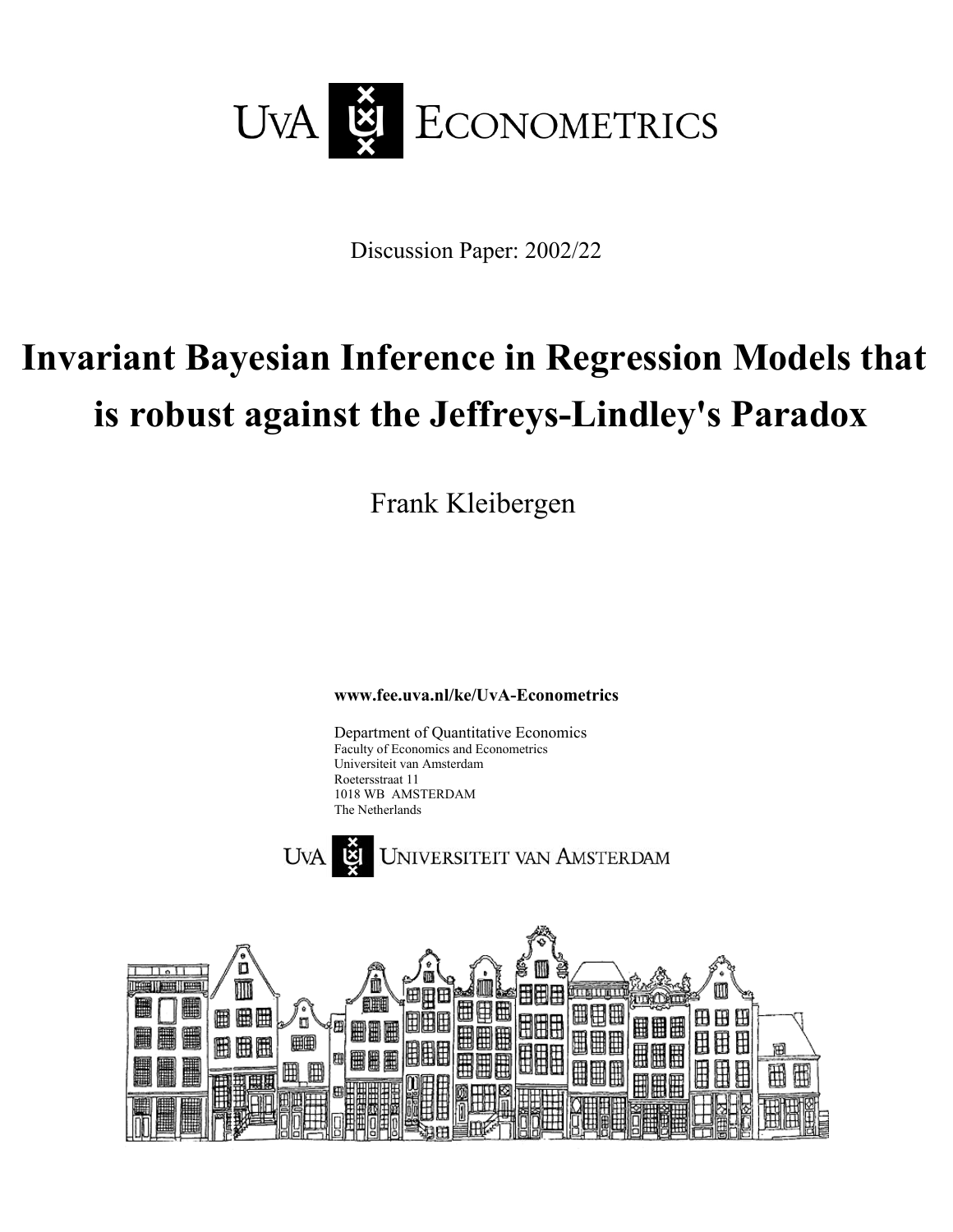

Discussion Paper: 2002/22

# **Invariant Bayesian Inference in Regression Models that is robust against the Jeffreys-Lindley's Paradox**

Frank Kleibergen

**www.fee.uva.nl/ke/UvA-Econometrics** 

Department of Quantitative Economics Faculty of Economics and Econometrics Universiteit van Amsterdam Roetersstraat 11 1018 WB AMSTERDAM The Netherlands



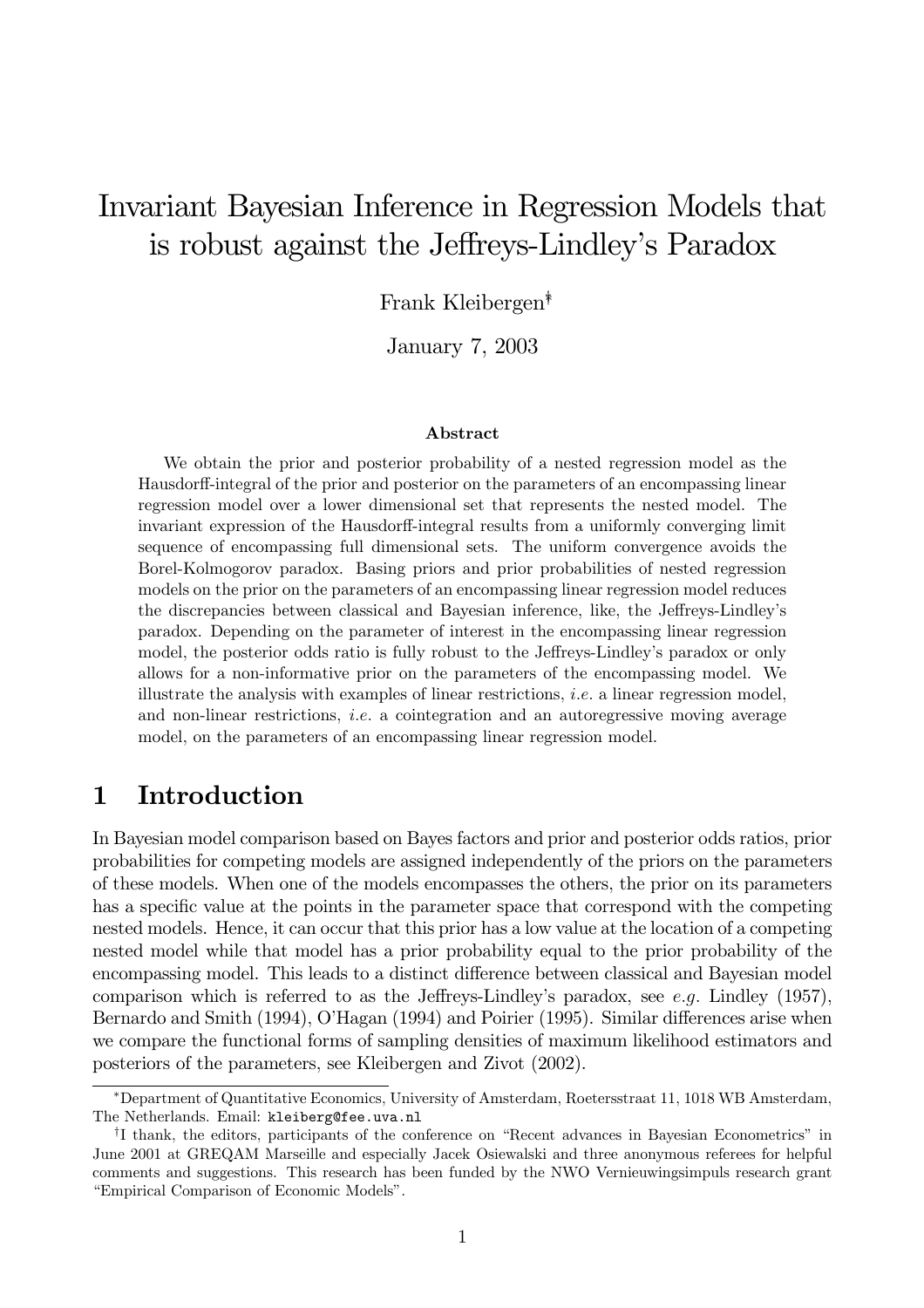## Invariant Bayesian Inference in Regression Models that is robust against the Jeffreys-Lindley's Paradox

Frank Kleibergen<sup>\*</sup>

January 7, 2003

## Abstract

We obtain the prior and posterior probability of a nested regression model as the Hausdorff-integral of the prior and posterior on the parameters of an encompassing linear regression model over a lower dimensional set that represents the nested model. The invariant expression of the Hausdorff-integral results from a uniformly converging limit sequence of encompassing full dimensional sets. The uniform convergence avoids the Borel-Kolmogorov paradox. Basing priors and prior probabilities of nested regression models on the prior on the parameters of an encompassing linear regression model reduces the discrepancies between classical and Bayesian inference, like, the Jeffreys-Lindley's paradox. Depending on the parameter of interest in the encompassing linear regression model, the posterior odds ratio is fully robust to the Jeffreys-Lindley's paradox or only allows for a non-informative prior on the parameters of the encompassing model. We illustrate the analysis with examples of linear restrictions, *i.e.* a linear regression model, and non-linear restrictions, *i.e.* a cointegration and an autoregressive moving average model, on the parameters of an encompassing linear regression model.

#### $\mathbf{1}$ Introduction

In Bayesian model comparison based on Bayes factors and prior and posterior odds ratios, prior probabilities for competing models are assigned independently of the priors on the parameters of these models. When one of the models encompasses the others, the prior on its parameters has a specific value at the points in the parameter space that correspond with the competing nested models. Hence, it can occur that this prior has a low value at the location of a competing nested model while that model has a prior probability equal to the prior probability of the encompassing model. This leads to a distinct difference between classical and Bayesian model comparison which is referred to as the Jeffreys-Lindley's paradox, see e.g. Lindley  $(1957)$ , Bernardo and Smith (1994), O'Hagan (1994) and Poirier (1995). Similar differences arise when we compare the functional forms of sampling densities of maximum likelihood estimators and posteriors of the parameters, see Kleibergen and Zivot (2002).

<sup>\*</sup>Department of Quantitative Economics, University of Amsterdam, Roetersstraat 11, 1018 WB Amsterdam, The Netherlands. Email: kleiberg@fee.uva.nl

<sup>&</sup>lt;sup>†</sup>I thank, the editors, participants of the conference on "Recent advances in Bayesian Econometrics" in June 2001 at GREQAM Marseille and especially Jacek Osiewalski and three anonymous referees for helpful comments and suggestions. This research has been funded by the NWO Vernieuwing simpuls research grant "Empirical Comparison of Economic Models".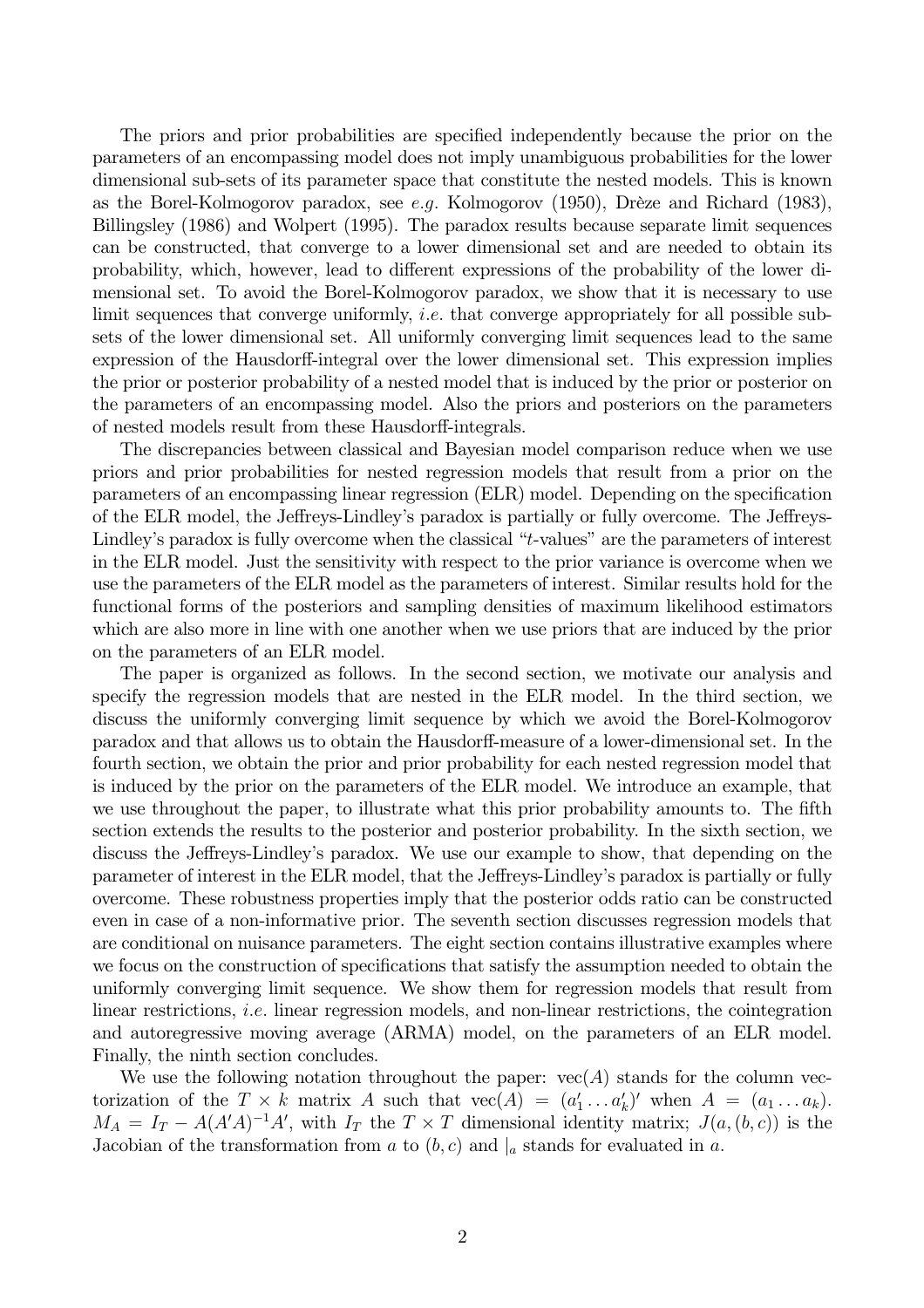The priors and prior probabilities are specified independently because the prior on the parameters of an encompassing model does not imply unambiguous probabilities for the lower dimensional sub-sets of its parameter space that constitute the nested models. This is known as the Borel-Kolmogorov paradox, see e.g. Kolmogorov (1950), Drèze and Richard (1983), Billingsley (1986) and Wolpert (1995). The paradox results because separate limit sequences can be constructed, that converge to a lower dimensional set and are needed to obtain its probability, which, however, lead to different expressions of the probability of the lower dimensional set. To avoid the Borel-Kolmogorov paradox, we show that it is necessary to use limit sequences that converge uniformly, *i.e.* that converge appropriately for all possible subsets of the lower dimensional set. All uniformly converging limit sequences lead to the same expression of the Hausdorff-integral over the lower dimensional set. This expression implies the prior or posterior probability of a nested model that is induced by the prior or posterior on the parameters of an encompassing model. Also the priors and posteriors on the parameters of nested models result from these Hausdorff-integrals.

The discrepancies between classical and Bayesian model comparison reduce when we use priors and prior probabilities for nested regression models that result from a prior on the parameters of an encompassing linear regression (ELR) model. Depending on the specification of the ELR model, the Jeffreys-Lindley's paradox is partially or fully overcome. The Jeffreys-Lindley's paradox is fully overcome when the classical "t-values" are the parameters of interest in the ELR model. Just the sensitivity with respect to the prior variance is overcome when we use the parameters of the ELR model as the parameters of interest. Similar results hold for the functional forms of the posteriors and sampling densities of maximum likelihood estimators which are also more in line with one another when we use priors that are induced by the prior on the parameters of an ELR model.

The paper is organized as follows. In the second section, we motivate our analysis and specify the regression models that are nested in the ELR model. In the third section, we discuss the uniformly converging limit sequence by which we avoid the Borel-Kolmogorov paradox and that allows us to obtain the Hausdorff-measure of a lower-dimensional set. In the fourth section, we obtain the prior and prior probability for each nested regression model that is induced by the prior on the parameters of the ELR model. We introduce an example, that we use throughout the paper, to illustrate what this prior probability amounts to. The fifth section extends the results to the posterior and posterior probability. In the sixth section, we discuss the Jeffreys-Lindley's paradox. We use our example to show, that depending on the parameter of interest in the ELR model, that the Jeffreys-Lindley's paradox is partially or fully overcome. These robustness properties imply that the posterior odds ratio can be constructed even in case of a non-informative prior. The seventh section discusses regression models that are conditional on nuisance parameters. The eight section contains illustrative examples where we focus on the construction of specifications that satisfy the assumption needed to obtain the uniformly converging limit sequence. We show them for regression models that result from linear restrictions, *i.e.* linear regression models, and non-linear restrictions, the cointegration and autoregressive moving average (ARMA) model, on the parameters of an ELR model. Finally, the ninth section concludes.

We use the following notation throughout the paper:  $vec(A)$  stands for the column vectorization of the  $T \times k$  matrix A such that  $vec(A) = (a'_1 \dots a'_k)'$  when  $A = (a_1 \dots a_k)$ .  $M_A = I_T - A(A'A)^{-1}A'$ , with  $I_T$  the  $T \times T$  dimensional identity matrix;  $J(a,(b,c))$  is the Jacobian of the transformation from a to  $(b, c)$  and  $|_a$  stands for evaluated in a.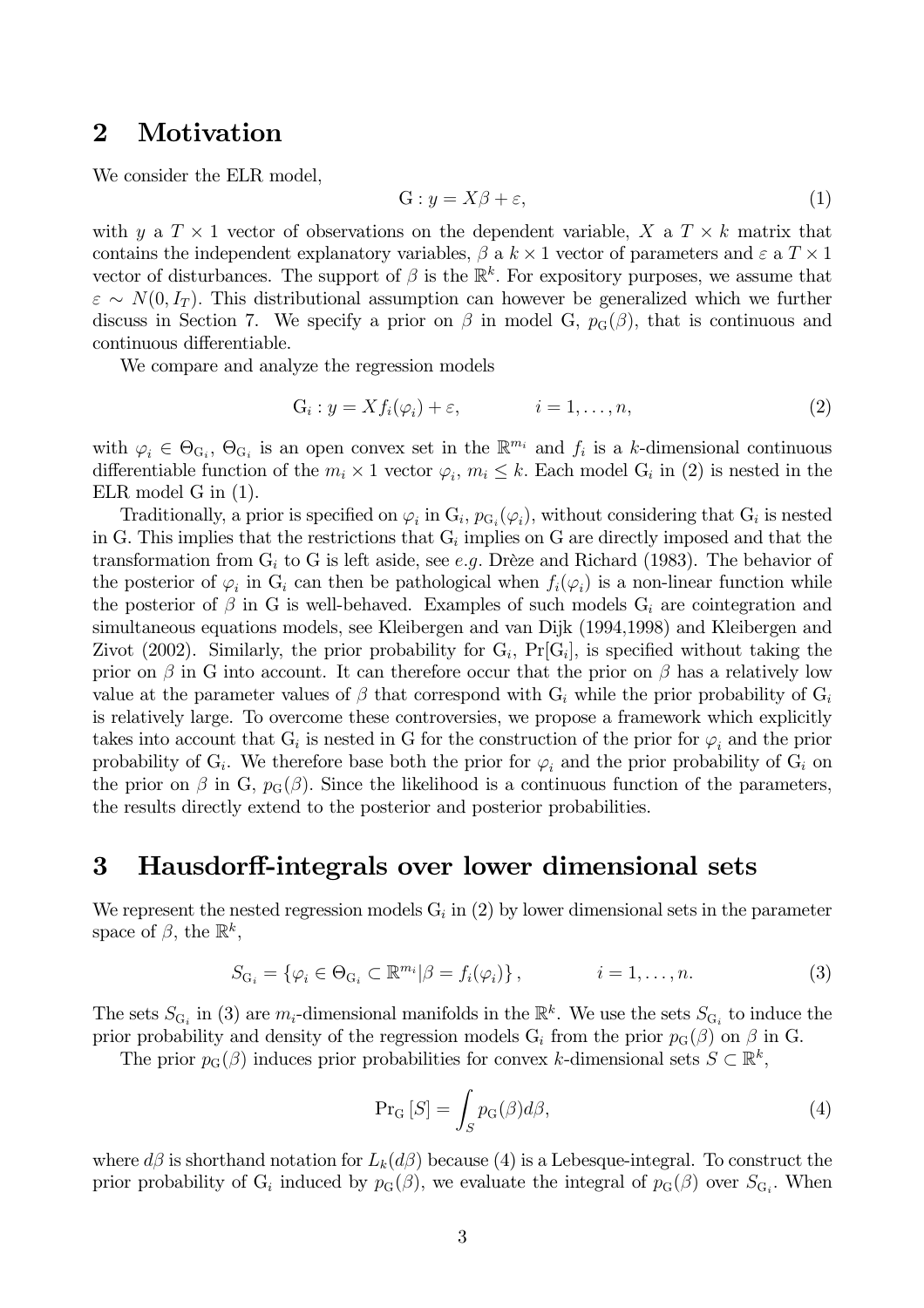#### $\overline{2}$ Motivation

We consider the ELR model,

$$
G: y = X\beta + \varepsilon,\tag{1}
$$

with y a  $T \times 1$  vector of observations on the dependent variable, X a  $T \times k$  matrix that contains the independent explanatory variables,  $\beta$  a  $k \times 1$  vector of parameters and  $\varepsilon$  a  $T \times 1$ vector of disturbances. The support of  $\beta$  is the  $\mathbb{R}^k$ . For expository purposes, we assume that  $\varepsilon \sim N(0, I_T)$ . This distributional assumption can however be generalized which we further discuss in Section 7. We specify a prior on  $\beta$  in model G,  $p_G(\beta)$ , that is continuous and continuous differentiable.

We compare and analyze the regression models

$$
G_i: y = X f_i(\varphi_i) + \varepsilon, \qquad i = 1, \dots, n,
$$
\n<sup>(2)</sup>

with  $\varphi_i \in \Theta_{G_i}$ ,  $\Theta_{G_i}$  is an open convex set in the  $\mathbb{R}^{m_i}$  and  $f_i$  is a k-dimensional continuous differentiable function of the  $m_i \times 1$  vector  $\varphi_i, m_i \leq k$ . Each model  $G_i$  in (2) is nested in the  $ELR \text{ model } G \text{ in } (1).$ 

Traditionally, a prior is specified on  $\varphi_i$  in  $G_i$ ,  $p_{G_i}(\varphi_i)$ , without considering that  $G_i$  is nested in G. This implies that the restrictions that  $G_i$  implies on G are directly imposed and that the transformation from  $G_i$  to G is left aside, see e.g. Drèze and Richard (1983). The behavior of the posterior of  $\varphi_i$  in  $G_i$  can then be pathological when  $f_i(\varphi_i)$  is a non-linear function while the posterior of  $\beta$  in G is well-behaved. Examples of such models  $G_i$  are cointegration and simultaneous equations models, see Kleibergen and van Dijk (1994,1998) and Kleibergen and Zivot (2002). Similarly, the prior probability for  $G_i$ ,  $Pr[G_i]$ , is specified without taking the prior on  $\beta$  in G into account. It can therefore occur that the prior on  $\beta$  has a relatively low value at the parameter values of  $\beta$  that correspond with  $G_i$  while the prior probability of  $G_i$ is relatively large. To overcome these controversies, we propose a framework which explicitly takes into account that  $G_i$  is nested in G for the construction of the prior for  $\varphi_i$  and the prior probability of  $G_i$ . We therefore base both the prior for  $\varphi_i$  and the prior probability of  $G_i$  on the prior on  $\beta$  in G,  $p_G(\beta)$ . Since the likelihood is a continuous function of the parameters, the results directly extend to the posterior and posterior probabilities.

#### Hausdorff-integrals over lower dimensional sets  $\bf{3}$

We represent the nested regression models  $G_i$  in (2) by lower dimensional sets in the parameter space of  $\beta$ , the  $\mathbb{R}^k$ ,

$$
S_{\mathcal{G}_i} = \{ \varphi_i \in \Theta_{\mathcal{G}_i} \subset \mathbb{R}^{m_i} | \beta = f_i(\varphi_i) \}, \qquad i = 1, \dots, n. \tag{3}
$$

The sets  $S_{\text{G}_i}$  in (3) are  $m_i$ -dimensional manifolds in the  $\mathbb{R}^k$ . We use the sets  $S_{\text{G}_i}$  to induce the prior probability and density of the regression models  $G_i$  from the prior  $p_G(\beta)$  on  $\beta$  in G.

The prior  $p_G(\beta)$  induces prior probabilities for convex k-dimensional sets  $S \subset \mathbb{R}^k$ ,

$$
\Pr_{G}[S] = \int_{S} p_{G}(\beta) d\beta,
$$
\n(4)

where  $d\beta$  is shorthand notation for  $L_k(d\beta)$  because (4) is a Lebesque-integral. To construct the prior probability of G<sub>i</sub> induced by  $p_G(\beta)$ , we evaluate the integral of  $p_G(\beta)$  over  $S_{G_i}$ . When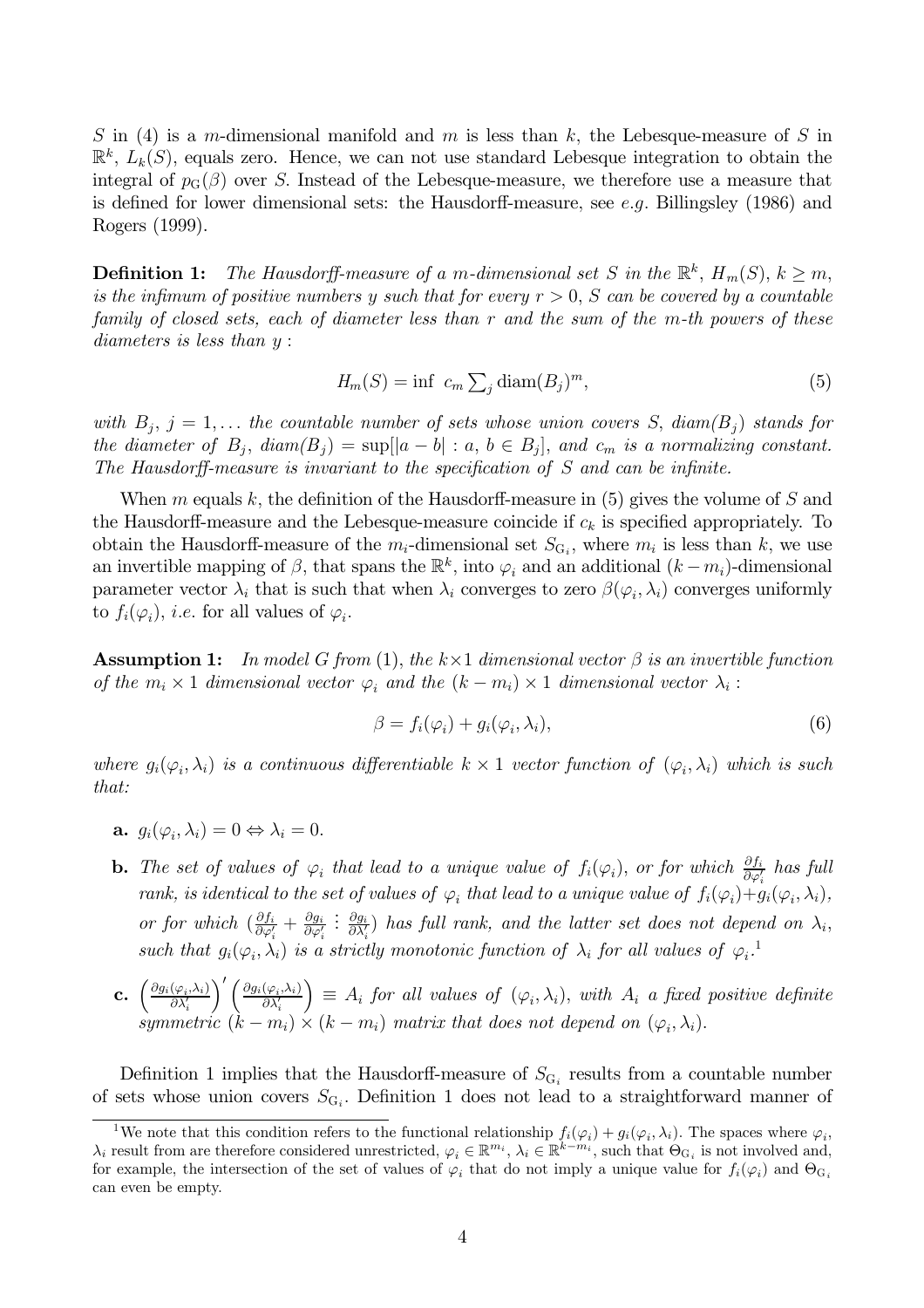S in (4) is a m-dimensional manifold and m is less than k, the Lebesque-measure of S in  $\mathbb{R}^k$ ,  $L_k(S)$ , equals zero. Hence, we can not use standard Lebesque integration to obtain the integral of  $p_G(\beta)$  over S. Instead of the Lebesque-measure, we therefore use a measure that is defined for lower dimensional sets: the Hausdorff-measure, see e.g. Billingsley (1986) and Rogers (1999).

**Definition 1:** The Hausdorff-measure of a m-dimensional set S in the  $\mathbb{R}^k$ ,  $H_m(S)$ ,  $k \geq m$ , is the infimum of positive numbers y such that for every  $r > 0$ , S can be covered by a countable family of closed sets, each of diameter less than r and the sum of the m-th powers of these diameters is less than  $y$ :

$$
H_m(S) = \inf \ c_m \sum_i \text{diam}(B_i)^m,\tag{5}
$$

with  $B_i$ ,  $j = 1,...$  the countable number of sets whose union covers S, diam( $B_j$ ) stands for the diameter of  $B_j$ ,  $diam(B_j) = sup[|a-b| : a, b \in B_j]$ , and  $c_m$  is a normalizing constant. The Hausdorff-measure is invariant to the specification of  $S$  and can be infinite.

When m equals k, the definition of the Hausdorff-measure in  $(5)$  gives the volume of S and the Hausdorff-measure and the Lebesque-measure coincide if  $c_k$  is specified appropriately. To obtain the Hausdorff-measure of the  $m_i$ -dimensional set  $S_{G_i}$ , where  $m_i$  is less than k, we use an invertible mapping of  $\beta$ , that spans the  $\mathbb{R}^k$ , into  $\varphi_i$  and an additional  $(k-m_i)$ -dimensional parameter vector  $\lambda_i$  that is such that when  $\lambda_i$  converges to zero  $\beta(\varphi_i, \lambda_i)$  converges uniformly to  $f_i(\varphi_i)$ , *i.e.* for all values of  $\varphi_i$ .

**Assumption 1:** In model G from (1), the  $k \times 1$  dimensional vector  $\beta$  is an invertible function of the  $m_i \times 1$  dimensional vector  $\varphi_i$  and the  $(k - m_i) \times 1$  dimensional vector  $\lambda_i$ :

$$
\beta = f_i(\varphi_i) + g_i(\varphi_i, \lambda_i),\tag{6}
$$

where  $g_i(\varphi_i, \lambda_i)$  is a continuous differentiable  $k \times 1$  vector function of  $(\varphi_i, \lambda_i)$  which is such that:

- **a.**  $q_i(\varphi_i, \lambda_i) = 0 \Leftrightarrow \lambda_i = 0.$
- **b.** The set of values of  $\varphi_i$  that lead to a unique value of  $f_i(\varphi_i)$ , or for which  $\frac{\partial f_i}{\partial \varphi'_i}$  has full rank, is identical to the set of values of  $\varphi_i$  that lead to a unique value of  $f_i(\varphi_i)+g_i(\varphi_i,\lambda_i)$ , or for which  $(\frac{\partial f_i}{\partial \varphi'_i} + \frac{\partial g_i}{\partial \varphi'_i} : \frac{\partial g_i}{\partial \lambda'_i})$  has full rank, and the latter set does not depend on  $\lambda_i$ , such that  $g_i(\varphi_i, \lambda_i)$  is a strictly monotonic function of  $\lambda_i$  for all values of  $\varphi_i$ .
- **c.**  $\left(\frac{\partial g_i(\varphi_i, \lambda_i)}{\partial \lambda'_i}\right)' \left(\frac{\partial g_i(\varphi_i, \lambda_i)}{\partial \lambda'_i}\right) \equiv A_i$  for all values of  $(\varphi_i, \lambda_i)$ , with  $A_i$  a fixed positive definite symmetric  $(k m_i) \times (k m_i)$  matrix that does not depend on  $(\varphi_i, \lambda_i)$ .

Definition 1 implies that the Hausdorff-measure of  $S_{G_i}$  results from a countable number of sets whose union covers  $S_{G_i}$ . Definition 1 does not lead to a straightforward manner of

<sup>&</sup>lt;sup>1</sup>We note that this condition refers to the functional relationship  $f_i(\varphi_i) + g_i(\varphi_i, \lambda_i)$ . The spaces where  $\varphi_i$ ,  $\lambda_i$  result from are therefore considered unrestricted,  $\varphi_i \in \mathbb{R}^{m_i}$ ,  $\lambda_i \in \mathbb{R}^{k-m_i}$ , such that  $\Theta_{G_i}$  is not involved and, for example, the intersection of the set of values of  $\varphi_i$  that do not imply a unique value for  $f_i(\varphi_i)$  and  $\Theta_{G_i}$ can even be empty.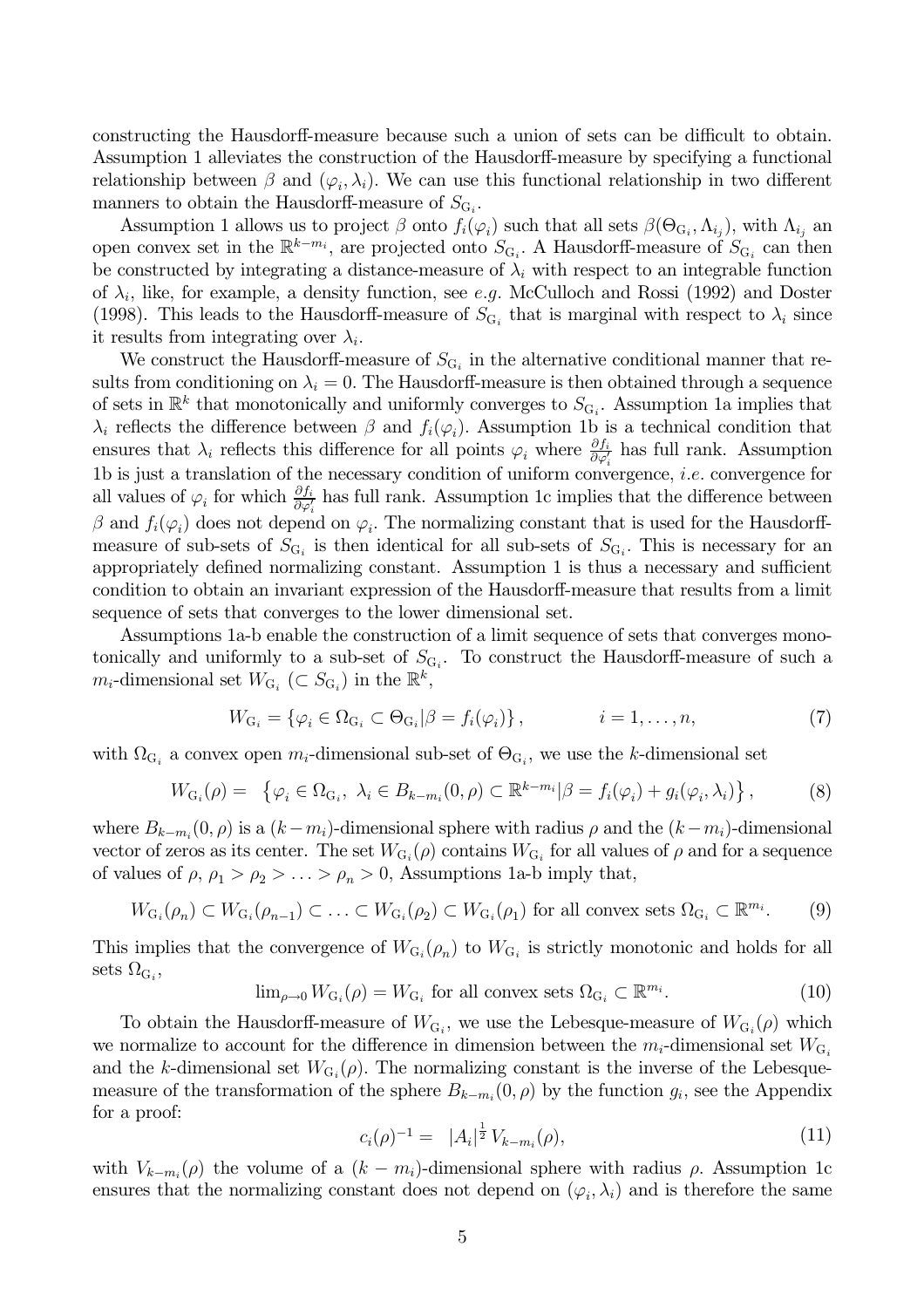constructing the Hausdorff-measure because such a union of sets can be difficult to obtain. Assumption 1 alleviates the construction of the Hausdorff-measure by specifying a functional relationship between  $\beta$  and  $(\varphi_i, \lambda_i)$ . We can use this functional relationship in two different manners to obtain the Hausdorff-measure of  $S_{G_i}$ .

Assumption 1 allows us to project  $\beta$  onto  $f_i(\varphi_i)$  such that all sets  $\beta(\Theta_{G_i}, \Lambda_{i_j})$ , with  $\Lambda_{i_j}$  and open convex set in the  $\mathbb{R}^{k-m_i}$ , are projected onto  $S_{G_i}$ . A Hausdorff-measure of  $S_{G_i}$  can then be constructed by integrating a distance-measure of  $\lambda_i$  with respect to an integrable function of  $\lambda_i$ , like, for example, a density function, see e.g. McCulloch and Rossi (1992) and Doster (1998). This leads to the Hausdorff-measure of  $S_{G_i}$  that is marginal with respect to  $\lambda_i$  since it results from integrating over  $\lambda_i$ .

We construct the Hausdorff-measure of  $S_{\text{G}_i}$  in the alternative conditional manner that results from conditioning on  $\lambda_i = 0$ . The Hausdorff-measure is then obtained through a sequence of sets in  $\mathbb{R}^k$  that monotonically and uniformly converges to  $S_{\mathbf{G}_i}$ . Assumption 1a implies that  $\lambda_i$  reflects the difference between  $\beta$  and  $f_i(\varphi_i)$ . Assumption 1b is a technical condition that ensures that  $\lambda_i$  reflects this difference for all points  $\varphi_i$  where  $\frac{\partial f_i}{\partial \varphi_i}$  has full rank. Assumption 1b is just a translation of the necessary condition of uniform convergence, *i.e.* convergence for all values of  $\varphi_i$  for which  $\frac{\partial f_i}{\partial \varphi'_i}$  has full rank. Assumption 1c implies that the difference between  $\beta$  and  $f_i(\varphi_i)$  does not depend on  $\varphi_i$ . The normalizing constant that is used for the Hausdorffmeasure of sub-sets of  $S_{G_i}$  is then identical for all sub-sets of  $S_{G_i}$ . This is necessary for an appropriately defined normalizing constant. Assumption 1 is thus a necessary and sufficient condition to obtain an invariant expression of the Hausdorff-measure that results from a limit sequence of sets that converges to the lower dimensional set.

Assumptions 1a-b enable the construction of a limit sequence of sets that converges monotonically and uniformly to a sub-set of  $S_{G_i}$ . To construct the Hausdorff-measure of such a  $m_i$ -dimensional set  $W_{G_i}$  ( $\subset S_{G_i}$ ) in the  $\mathbb{R}^k$ ,

$$
W_{\mathcal{G}_i} = \{ \varphi_i \in \Omega_{\mathcal{G}_i} \subset \Theta_{\mathcal{G}_i} | \beta = f_i(\varphi_i) \}, \qquad i = 1, \dots, n,
$$
\n<sup>(7)</sup>

with  $\Omega_{G_i}$  a convex open  $m_i$ -dimensional sub-set of  $\Theta_{G_i}$ , we use the k-dimensional set

$$
W_{\mathcal{G}_i}(\rho) = \left\{ \varphi_i \in \Omega_{\mathcal{G}_i}, \ \lambda_i \in B_{k-m_i}(0,\rho) \subset \mathbb{R}^{k-m_i} | \beta = f_i(\varphi_i) + g_i(\varphi_i, \lambda_i) \right\},\tag{8}
$$

where  $B_{k-m_i}(0, \rho)$  is a  $(k-m_i)$ -dimensional sphere with radius  $\rho$  and the  $(k-m_i)$ -dimensional vector of zeros as its center. The set  $W_{G_i}(\rho)$  contains  $W_{G_i}$  for all values of  $\rho$  and for a sequence of values of  $\rho$ ,  $\rho_1 > \rho_2 > \ldots > \rho_n > 0$ , Assumptions 1a-b imply that,

$$
W_{G_i}(\rho_n) \subset W_{G_i}(\rho_{n-1}) \subset \ldots \subset W_{G_i}(\rho_2) \subset W_{G_i}(\rho_1) \text{ for all convex sets } \Omega_{G_i} \subset \mathbb{R}^{m_i}.
$$
 (9)

This implies that the convergence of  $W_{G_i}(\rho_n)$  to  $W_{G_i}$  is strictly monotonic and holds for all sets  $\Omega_{\mathrm{G}_i}$ ,

$$
\lim_{\rho \to 0} W_{G_i}(\rho) = W_{G_i} \text{ for all convex sets } \Omega_{G_i} \subset \mathbb{R}^{m_i}.
$$
 (10)

To obtain the Hausdorff-measure of  $W_{G_i}$ , we use the Lebesque-measure of  $W_{G_i}(\rho)$  which we normalize to account for the difference in dimension between the  $m_i$ -dimensional set  $W_{G_i}$ and the k-dimensional set  $W_{G_i}(\rho)$ . The normalizing constant is the inverse of the Lebesquemeasure of the transformation of the sphere  $B_{k-m_i}(0, \rho)$  by the function  $g_i$ , see the Appendix for a proof:

$$
c_i(\rho)^{-1} = |A_i|^{\frac{1}{2}} V_{k-m_i}(\rho), \tag{11}
$$

with  $V_{k-m_i}(\rho)$  the volume of a  $(k - m_i)$ -dimensional sphere with radius  $\rho$ . Assumption 1c ensures that the normalizing constant does not depend on  $(\varphi_i, \lambda_i)$  and is therefore the same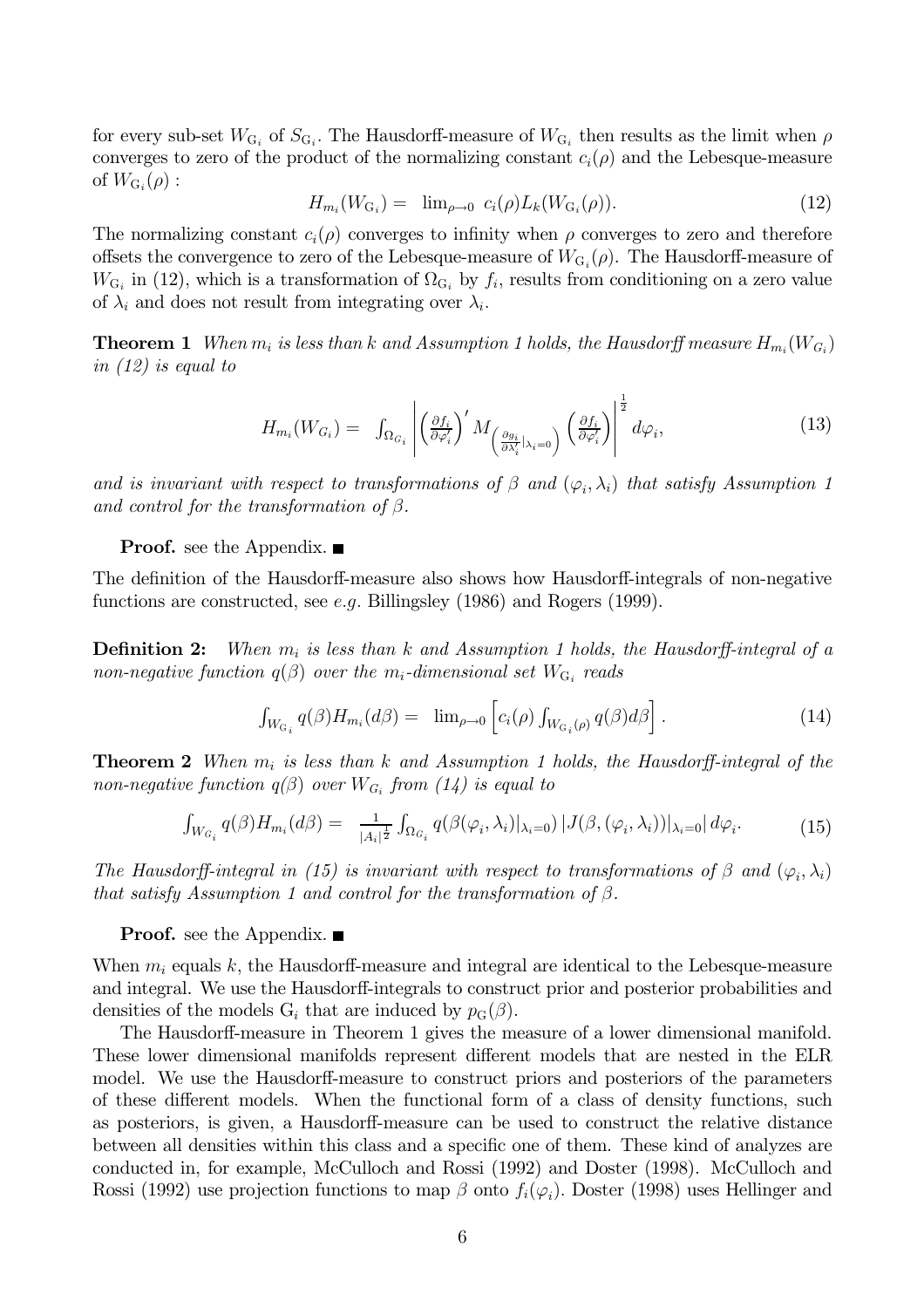for every sub-set  $W_{G_i}$  of  $S_{G_i}$ . The Hausdorff-measure of  $W_{G_i}$  then results as the limit when  $\rho$ converges to zero of the product of the normalizing constant  $c_i(\rho)$  and the Lebesque-measure of  $W_{G_i}(\rho)$ :

$$
H_{m_i}(W_{\mathcal{G}_i}) = \lim_{\rho \to 0} c_i(\rho) L_k(W_{\mathcal{G}_i}(\rho)). \tag{12}
$$

The normalizing constant  $c_i(\rho)$  converges to infinity when  $\rho$  converges to zero and therefore offsets the convergence to zero of the Lebesque-measure of  $W_{G_i}(\rho)$ . The Hausdorff-measure of  $W_{G_i}$  in (12), which is a transformation of  $\Omega_{G_i}$  by  $f_i$ , results from conditioning on a zero value of  $\lambda_i$  and does not result from integrating over  $\lambda_i$ .

**Theorem 1** When  $m_i$  is less than k and Assumption 1 holds, the Hausdorff measure  $H_{m_i}(W_{G_i})$ in  $(12)$  is equal to

$$
H_{m_i}(W_{G_i}) = \int_{\Omega_{G_i}} \left| \left( \frac{\partial f_i}{\partial \varphi'_i} \right)' M_{\left( \frac{\partial g_i}{\partial \lambda'_i} | \lambda_i = 0 \right)} \left( \frac{\partial f_i}{\partial \varphi'_i} \right) \right|^{\frac{1}{2}} d\varphi_i, \tag{13}
$$

and is invariant with respect to transformations of  $\beta$  and  $(\varphi_i, \lambda_i)$  that satisfy Assumption 1 and control for the transformation of  $\beta$ .

**Proof.** see the Appendix.  $\blacksquare$ 

The definition of the Hausdorff-measure also shows how Hausdorff-integrals of non-negative functions are constructed, see  $e.g.$  Billingsley (1986) and Rogers (1999).

**Definition 2:** When  $m_i$  is less than k and Assumption 1 holds, the Hausdorff-integral of a non-negative function  $q(\beta)$  over the m<sub>i</sub>-dimensional set  $W_{G_i}$  reads

$$
\int_{W_{\mathrm{G}_i}} q(\beta) H_{m_i}(d\beta) = \lim_{\rho \to 0} \left[ c_i(\rho) \int_{W_{\mathrm{G}_i}(\rho)} q(\beta) d\beta \right]. \tag{14}
$$

**Theorem 2** When  $m_i$  is less than k and Assumption 1 holds, the Hausdorff-integral of the non-negative function  $q(\beta)$  over  $W_{G_i}$  from (14) is equal to

$$
\int_{W_{G_i}} q(\beta) H_{m_i}(d\beta) = \frac{1}{|A_i|^{\frac{1}{2}}} \int_{\Omega_{G_i}} q(\beta(\varphi_i, \lambda_i)|_{\lambda_i=0}) |J(\beta, (\varphi_i, \lambda_i))|_{\lambda_i=0}| d\varphi_i.
$$
 (15)

The Hausdorff-integral in (15) is invariant with respect to transformations of  $\beta$  and  $(\varphi_i, \lambda_i)$ that satisfy Assumption 1 and control for the transformation of  $\beta$ .

**Proof.** see the Appendix.  $\blacksquare$ 

When  $m_i$  equals k, the Hausdorff-measure and integral are identical to the Lebesque-measure and integral. We use the Hausdorff-integrals to construct prior and posterior probabilities and densities of the models  $G_i$  that are induced by  $p_G(\beta)$ .

The Hausdorff-measure in Theorem 1 gives the measure of a lower dimensional manifold. These lower dimensional manifolds represent different models that are nested in the ELR model. We use the Hausdorff-measure to construct priors and posteriors of the parameters of these different models. When the functional form of a class of density functions, such as posteriors, is given, a Hausdorff-measure can be used to construct the relative distance between all densities within this class and a specific one of them. These kind of analyzes are conducted in, for example, McCulloch and Rossi (1992) and Doster (1998). McCulloch and Rossi (1992) use projection functions to map  $\beta$  onto  $f_i(\varphi_i)$ . Doster (1998) uses Hellinger and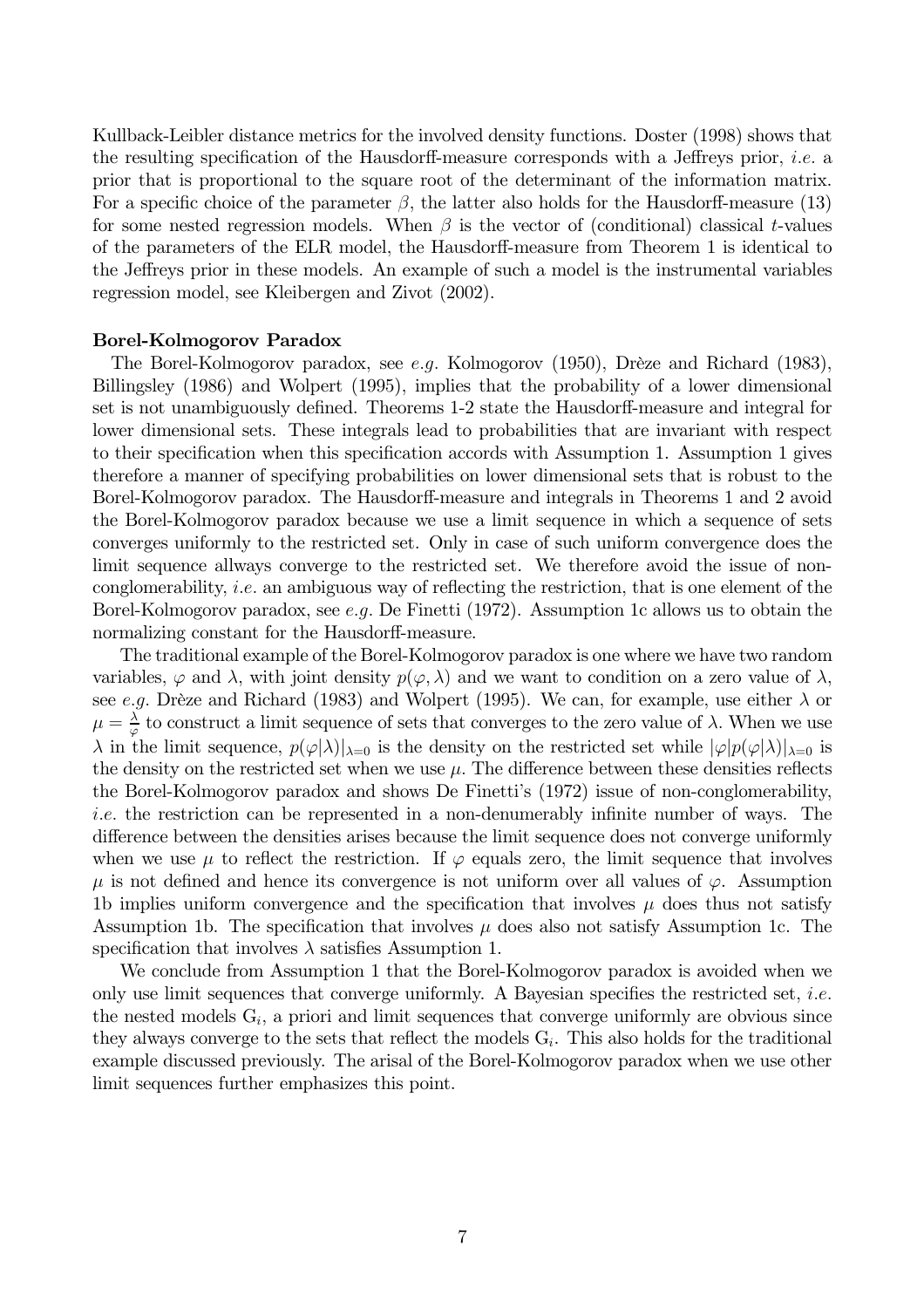Kullback-Leibler distance metrics for the involved density functions. Doster (1998) shows that the resulting specification of the Hausdorff-measure corresponds with a Jeffreys prior, *i.e.* a prior that is proportional to the square root of the determinant of the information matrix. For a specific choice of the parameter  $\beta$ , the latter also holds for the Hausdorff-measure (13) for some nested regression models. When  $\beta$  is the vector of (conditional) classical t-values of the parameters of the ELR model, the Hausdorff-measure from Theorem 1 is identical to the Jeffreys prior in these models. An example of such a model is the instrumental variables regression model, see Kleibergen and Zivot (2002).

### **Borel-Kolmogorov Paradox**

The Borel-Kolmogorov paradox, see e.g. Kolmogorov (1950), Drèze and Richard (1983), Billingsley (1986) and Wolpert (1995), implies that the probability of a lower dimensional set is not unambiguously defined. Theorems 1-2 state the Hausdorff-measure and integral for lower dimensional sets. These integrals lead to probabilities that are invariant with respect to their specification when this specification accords with Assumption 1. Assumption 1 gives therefore a manner of specifying probabilities on lower dimensional sets that is robust to the Borel-Kolmogorov paradox. The Hausdorff-measure and integrals in Theorems 1 and 2 avoid the Borel-Kolmogorov paradox because we use a limit sequence in which a sequence of sets converges uniformly to the restricted set. Only in case of such uniform convergence does the limit sequence allways converge to the restricted set. We therefore avoid the issue of nonconglomerability, *i.e.* an ambiguous way of reflecting the restriction, that is one element of the Borel-Kolmogorov paradox, see e.g. De Finetti (1972). Assumption 1c allows us to obtain the normalizing constant for the Hausdorff-measure.

The traditional example of the Borel-Kolmogorov paradox is one where we have two random variables,  $\varphi$  and  $\lambda$ , with joint density  $p(\varphi, \lambda)$  and we want to condition on a zero value of  $\lambda$ , see e.g. Drèze and Richard (1983) and Wolpert (1995). We can, for example, use either  $\lambda$  or  $\mu = \frac{\lambda}{\omega}$  to construct a limit sequence of sets that converges to the zero value of  $\lambda$ . When we use  $\lambda$  in the limit sequence,  $p(\varphi|\lambda)|_{\lambda=0}$  is the density on the restricted set while  $|\varphi|p(\varphi|\lambda)|_{\lambda=0}$  is the density on the restricted set when we use  $\mu$ . The difference between these densities reflects the Borel-Kolmogorov paradox and shows De Finetti's (1972) issue of non-conglomerability, *i.e.* the restriction can be represented in a non-denumerably infinite number of ways. The difference between the densities arises because the limit sequence does not converge uniformly when we use  $\mu$  to reflect the restriction. If  $\varphi$  equals zero, the limit sequence that involves  $\mu$  is not defined and hence its convergence is not uniform over all values of  $\varphi$ . Assumption 1b implies uniform convergence and the specification that involves  $\mu$  does thus not satisfy Assumption 1b. The specification that involves  $\mu$  does also not satisfy Assumption 1c. The specification that involves  $\lambda$  satisfies Assumption 1.

We conclude from Assumption 1 that the Borel-Kolmogorov paradox is avoided when we only use limit sequences that converge uniformly. A Bayesian specifies the restricted set, *i.e.* the nested models  $G_i$ , a priori and limit sequences that converge uniformly are obvious since they always converge to the sets that reflect the models  $G_i$ . This also holds for the traditional example discussed previously. The arisal of the Borel-Kolmogorov paradox when we use other limit sequences further emphasizes this point.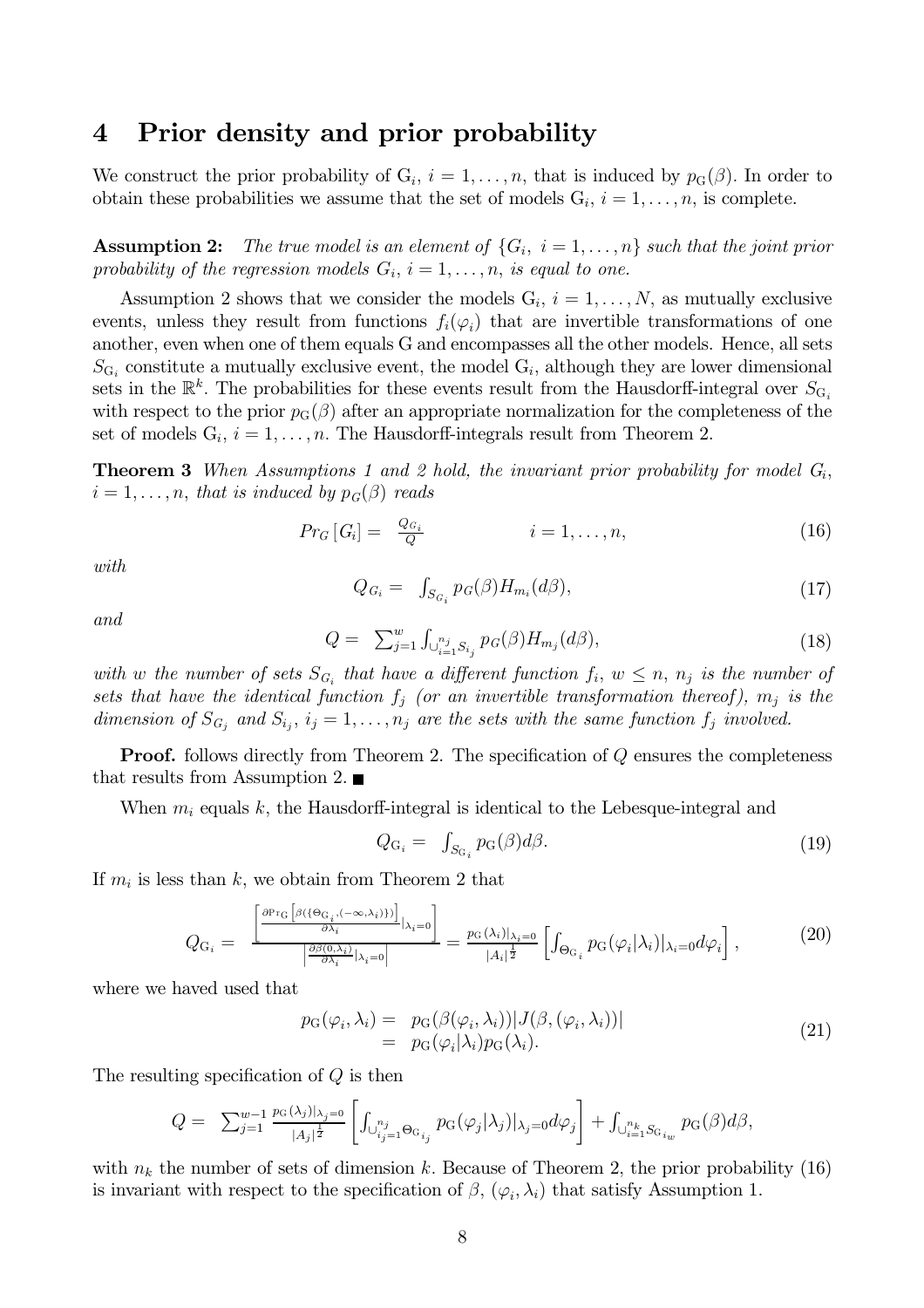#### Prior density and prior probability  $\overline{\mathbf{4}}$

We construct the prior probability of  $G_i$ ,  $i = 1, ..., n$ , that is induced by  $p_G(\beta)$ . In order to obtain these probabilities we assume that the set of models  $G_i$ ,  $i = 1, ..., n$ , is complete.

**Assumption 2:** The true model is an element of  $\{G_i, i = 1, \ldots, n\}$  such that the joint prior probability of the regression models  $G_i$ ,  $i = 1, ..., n$ , is equal to one.

Assumption 2 shows that we consider the models  $G_i$ ,  $i = 1, ..., N$ , as mutually exclusive events, unless they result from functions  $f_i(\varphi_i)$  that are invertible transformations of one another, even when one of them equals G and encompasses all the other models. Hence, all sets  $S_{\text{G}_i}$  constitute a mutually exclusive event, the model  $G_i$ , although they are lower dimensional sets in the  $\mathbb{R}^k$ . The probabilities for these events result from the Hausdorff-integral over  $S_{G_i}$ with respect to the prior  $p_G(\beta)$  after an appropriate normalization for the completeness of the set of models  $G_i$ ,  $i = 1, ..., n$ . The Hausdorff-integrals result from Theorem 2.

**Theorem 3** When Assumptions 1 and 2 hold, the invariant prior probability for model  $G_i$ ,  $i=1,\ldots,n$ , that is induced by  $p_G(\beta)$  reads

$$
Pr_G[G_i] = \frac{Q_{G_i}}{Q} \qquad i = 1, \dots, n,
$$
\n(16)

with

$$
Q_{G_i} = \int_{S_{G_i}} p_G(\beta) H_{m_i}(d\beta), \qquad (17)
$$

and

$$
Q = \sum_{j=1}^{w} \int_{\bigcup_{i=1}^{n_j} S_{i_j}} p_G(\beta) H_{m_j}(d\beta), \tag{18}
$$

with w the number of sets  $S_{G_i}$  that have a different function  $f_i, w \leq n$ ,  $n_j$  is the number of sets that have the identical function  $f_i$  (or an invertible transformation thereof),  $m_i$  is the dimension of  $S_{G_i}$  and  $S_{i_j}$ ,  $i_j = 1, \ldots, n_j$  are the sets with the same function  $f_j$  involved.

**Proof.** follows directly from Theorem 2. The specification of  $Q$  ensures the completeness that results from Assumption 2.

When  $m_i$  equals k, the Hausdorff-integral is identical to the Lebesque-integral and

$$
Q_{\mathcal{G}_i} = \int_{S_{\mathcal{G}_i}} p_{\mathcal{G}}(\beta) d\beta. \tag{19}
$$

If  $m_i$  is less than k, we obtain from Theorem 2 that

$$
Q_{\mathcal{G}_i} = \frac{\left| \frac{\partial \mathrm{Pr}_{\mathcal{G}}\left[\beta(\{\Theta_{\mathcal{G}_i},(-\infty,\lambda_i)\})\right]}{\partial \lambda_i}|_{\lambda_i=0}\right|}{\left|\frac{\partial \beta(0,\lambda_i)}{\partial \lambda_i}|_{\lambda_i=0}\right|} = \frac{p_{\mathcal{G}}(\lambda_i)|_{\lambda_i=0}}{|A_i|^{\frac{1}{2}}} \left[\int_{\Theta_{\mathcal{G}_i}} p_{\mathcal{G}}(\varphi_i|\lambda_i)|_{\lambda_i=0} d\varphi_i\right],\tag{20}
$$

where we haved used that

$$
p_{G}(\varphi_{i}, \lambda_{i}) = p_{G}(\beta(\varphi_{i}, \lambda_{i})) |J(\beta, (\varphi_{i}, \lambda_{i}))|
$$
  
=  $p_{G}(\varphi_{i}|\lambda_{i}) p_{G}(\lambda_{i}).$  (21)

The resulting specification of  $Q$  is then

$$
Q = \sum_{j=1}^{w-1} \frac{p_G(\lambda_j)|_{\lambda_j=0}}{|A_j|^{\frac{1}{2}}} \left[ \int_{\bigcup_{i_j=1}^{n_j} \Theta_{G_{i_j}}} p_G(\varphi_j|\lambda_j)|_{\lambda_j=0} d\varphi_j \right] + \int_{\bigcup_{i=1}^{n_k} S_{G_{i_w}}} p_G(\beta) d\beta,
$$

with  $n_k$  the number of sets of dimension k. Because of Theorem 2, the prior probability (16) is invariant with respect to the specification of  $\beta$ ,  $(\varphi_i, \lambda_i)$  that satisfy Assumption 1.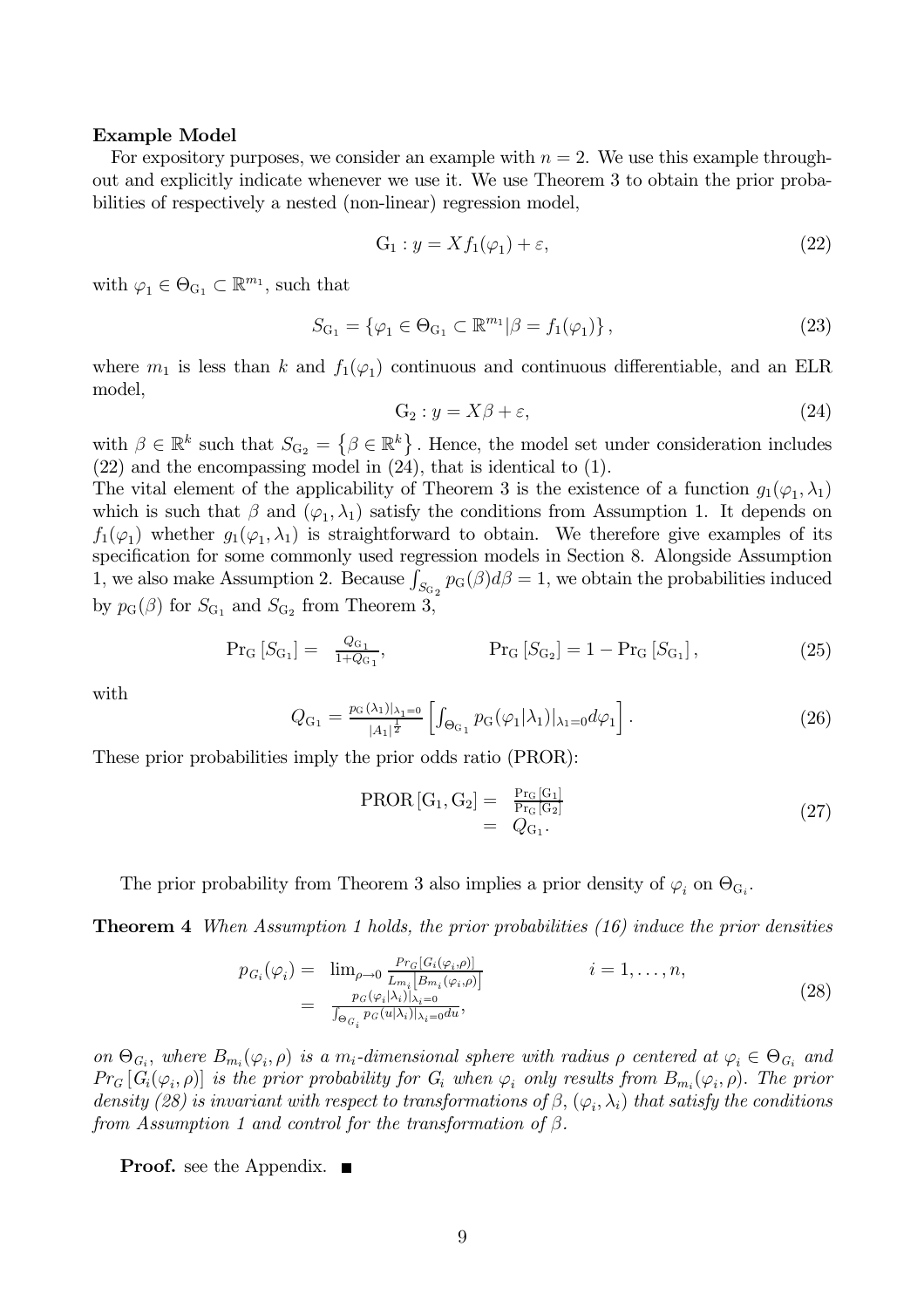## **Example Model**

For expository purposes, we consider an example with  $n = 2$ . We use this example throughout and explicitly indicate whenever we use it. We use Theorem 3 to obtain the prior probabilities of respectively a nested (non-linear) regression model,

$$
G_1: y = X f_1(\varphi_1) + \varepsilon,\tag{22}
$$

with  $\varphi_1 \in \Theta_{\mathrm{G}_1} \subset \mathbb{R}^{m_1}$ , such that

$$
S_{\mathcal{G}_1} = \{ \varphi_1 \in \Theta_{\mathcal{G}_1} \subset \mathbb{R}^{m_1} | \beta = f_1(\varphi_1) \},\tag{23}
$$

where  $m_1$  is less than k and  $f_1(\varphi_1)$  continuous and continuous differentiable, and an ELR model.

$$
G_2: y = X\beta + \varepsilon,\tag{24}
$$

with  $\beta \in \mathbb{R}^k$  such that  $S_{G_2} = \{\beta \in \mathbb{R}^k\}$ . Hence, the model set under consideration includes  $(22)$  and the encompassing model in  $(24)$ , that is identical to  $(1)$ .

The vital element of the applicability of Theorem 3 is the existence of a function  $g_1(\varphi_1, \lambda_1)$ which is such that  $\beta$  and  $(\varphi_1, \lambda_1)$  satisfy the conditions from Assumption 1. It depends on  $f_1(\varphi_1)$  whether  $g_1(\varphi_1,\lambda_1)$  is straightforward to obtain. We therefore give examples of its specification for some commonly used regression models in Section 8. Alongside Assumption 1, we also make Assumption 2. Because  $\int_{S_{\text{G}_2}} p_{\text{G}}(\beta) d\beta = 1$ , we obtain the probabilities induced by  $p_G(\beta)$  for  $S_{G_1}$  and  $S_{G_2}$  from Theorem 3,

$$
Pr_G[S_{G_1}] = \frac{Q_{G_1}}{1 + Q_{G_1}}, \qquad Pr_G[S_{G_2}] = 1 - Pr_G[S_{G_1}], \qquad (25)
$$

with

$$
Q_{G_1} = \frac{p_G(\lambda_1)|_{\lambda_1=0}}{|A_1|^{\frac{1}{2}}} \left[ \int_{\Theta_{G_1}} p_G(\varphi_1|\lambda_1)|_{\lambda_1=0} d\varphi_1 \right]. \tag{26}
$$

These prior probabilities imply the prior odds ratio (PROR):

$$
PROR[G_1, G_2] = \frac{Pr_G[G_1]}{Pr_G[G_2]} = Q_{G_1}.
$$
\n(27)

The prior probability from Theorem 3 also implies a prior density of  $\varphi_i$  on  $\Theta_{G_i}$ .

**Theorem 4** When Assumption 1 holds, the prior probabilities  $(16)$  induce the prior densities

$$
p_{G_i}(\varphi_i) = \lim_{\rho \to 0} \frac{Pr_G[G_i(\varphi_i, \rho)]}{L_{m_i}[B_{m_i}(\varphi_i, \rho)]}
$$
  
\n
$$
= \frac{p_G(\varphi_i|\lambda_i)|_{\lambda_i=0}}{\int_{\Theta_{G_i}} p_G(u|\lambda_i)|_{\lambda_i=0} du},
$$
  
\n(28)

on  $\Theta_{G_i}$ , where  $B_{m_i}(\varphi_i, \rho)$  is a  $m_i$ -dimensional sphere with radius  $\rho$  centered at  $\varphi_i \in \Theta_{G_i}$  and  $Pr_G[G_i(\varphi_i, \rho)]$  is the prior probability for  $G_i$  when  $\varphi_i$  only results from  $B_{m_i}(\varphi_i, \rho)$ . The prior density (28) is invariant with respect to transformations of  $\beta$ ,  $(\varphi_i, \lambda_i)$  that satisfy the conditions from Assumption 1 and control for the transformation of  $\beta$ .

**Proof.** see the Appendix.  $\blacksquare$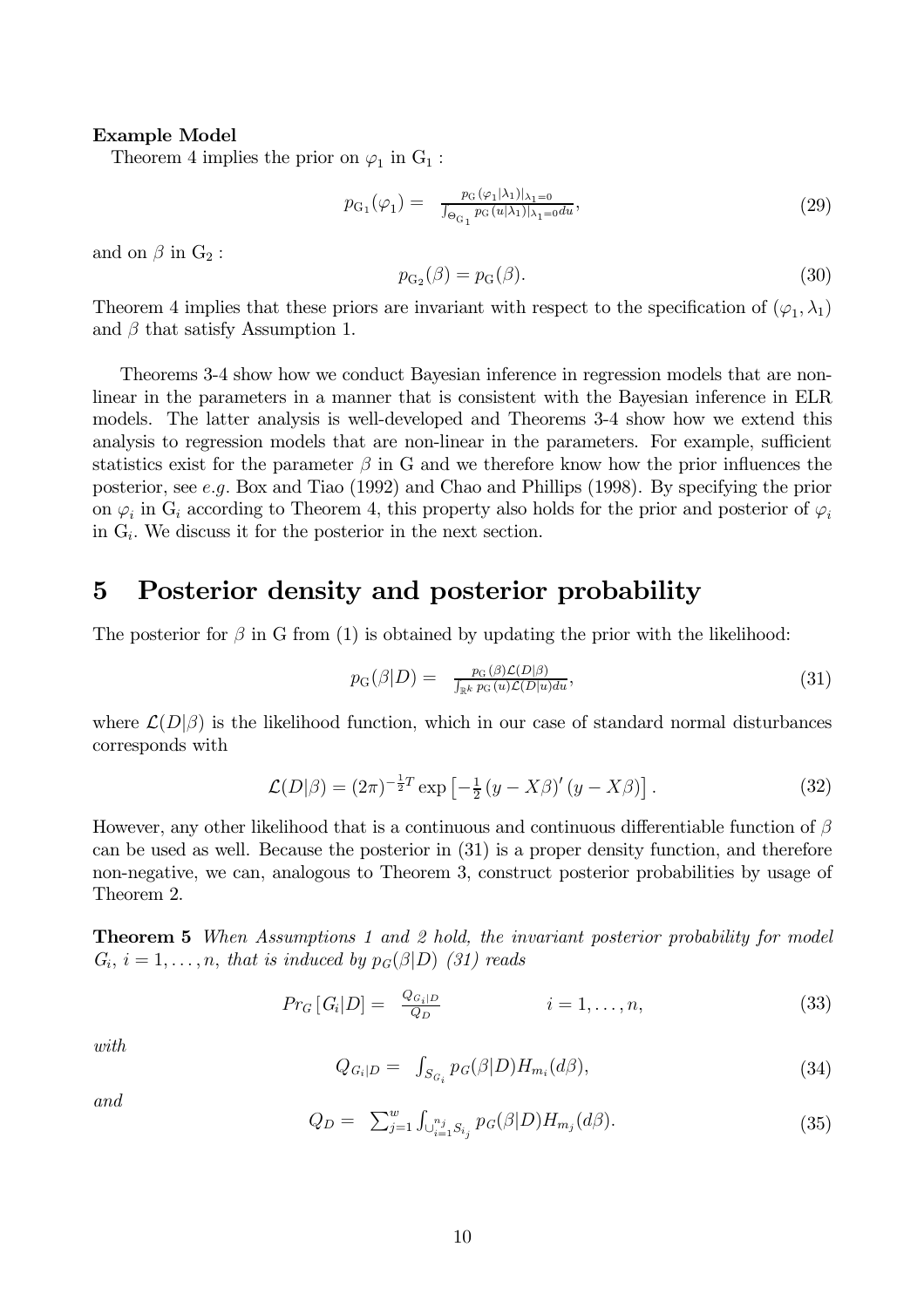## **Example Model**

Theorem 4 implies the prior on  $\varphi_1$  in  $G_1$ :

$$
p_{G_1}(\varphi_1) = \frac{p_G(\varphi_1|\lambda_1)|_{\lambda_1=0}}{\int_{\Theta_{G_1}} p_G(u|\lambda_1)|_{\lambda_1=0} du},
$$
\n(29)

and on  $\beta$  in  $G_2$ :

$$
p_{\mathcal{G}_2}(\beta) = p_{\mathcal{G}}(\beta). \tag{30}
$$

Theorem 4 implies that these priors are invariant with respect to the specification of  $(\varphi_1, \lambda_1)$ and  $\beta$  that satisfy Assumption 1.

Theorems 3-4 show how we conduct Bayesian inference in regression models that are nonlinear in the parameters in a manner that is consistent with the Bayesian inference in ELR models. The latter analysis is well-developed and Theorems 3-4 show how we extend this analysis to regression models that are non-linear in the parameters. For example, sufficient statistics exist for the parameter  $\beta$  in G and we therefore know how the prior influences the posterior, see e.g. Box and Tiao (1992) and Chao and Phillips (1998). By specifying the prior on  $\varphi_i$  in  $G_i$  according to Theorem 4, this property also holds for the prior and posterior of  $\varphi_i$ in  $G_i$ . We discuss it for the posterior in the next section.

#### Posterior density and posterior probability  $\overline{5}$

The posterior for  $\beta$  in G from (1) is obtained by updating the prior with the likelihood:

$$
p_{\mathcal{G}}(\beta|D) = \frac{p_{\mathcal{G}}(\beta)\mathcal{L}(D|\beta)}{\int_{\mathbb{R}^k} p_{\mathcal{G}}(u)\mathcal{L}(D|u)du},\tag{31}
$$

where  $\mathcal{L}(D|\beta)$  is the likelihood function, which in our case of standard normal disturbances corresponds with

$$
\mathcal{L}(D|\beta) = (2\pi)^{-\frac{1}{2}T} \exp\left[-\frac{1}{2}(y - X\beta)'(y - X\beta)\right].
$$
 (32)

However, any other likelihood that is a continuous and continuous differentiable function of  $\beta$ can be used as well. Because the posterior in  $(31)$  is a proper density function, and therefore non-negative, we can, analogous to Theorem 3, construct posterior probabilities by usage of Theorem 2.

**Theorem 5** When Assumptions 1 and 2 hold, the invariant posterior probability for model  $G_i$ ,  $i = 1, \ldots, n$ , that is induced by  $p_G(\beta|D)$  (31) reads

$$
Pr_G[G_i|D] = \frac{Q_{G_i|D}}{Q_D} \qquad i = 1, \dots, n,
$$
\n(33)

with

$$
Q_{G_i|D} = \int_{S_{G_i}} p_G(\beta|D) H_{m_i}(d\beta), \qquad (34)
$$

and

$$
Q_D = \sum_{j=1}^{w} \int_{\bigcup_{i=1}^{n_j} S_{i_j}} p_G(\beta | D) H_{m_j}(d\beta).
$$
 (35)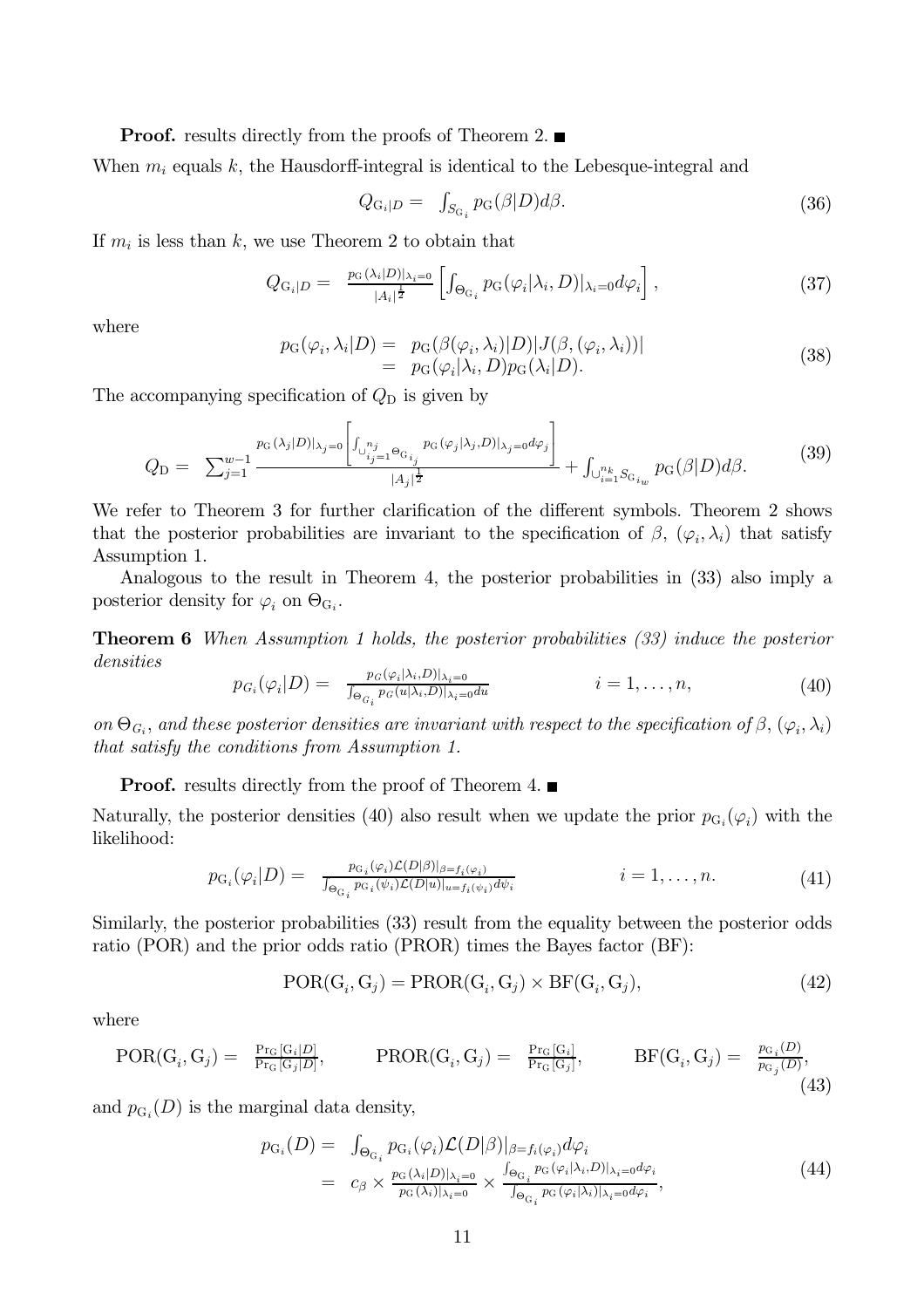**Proof.** results directly from the proofs of Theorem 2.

When  $m_i$  equals k, the Hausdorff-integral is identical to the Lebesque-integral and

$$
Q_{\mathcal{G}_i|D} = \int_{S_{\mathcal{G}_i}} p_{\mathcal{G}}(\beta|D)d\beta. \tag{36}
$$

If  $m_i$  is less than k, we use Theorem 2 to obtain that

$$
Q_{\mathcal{G}_i|D} = \frac{p_{\mathcal{G}}(\lambda_i|D)|_{\lambda_i=0}}{|A_i|^{\frac{1}{2}}} \left[ \int_{\Theta_{\mathcal{G}_i}} p_{\mathcal{G}}(\varphi_i|\lambda_i, D)|_{\lambda_i=0} d\varphi_i \right], \tag{37}
$$

where

$$
p_{\mathcal{G}}(\varphi_i, \lambda_i | D) = p_{\mathcal{G}}(\beta(\varphi_i, \lambda_i) | D) |J(\beta, (\varphi_i, \lambda_i))|
$$
  
=  $p_{\mathcal{G}}(\varphi_i | \lambda_i, D) p_{\mathcal{G}}(\lambda_i | D).$  (38)

The accompanying specification of  $Q_D$  is given by

$$
Q_{\rm D} = \sum_{j=1}^{w-1} \frac{p_{\rm G}(\lambda_j|D)|_{\lambda_j=0} \left| \int_{\cup_{i_j=1}^{n_j} \Theta_{G_{i_j}}} p_{\rm G}(\varphi_j|\lambda_j,D)|_{\lambda_j=0} d\varphi_j \right|}{|A_j|^{\frac{1}{2}}} + \int_{\cup_{i=1}^{n_k} S_{G_{i_w}}} p_{\rm G}(\beta|D) d\beta. \tag{39}
$$

We refer to Theorem 3 for further clarification of the different symbols. Theorem 2 shows that the posterior probabilities are invariant to the specification of  $\beta$ ,  $(\varphi_i, \lambda_i)$  that satisfy Assumption 1.

Analogous to the result in Theorem 4, the posterior probabilities in (33) also imply a posterior density for  $\varphi_i$  on  $\Theta_{G_i}$ .

**Theorem 6** When Assumption 1 holds, the posterior probabilities (33) induce the posterior densities

$$
p_{G_i}(\varphi_i|D) = \frac{p_G(\varphi_i|\lambda_i, D)|_{\lambda_i=0}}{\int_{\Theta_{G_i}} p_G(u|\lambda_i, D)|_{\lambda_i=0} du} \qquad i = 1, \dots, n,
$$
\n
$$
(40)
$$

on  $\Theta_{G_i}$ , and these posterior densities are invariant with respect to the specification of  $\beta$ ,  $(\varphi_i, \lambda_i)$ that satisfy the conditions from Assumption 1.

**Proof.** results directly from the proof of Theorem 4.  $\blacksquare$ 

Naturally, the posterior densities (40) also result when we update the prior  $p_{G_i}(\varphi_i)$  with the likelihood:

$$
p_{\mathcal{G}_i}(\varphi_i|D) = \frac{p_{\mathcal{G}_i}(\varphi_i)\mathcal{L}(D|\beta)|_{\beta=f_i(\varphi_i)}}{\int_{\Theta_{\mathcal{G}_i}} p_{\mathcal{G}_i}(\psi_i)\mathcal{L}(D|u)|_{u=f_i(\psi_i)}d\psi_i} \qquad i=1,\ldots,n. \tag{41}
$$

Similarly, the posterior probabilities (33) result from the equality between the posterior odds ratio (POR) and the prior odds ratio (PROR) times the Bayes factor (BF):

$$
POR(G_i, G_j) = PROR(G_i, G_j) \times BF(G_i, G_j), \qquad (42)
$$

where

$$
POR(G_i, G_j) = \frac{P_{T_G}[G_i|D]}{P_{T_G}[G_j|D]}, \qquad PROR(G_i, G_j) = \frac{P_{T_G}[G_i]}{P_{T_G}[G_j]}, \qquad BF(G_i, G_j) = \frac{p_{G_i}(D)}{p_{G_j}(D)},
$$
\n(43)

and  $p_{G_i}(D)$  is the marginal data density,

$$
p_{G_i}(D) = \int_{\Theta_{G_i}} p_{G_i}(\varphi_i) \mathcal{L}(D|\beta)|_{\beta=f_i(\varphi_i)} d\varphi_i
$$
  
\n
$$
= c_{\beta} \times \frac{p_{G}(\lambda_i|D)|_{\lambda_i=0}}{p_{G}(\lambda_i)|_{\lambda_i=0}} \times \frac{\int_{\Theta_{G_i}} p_{G}(\varphi_i|\lambda_i,D)|_{\lambda_i=0} d\varphi_i}{\int_{\Theta_{G_i}} p_{G}(\varphi_i|\lambda_i)|_{\lambda_i=0} d\varphi_i},
$$
\n(44)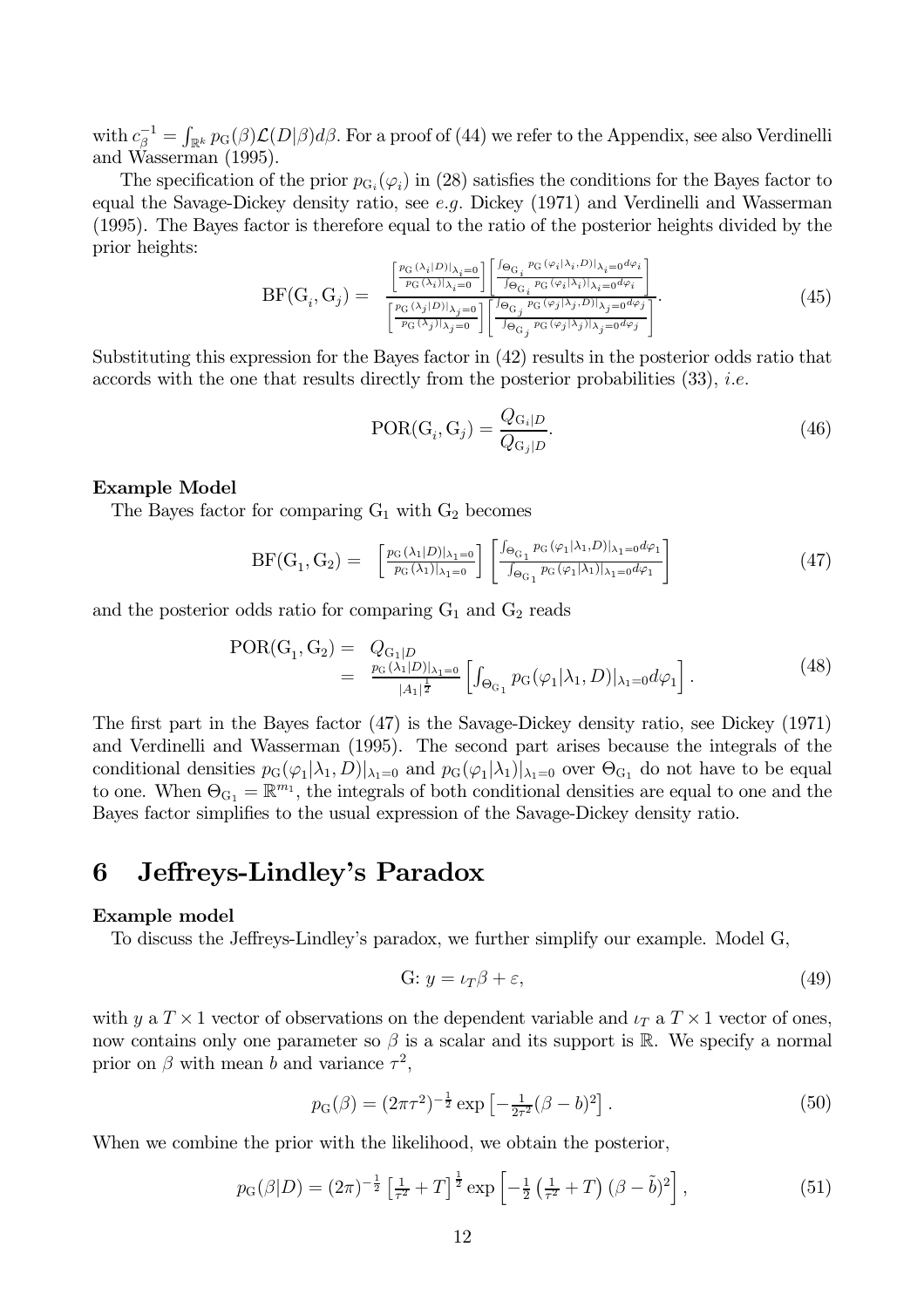with  $c_{\beta}^{-1} = \int_{\mathbb{R}^k} p_G(\beta) \mathcal{L}(D|\beta) d\beta$ . For a proof of (44) we refer to the Appendix, see also Verdinelli and Wasserman (1995).

The specification of the prior  $p_{G_i}(\varphi_i)$  in (28) satisfies the conditions for the Bayes factor to equal the Savage-Dickey density ratio, see  $e,q$ . Dickey (1971) and Verdinelli and Wasserman (1995). The Bayes factor is therefore equal to the ratio of the posterior heights divided by the prior heights:

$$
BF(G_i, G_j) = \frac{\left[\frac{p_G(\lambda_i|D)|_{\lambda_i=0}}{p_G(\lambda_i)|_{\lambda_i=0}}\right] \left[\frac{\int_{\Theta_{G_i}} p_G(\varphi_i|\lambda_i,D)|_{\lambda_i=0} d\varphi_i}{\int_{\Theta_{G_i} p_G(\varphi_i|\lambda_i)|_{\lambda_i=0} d\varphi_i}\right]}{\left[\frac{p_G(\lambda_j|D)|_{\lambda_j=0}}{p_G(\lambda_j)|_{\lambda_j=0}}\right] \left[\frac{\int_{\Theta_{G_i} p_G(\varphi_i|\lambda_i)|_{\lambda_i=0} d\varphi_i}}{\int_{\Theta_{G_j} p_G(\varphi_j|\lambda_j)|_{\lambda_j=0} d\varphi_j}\right]}. \tag{45}
$$

Substituting this expression for the Bayes factor in (42) results in the posterior odds ratio that accords with the one that results directly from the posterior probabilities  $(33)$ , *i.e.* 

$$
POR(G_i, G_j) = \frac{Q_{G_i|D}}{Q_{G_j|D}}.
$$
\n(46)

### **Example Model**

The Bayes factor for comparing  $G_1$  with  $G_2$  becomes

$$
BF(G_1, G_2) = \left[\frac{p_G(\lambda_1|D)|_{\lambda_1=0}}{p_G(\lambda_1)|_{\lambda_1=0}}\right] \left[\frac{\int_{\Theta_{G_1}} p_G(\varphi_1|\lambda_1, D)|_{\lambda_1=0} d\varphi_1}{\int_{\Theta_{G_1}} p_G(\varphi_1|\lambda_1)|_{\lambda_1=0} d\varphi_1}\right]
$$
(47)

and the posterior odds ratio for comparing  $\mathrm{G}_1$  and  $\mathrm{G}_2$  reads

$$
POR(G_1, G_2) = Q_{G_1|D}
$$
  
= 
$$
\frac{p_G(\lambda_1|D)|_{\lambda_1=0}}{|A_1|^{\frac{1}{2}}} \left[ \int_{\Theta_{G_1}} p_G(\varphi_1|\lambda_1, D)|_{\lambda_1=0} d\varphi_1 \right].
$$
 (48)

The first part in the Bayes factor  $(47)$  is the Savage-Dickey density ratio, see Dickey  $(1971)$ and Verdinelli and Wasserman (1995). The second part arises because the integrals of the conditional densities  $p_G(\varphi_1|\lambda_1, D)|_{\lambda_1=0}$  and  $p_G(\varphi_1|\lambda_1)|_{\lambda_1=0}$  over  $\Theta_{G_1}$  do not have to be equal to one. When  $\Theta_{G_1} = \mathbb{R}^{m_1}$ , the integrals of both conditional densities are equal to one and the Bayes factor simplifies to the usual expression of the Savage-Dickey density ratio.

#### Jeffreys-Lindley's Paradox 6

### Example model

To discuss the Jeffreys-Lindley's paradox, we further simplify our example. Model G,

$$
G: y = \iota_T \beta + \varepsilon,\tag{49}
$$

with y a  $T \times 1$  vector of observations on the dependent variable and  $\iota_T$  a  $T \times 1$  vector of ones, now contains only one parameter so  $\beta$  is a scalar and its support is R. We specify a normal prior on  $\beta$  with mean b and variance  $\tau^2$ ,

$$
p_G(\beta) = (2\pi\tau^2)^{-\frac{1}{2}} \exp\left[-\frac{1}{2\tau^2}(\beta - b)^2\right].
$$
 (50)

When we combine the prior with the likelihood, we obtain the posterior,

$$
p_G(\beta|D) = (2\pi)^{-\frac{1}{2}} \left[\frac{1}{\tau^2} + T\right]^{\frac{1}{2}} \exp\left[-\frac{1}{2}\left(\frac{1}{\tau^2} + T\right)(\beta - \tilde{b})^2\right],\tag{51}
$$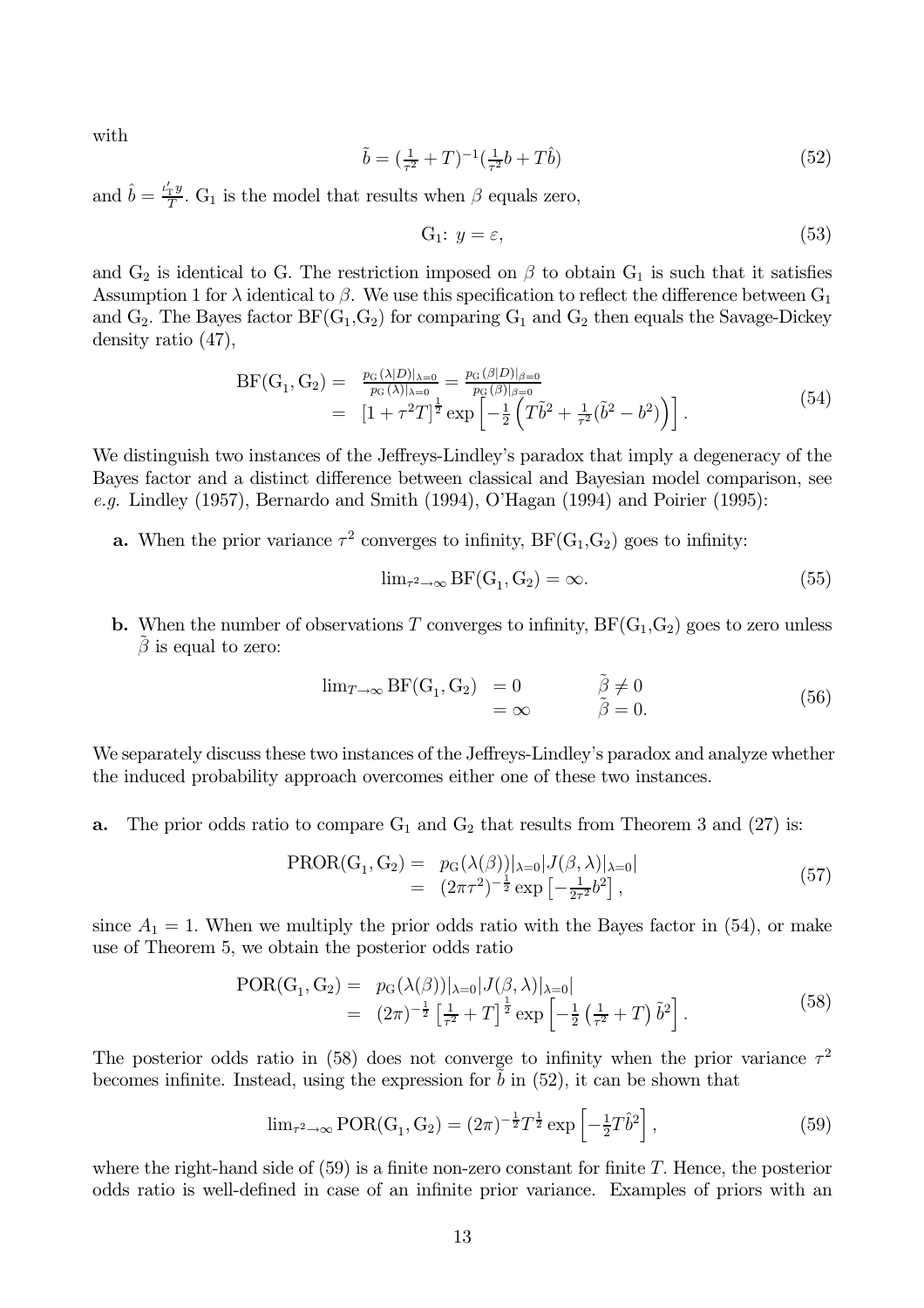with

$$
\tilde{b} = (\frac{1}{\tau^2} + T)^{-1} (\frac{1}{\tau^2} b + T \hat{b}) \tag{52}
$$

and  $\hat{b} = \frac{\nu'_T y}{T}$ . G<sub>1</sub> is the model that results when  $\beta$  equals zero,

$$
G_1: y = \varepsilon,\tag{53}
$$

and  $G_2$  is identical to G. The restriction imposed on  $\beta$  to obtain  $G_1$  is such that it satisfies Assumption 1 for  $\lambda$  identical to  $\beta$ . We use this specification to reflect the difference between  $G_1$ and  $G_2$ . The Bayes factor  $BF(G_1, G_2)$  for comparing  $G_1$  and  $G_2$  then equals the Savage-Dickey density ratio  $(47)$ ,

$$
BF(G_1, G_2) = \frac{p_G(\lambda|D)|_{\lambda=0}}{p_G(\lambda)|_{\lambda=0}} = \frac{p_G(\beta|D)|_{\beta=0}}{p_G(\beta)|_{\beta=0}}
$$
  
= 
$$
[1 + \tau^2 T]^{\frac{1}{2}} \exp\left[-\frac{1}{2}\left(T\tilde{b}^2 + \frac{1}{\tau^2}(\tilde{b}^2 - b^2)\right)\right].
$$
 (54)

We distinguish two instances of the Jeffreys-Lindley's paradox that imply a degeneracy of the Bayes factor and a distinct difference between classical and Bayesian model comparison, see e.g. Lindley (1957), Bernardo and Smith (1994), O'Hagan (1994) and Poirier (1995):

**a.** When the prior variance  $\tau^2$  converges to infinity, BF(G<sub>1</sub>,G<sub>2</sub>) goes to infinity:

$$
\lim_{\tau^2 \to \infty} \text{BF}(G_1, G_2) = \infty. \tag{55}
$$

**b.** When the number of observations T converges to infinity,  $BF(G_1, G_2)$  goes to zero unless  $\beta$  is equal to zero:

$$
\lim_{T \to \infty} \text{BF}(G_1, G_2) = 0 \n= \infty \qquad \tilde{\beta} \neq 0 \n\tilde{\beta} = 0.
$$
\n(56)

We separately discuss these two instances of the Jeffreys-Lindley's paradox and analyze whether the induced probability approach overcomes either one of these two instances.

The prior odds ratio to compare  $G_1$  and  $G_2$  that results from Theorem 3 and (27) is: a.

$$
\text{PROR}(G_1, G_2) = p_G(\lambda(\beta))|_{\lambda=0} |J(\beta, \lambda)|_{\lambda=0}|
$$
  
=  $(2\pi\tau^2)^{-\frac{1}{2}} \exp\left[-\frac{1}{2\tau^2}b^2\right],$  (57)

since  $A_1 = 1$ . When we multiply the prior odds ratio with the Bayes factor in (54), or make use of Theorem 5, we obtain the posterior odds ratio

$$
\text{POR}(G_1, G_2) = p_G(\lambda(\beta))|_{\lambda=0} |J(\beta, \lambda)|_{\lambda=0}|
$$
  
=  $(2\pi)^{-\frac{1}{2}} \left[\frac{1}{\tau^2} + T\right]^{\frac{1}{2}} \exp\left[-\frac{1}{2}\left(\frac{1}{\tau^2} + T\right)\tilde{b}^2\right].$  (58)

The posterior odds ratio in (58) does not converge to infinity when the prior variance  $\tau^2$ becomes infinite. Instead, using the expression for  $b$  in  $(52)$ , it can be shown that

$$
\lim_{\tau^2 \to \infty} \text{POR}(G_1, G_2) = (2\pi)^{-\frac{1}{2}} T^{\frac{1}{2}} \exp \left[ -\frac{1}{2} T \hat{b}^2 \right],\tag{59}
$$

where the right-hand side of  $(59)$  is a finite non-zero constant for finite T. Hence, the posterior odds ratio is well-defined in case of an infinite prior variance. Examples of priors with an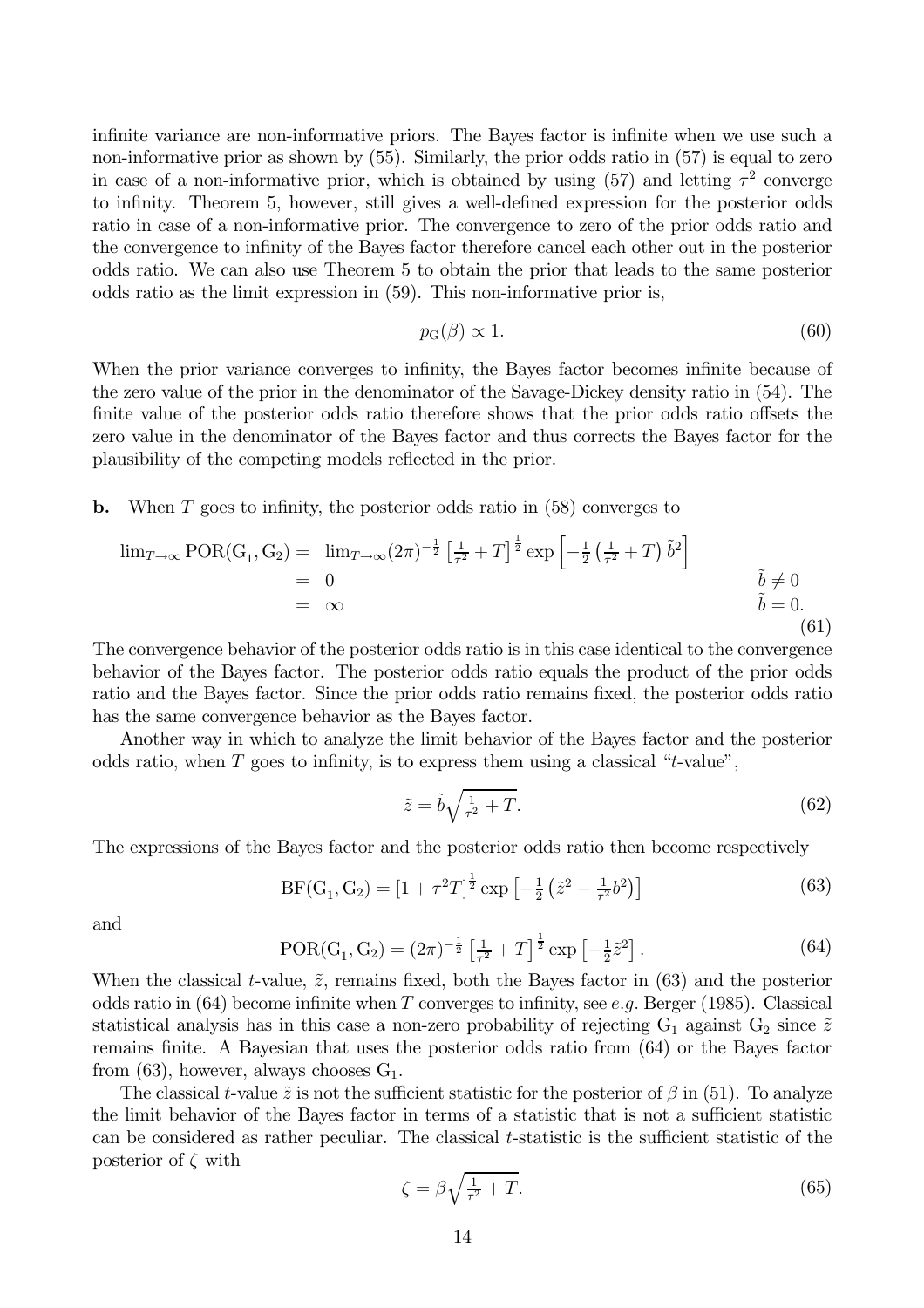infinite variance are non-informative priors. The Bayes factor is infinite when we use such a non-informative prior as shown by  $(55)$ . Similarly, the prior odds ratio in  $(57)$  is equal to zero in case of a non-informative prior, which is obtained by using (57) and letting  $\tau^2$  converge to infinity. Theorem 5, however, still gives a well-defined expression for the posterior odds ratio in case of a non-informative prior. The convergence to zero of the prior odds ratio and the convergence to infinity of the Bayes factor therefore cancel each other out in the posterior odds ratio. We can also use Theorem 5 to obtain the prior that leads to the same posterior odds ratio as the limit expression in  $(59)$ . This non-informative prior is,

$$
p_{\mathcal{G}}(\beta) \propto 1. \tag{60}
$$

When the prior variance converges to infinity, the Bayes factor becomes infinite because of the zero value of the prior in the denominator of the Savage-Dickey density ratio in (54). The finite value of the posterior odds ratio therefore shows that the prior odds ratio offsets the zero value in the denominator of the Bayes factor and thus corrects the Bayes factor for the plausibility of the competing models reflected in the prior.

When  $T$  goes to infinity, the posterior odds ratio in  $(58)$  converges to  $\mathbf b$ .

$$
\lim_{T \to \infty} \text{POR}(G_1, G_2) = \lim_{T \to \infty} (2\pi)^{-\frac{1}{2}} \left[ \frac{1}{\tau^2} + T \right]^{\frac{1}{2}} \exp \left[ -\frac{1}{2} \left( \frac{1}{\tau^2} + T \right) \tilde{b}^2 \right]
$$
\n
$$
= 0
$$
\n
$$
= \infty
$$
\n
$$
\tilde{b} \neq 0
$$
\n
$$
\tilde{b} = 0.
$$
\n(61)

The convergence behavior of the posterior odds ratio is in this case identical to the convergence behavior of the Bayes factor. The posterior odds ratio equals the product of the prior odds ratio and the Bayes factor. Since the prior odds ratio remains fixed, the posterior odds ratio has the same convergence behavior as the Bayes factor.

Another way in which to analyze the limit behavior of the Bayes factor and the posterior odds ratio, when  $T$  goes to infinity, is to express them using a classical "t-value",

$$
\tilde{z} = \tilde{b}\sqrt{\frac{1}{\tau^2} + T}.\tag{62}
$$

The expressions of the Bayes factor and the posterior odds ratio then become respectively

$$
BF(G_1, G_2) = [1 + \tau^2 T]^{\frac{1}{2}} \exp\left[-\frac{1}{2} \left(\tilde{z}^2 - \frac{1}{\tau^2} b^2\right)\right]
$$
(63)

and

$$
POR(G_1, G_2) = (2\pi)^{-\frac{1}{2}} \left[\frac{1}{\tau^2} + T\right]^{\frac{1}{2}} \exp\left[-\frac{1}{2}\tilde{z}^2\right].\tag{64}
$$

When the classical t-value,  $\tilde{z}$ , remains fixed, both the Bayes factor in (63) and the posterior odds ratio in (64) become infinite when T converges to infinity, see e.g. Berger (1985). Classical statistical analysis has in this case a non-zero probability of rejecting  $G_1$  against  $G_2$  since  $\tilde{z}$ remains finite. A Bayesian that uses the posterior odds ratio from (64) or the Bayes factor from (63), however, always chooses  $G_1$ .

The classical *t*-value  $\tilde{z}$  is not the sufficient statistic for the posterior of  $\beta$  in (51). To analyze the limit behavior of the Bayes factor in terms of a statistic that is not a sufficient statistic can be considered as rather peculiar. The classical t-statistic is the sufficient statistic of the posterior of  $\zeta$  with

$$
\zeta = \beta \sqrt{\frac{1}{\tau^2} + T}.\tag{65}
$$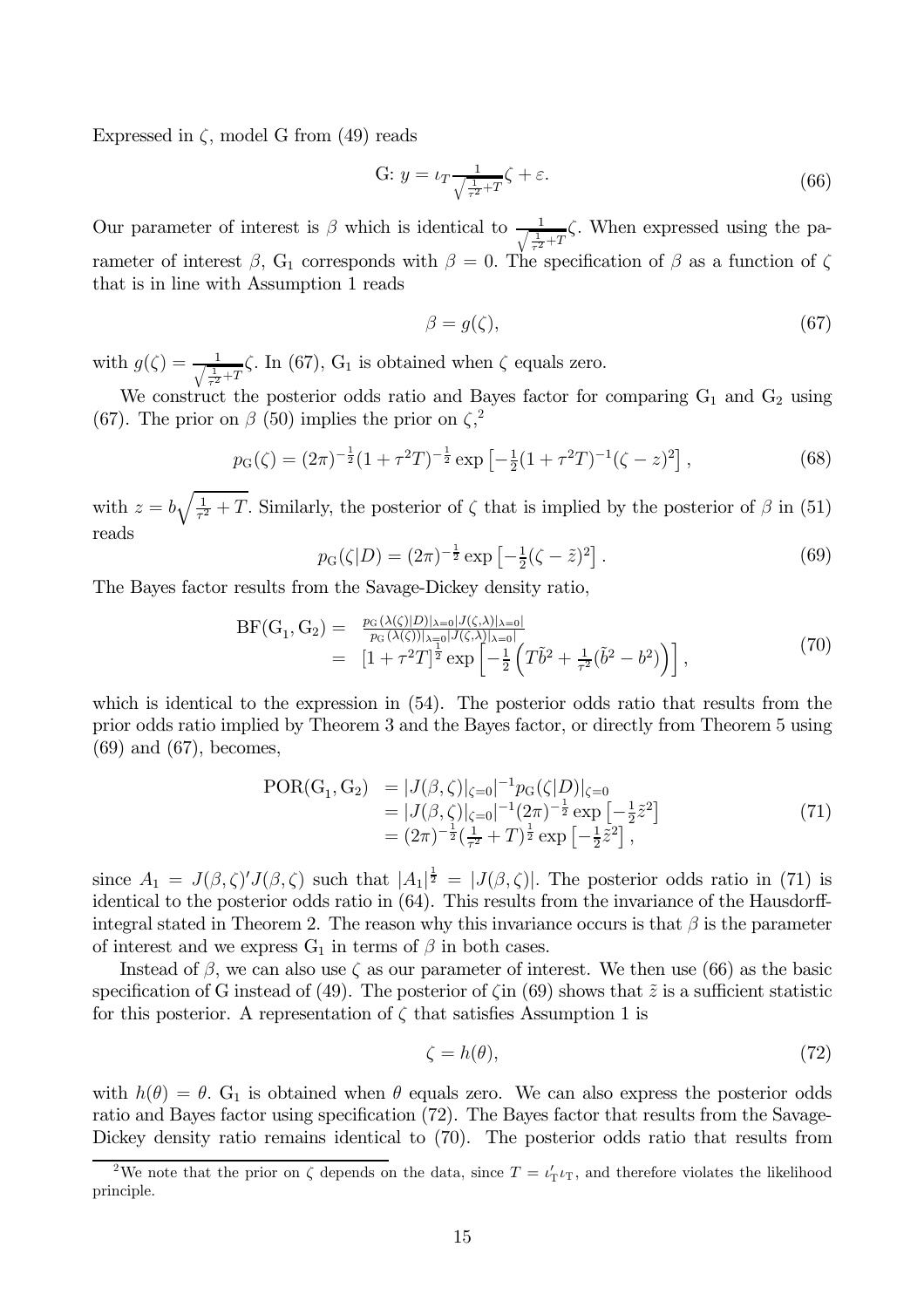Expressed in  $\zeta$ , model G from (49) reads

G: 
$$
y = \iota_T \frac{1}{\sqrt{\frac{1}{\tau^2} + T}} \zeta + \varepsilon.
$$
 (66)

Our parameter of interest is  $\beta$  which is identical to  $\frac{1}{\sqrt{\frac{1}{c^2}+T}}\zeta$ . When expressed using the parameter of interest  $\beta$ , G<sub>1</sub> corresponds with  $\beta = 0$ . The specification of  $\beta$  as a function of  $\zeta$ that is in line with Assumption 1 reads

$$
\beta = g(\zeta),\tag{67}
$$

with  $g(\zeta) = \frac{1}{\sqrt{\frac{1}{\tau^2} + T}} \zeta$ . In (67), G<sub>1</sub> is obtained when  $\zeta$  equals zero.

We construct the posterior odds ratio and Bayes factor for comparing  $G_1$  and  $G_2$  using (67). The prior on  $\beta$  (50) implies the prior on  $\zeta^2$ 

$$
p_G(\zeta) = (2\pi)^{-\frac{1}{2}} (1 + \tau^2 T)^{-\frac{1}{2}} \exp\left[-\frac{1}{2}(1 + \tau^2 T)^{-1}(\zeta - z)^2\right],\tag{68}
$$

with  $z = b\sqrt{\frac{1}{\tau^2} + T}$ . Similarly, the posterior of  $\zeta$  that is implied by the posterior of  $\beta$  in (51) reads

$$
p_G(\zeta|D) = (2\pi)^{-\frac{1}{2}} \exp\left[-\frac{1}{2}(\zeta - \tilde{z})^2\right].\tag{69}
$$

The Bayes factor results from the Savage-Dickey density ratio.

$$
BF(G_1, G_2) = \frac{p_G(\lambda(\zeta)|D)|_{\lambda=0}|J(\zeta,\lambda)|_{\lambda=0}|}{p_G(\lambda(\zeta))|_{\lambda=0}|J(\zeta,\lambda)|_{\lambda=0}|} = [1 + \tau^2 T]^{\frac{1}{2}} \exp\left[-\frac{1}{2}\left(T\tilde{b}^2 + \frac{1}{\tau^2}(\tilde{b}^2 - b^2)\right)\right],
$$
\n(70)

which is identical to the expression in  $(54)$ . The posterior odds ratio that results from the prior odds ratio implied by Theorem 3 and the Bayes factor, or directly from Theorem 5 using  $(69)$  and  $(67)$ , becomes,

$$
POR(G1, G2) = |J(β, ζ)|ζ=0|-1pG(ζ|D)|ζ=0= |J(β, ζ)|ζ=0|-1(2π)-1/2 exp [-1/2z2]= (2π)-1/2(1/7 + T)1/2 exp [-1/2z2],
$$
\n(71)

since  $A_1 = J(\beta, \zeta)'J(\beta, \zeta)$  such that  $|A_1|^{\frac{1}{2}} = |J(\beta, \zeta)|$ . The posterior odds ratio in (71) is identical to the posterior odds ratio in (64). This results from the invariance of the Hausdorffintegral stated in Theorem 2. The reason why this invariance occurs is that  $\beta$  is the parameter of interest and we express  $G_1$  in terms of  $\beta$  in both cases.

Instead of  $\beta$ , we can also use  $\zeta$  as our parameter of interest. We then use (66) as the basic specification of G instead of (49). The posterior of  $\zeta$  in (69) shows that  $\tilde{z}$  is a sufficient statistic for this posterior. A representation of  $\zeta$  that satisfies Assumption 1 is

$$
\zeta = h(\theta),\tag{72}
$$

with  $h(\theta) = \theta$ . G<sub>1</sub> is obtained when  $\theta$  equals zero. We can also express the posterior odds ratio and Bayes factor using specification (72). The Bayes factor that results from the Savage-Dickey density ratio remains identical to  $(70)$ . The posterior odds ratio that results from

<sup>&</sup>lt;sup>2</sup>We note that the prior on  $\zeta$  depends on the data, since  $T = \iota_T' \iota_T$ , and therefore violates the likelihood principle.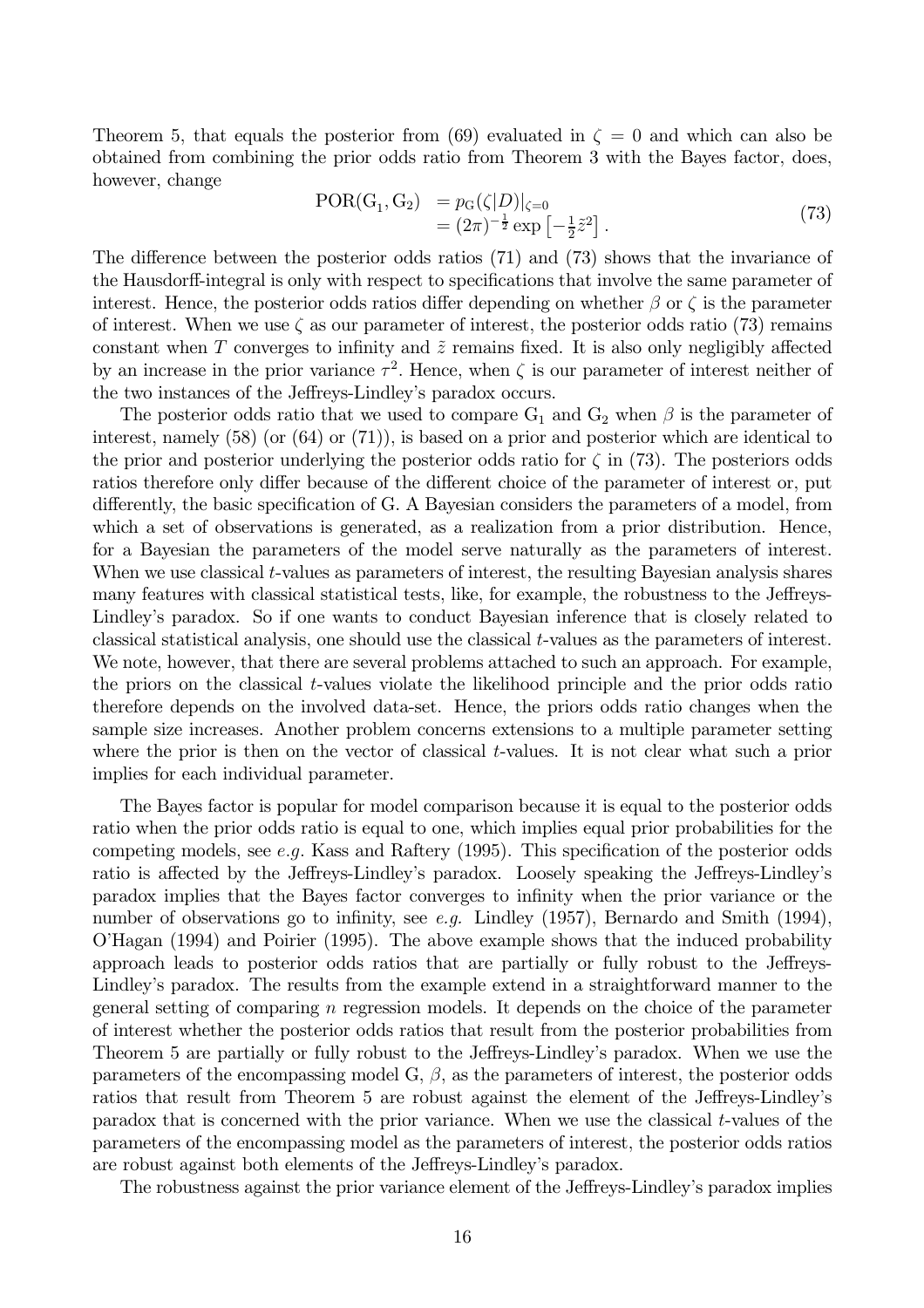Theorem 5, that equals the posterior from (69) evaluated in  $\zeta = 0$  and which can also be obtained from combining the prior odds ratio from Theorem 3 with the Bayes factor, does, however, change

$$
\begin{array}{ll} \text{POR}(G_1, G_2) &= p_G(\zeta|D)|_{\zeta=0} \\ &= (2\pi)^{-\frac{1}{2}} \exp\left[-\frac{1}{2}\tilde{z}^2\right]. \end{array} \tag{73}
$$

The difference between the posterior odds ratios  $(71)$  and  $(73)$  shows that the invariance of the Hausdorff-integral is only with respect to specifications that involve the same parameter of interest. Hence, the posterior odds ratios differ depending on whether  $\beta$  or  $\zeta$  is the parameter of interest. When we use  $\zeta$  as our parameter of interest, the posterior odds ratio (73) remains constant when T converges to infinity and  $\tilde{z}$  remains fixed. It is also only negligibly affected by an increase in the prior variance  $\tau^2$ . Hence, when  $\zeta$  is our parameter of interest neither of the two instances of the Jeffreys-Lindley's paradox occurs.

The posterior odds ratio that we used to compare  $G_1$  and  $G_2$  when  $\beta$  is the parameter of interest, namely  $(58)$  (or  $(64)$  or  $(71)$ ), is based on a prior and posterior which are identical to the prior and posterior underlying the posterior odds ratio for  $\zeta$  in (73). The posteriors odds ratios therefore only differ because of the different choice of the parameter of interest or, put differently, the basic specification of G. A Bayesian considers the parameters of a model, from which a set of observations is generated, as a realization from a prior distribution. Hence, for a Bayesian the parameters of the model serve naturally as the parameters of interest. When we use classical t-values as parameters of interest, the resulting Bayesian analysis shares many features with classical statistical tests, like, for example, the robustness to the Jeffreys-Lindley's paradox. So if one wants to conduct Bayesian inference that is closely related to classical statistical analysis, one should use the classical t-values as the parameters of interest. We note, however, that there are several problems attached to such an approach. For example, the priors on the classical t-values violate the likelihood principle and the prior odds ratio therefore depends on the involved data-set. Hence, the priors odds ratio changes when the sample size increases. Another problem concerns extensions to a multiple parameter setting where the prior is then on the vector of classical  $t$ -values. It is not clear what such a prior implies for each individual parameter.

The Bayes factor is popular for model comparison because it is equal to the posterior odds ratio when the prior odds ratio is equal to one, which implies equal prior probabilities for the competing models, see  $e.g.$  Kass and Raftery (1995). This specification of the posterior odds ratio is affected by the Jeffreys-Lindley's paradox. Loosely speaking the Jeffreys-Lindley's paradox implies that the Bayes factor converges to infinity when the prior variance or the number of observations go to infinity, see e.g. Lindley (1957), Bernardo and Smith (1994), O'Hagan (1994) and Poirier (1995). The above example shows that the induced probability approach leads to posterior odds ratios that are partially or fully robust to the Jeffreys-Lindley's paradox. The results from the example extend in a straightforward manner to the general setting of comparing  $n$  regression models. It depends on the choice of the parameter of interest whether the posterior odds ratios that result from the posterior probabilities from Theorem 5 are partially or fully robust to the Jeffreys-Lindley's paradox. When we use the parameters of the encompassing model G,  $\beta$ , as the parameters of interest, the posterior odds ration that result from Theorem 5 are robust against the element of the Jeffreys-Lindley's paradox that is concerned with the prior variance. When we use the classical t-values of the parameters of the encompassing model as the parameters of interest, the posterior odds ratios are robust against both elements of the Jeffreys-Lindley's paradox.

The robustness against the prior variance element of the Jeffreys-Lindley's paradox implies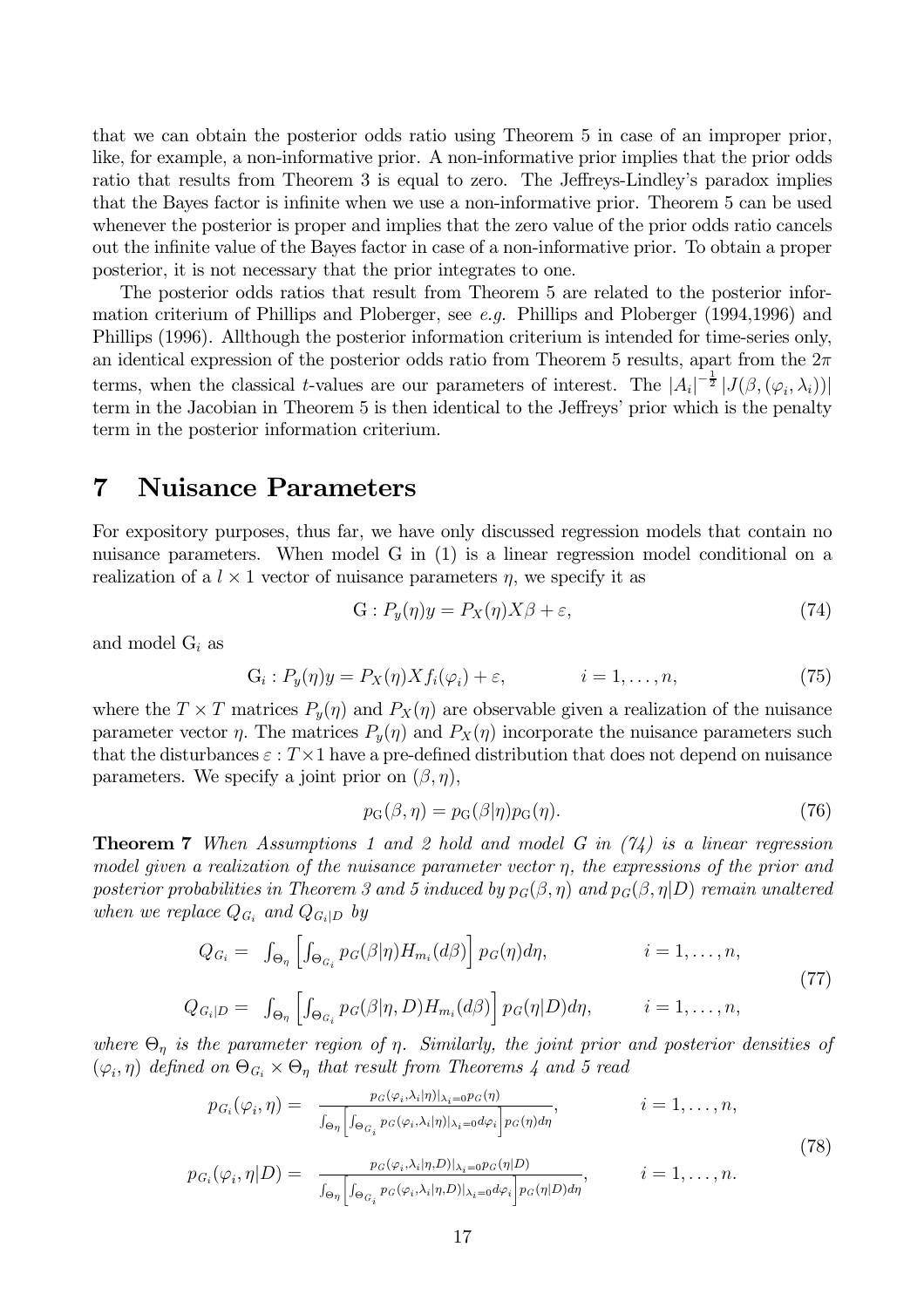that we can obtain the posterior odds ratio using Theorem 5 in case of an improper prior, like, for example, a non-informative prior. A non-informative prior implies that the prior odds ratio that results from Theorem 3 is equal to zero. The Jeffreys-Lindley's paradox implies that the Bayes factor is infinite when we use a non-informative prior. Theorem 5 can be used whenever the posterior is proper and implies that the zero value of the prior odds ratio cancels out the infinite value of the Bayes factor in case of a non-informative prior. To obtain a proper posterior, it is not necessary that the prior integrates to one.

The posterior odds ratios that result from Theorem 5 are related to the posterior information criterium of Phillips and Ploberger, see  $e.g.$  Phillips and Ploberger (1994,1996) and Phillips (1996). All though the posterior information criterium is intended for time-series only, an identical expression of the posterior odds ratio from Theorem 5 results, apart from the  $2\pi$ terms, when the classical *t*-values are our parameters of interest. The  $|A_i|^{-\frac{1}{2}} |J(\beta, (\varphi_i, \lambda_i))|$ term in the Jacobian in Theorem 5 is then identical to the Jeffreys' prior which is the penalty term in the posterior information criterium.

#### **Nuisance Parameters** 7

For expository purposes, thus far, we have only discussed regression models that contain no nuisance parameters. When model G in  $(1)$  is a linear regression model conditional on a realization of a  $l \times 1$  vector of nuisance parameters  $\eta$ , we specify it as

$$
G: P_y(\eta)y = P_X(\eta)X\beta + \varepsilon,\tag{74}
$$

and model  $G_i$  as

$$
G_i: P_y(\eta)y = P_X(\eta)Xf_i(\varphi_i) + \varepsilon, \qquad i = 1, \dots, n,
$$
\n(75)

where the  $T \times T$  matrices  $P_y(\eta)$  and  $P_X(\eta)$  are observable given a realization of the nuisance parameter vector  $\eta$ . The matrices  $P_y(\eta)$  and  $P_X(\eta)$  incorporate the nuisance parameters such that the disturbances  $\varepsilon$ :  $T \times 1$  have a pre-defined distribution that does not depend on nuisance parameters. We specify a joint prior on  $(\beta, \eta)$ ,

$$
p_{\mathcal{G}}(\beta, \eta) = p_{\mathcal{G}}(\beta|\eta)p_{\mathcal{G}}(\eta). \tag{76}
$$

**Theorem 7** When Assumptions 1 and 2 hold and model G in  $(74)$  is a linear regression model given a realization of the nuisance parameter vector  $\eta$ , the expressions of the prior and posterior probabilities in Theorem 3 and 5 induced by  $p_G(\beta, \eta)$  and  $p_G(\beta, \eta|D)$  remain unaltered when we replace  $Q_{G_i}$  and  $Q_{G_i|D}$  by

$$
Q_{G_i} = \int_{\Theta_{\eta}} \left[ \int_{\Theta_{G_i}} p_G(\beta | \eta) H_{m_i}(d\beta) \right] p_G(\eta) d\eta, \qquad i = 1, ..., n,
$$
  
\n
$$
Q_{G_i|D} = \int_{\Theta_{\eta}} \left[ \int_{\Theta_{G_i}} p_G(\beta | \eta, D) H_{m_i}(d\beta) \right] p_G(\eta | D) d\eta, \qquad i = 1, ..., n,
$$
\n(77)

where  $\Theta_n$  is the parameter region of  $\eta$ . Similarly, the joint prior and posterior densities of  $(\varphi_i, \eta)$  defined on  $\Theta_{G_i} \times \Theta_{\eta}$  that result from Theorems 4 and 5 read

$$
p_{G_i}(\varphi_i, \eta) = \frac{p_G(\varphi_i, \lambda_i | \eta) |_{\lambda_i=0} p_G(\eta)}{\int_{\Theta_{\eta}} \left[ \int_{\Theta_{G_i}} p_G(\varphi_i, \lambda_i | \eta) |_{\lambda_i=0} d\varphi_i \right] p_G(\eta) d\eta}, \qquad i = 1, ..., n,
$$
\n
$$
p_{G_i}(\varphi_i, \eta | D) = \frac{p_G(\varphi_i, \lambda_i | \eta, D) |_{\lambda_i=0} p_G(\eta | D)}{\int_{\Theta_{\eta}} \left[ \int_{\Theta_{G_i}} p_G(\varphi_i, \lambda_i | \eta, D) |_{\lambda_i=0} d\varphi_i \right] p_G(\eta | D) d\eta}, \qquad i = 1, ..., n.
$$
\n(78)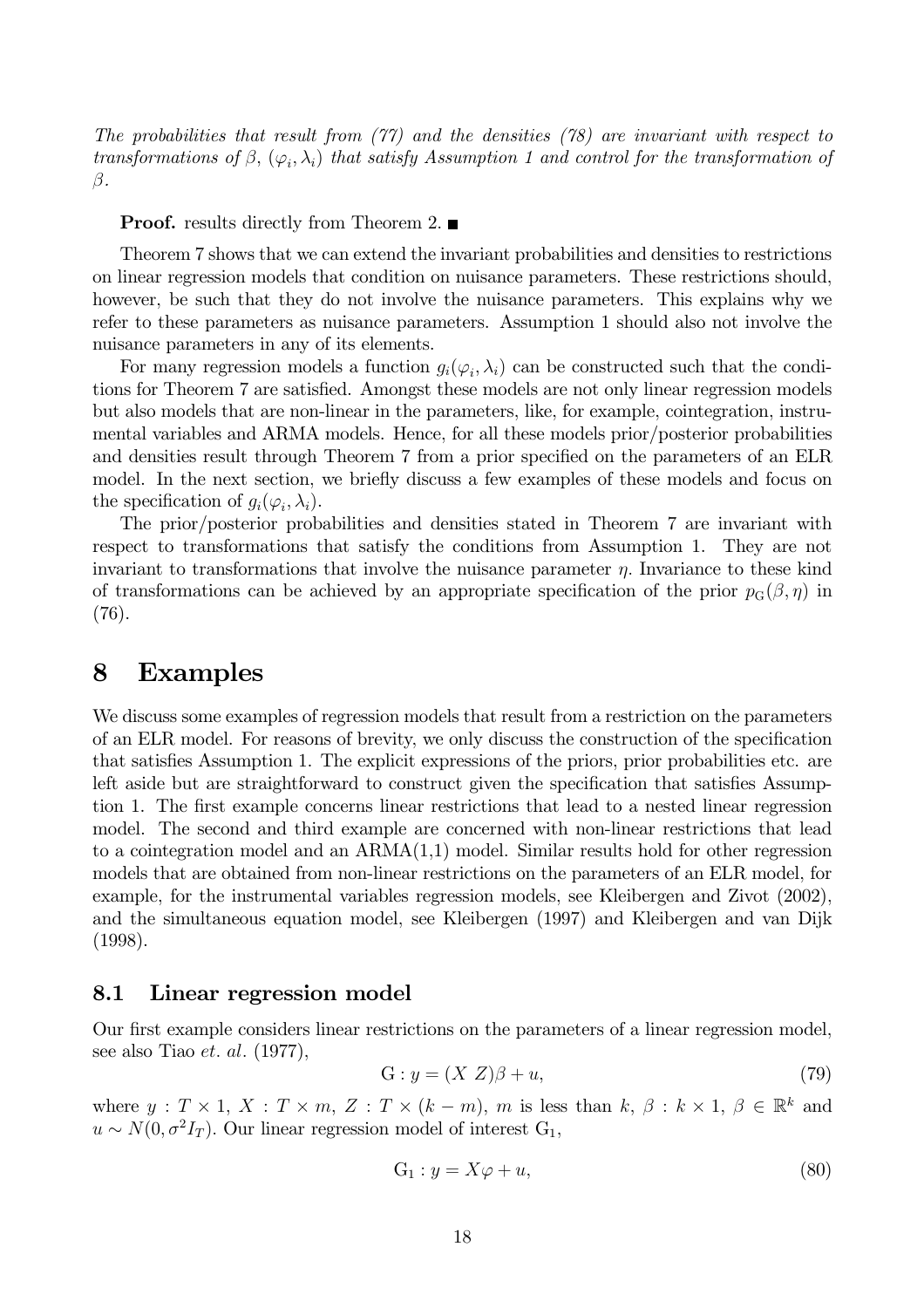The probabilities that result from  $(77)$  and the densities  $(78)$  are invariant with respect to transformations of  $\beta$ ,  $(\varphi_i, \lambda_i)$  that satisfy Assumption 1 and control for the transformation of  $\beta$ .

**Proof.** results directly from Theorem 2.  $\blacksquare$ 

Theorem 7 shows that we can extend the invariant probabilities and densities to restrictions on linear regression models that condition on nuisance parameters. These restrictions should, however, be such that they do not involve the nuisance parameters. This explains why we refer to these parameters as nuisance parameters. Assumption 1 should also not involve the nuisance parameters in any of its elements.

For many regression models a function  $g_i(\varphi_i, \lambda_i)$  can be constructed such that the conditions for Theorem 7 are satisfied. Amongst these models are not only linear regression models but also models that are non-linear in the parameters, like, for example, cointegration, instrumental variables and ARMA models. Hence, for all these models prior/posterior probabilities and densities result through Theorem 7 from a prior specified on the parameters of an ELR model. In the next section, we briefly discuss a few examples of these models and focus on the specification of  $g_i(\varphi_i, \lambda_i)$ .

The prior/posterior probabilities and densities stated in Theorem 7 are invariant with respect to transformations that satisfy the conditions from Assumption 1. They are not invariant to transformations that involve the nuisance parameter  $\eta$ . Invariance to these kind of transformations can be achieved by an appropriate specification of the prior  $p_G(\beta, \eta)$  in  $(76).$ 

#### **Examples** 8

We discuss some examples of regression models that result from a restriction on the parameters of an ELR model. For reasons of brevity, we only discuss the construction of the specification that satisfies Assumption 1. The explicit expressions of the priors, prior probabilities etc. are left aside but are straightforward to construct given the specification that satisfies Assumption 1. The first example concerns linear restrictions that lead to a nested linear regression model. The second and third example are concerned with non-linear restrictions that lead to a cointegration model and an  $ARMA(1,1)$  model. Similar results hold for other regression models that are obtained from non-linear restrictions on the parameters of an ELR model, for example, for the instrumental variables regression models, see Kleibergen and Zivot (2002), and the simultaneous equation model, see Kleibergen (1997) and Kleibergen and van Dijk  $(1998).$ 

#### Linear regression model 8.1

Our first example considers linear restrictions on the parameters of a linear regression model, see also Tiao *et. al.*  $(1977)$ ,

$$
G: y = (X Z)\beta + u,\tag{79}
$$

where  $y: T \times 1, X: T \times m, Z: T \times (k-m), m$  is less than  $k, \beta: k \times 1, \beta \in \mathbb{R}^k$  and  $u \sim N(0, \sigma^2 I_T)$ . Our linear regression model of interest  $G_1$ ,

$$
G_1: y = X\varphi + u,\tag{80}
$$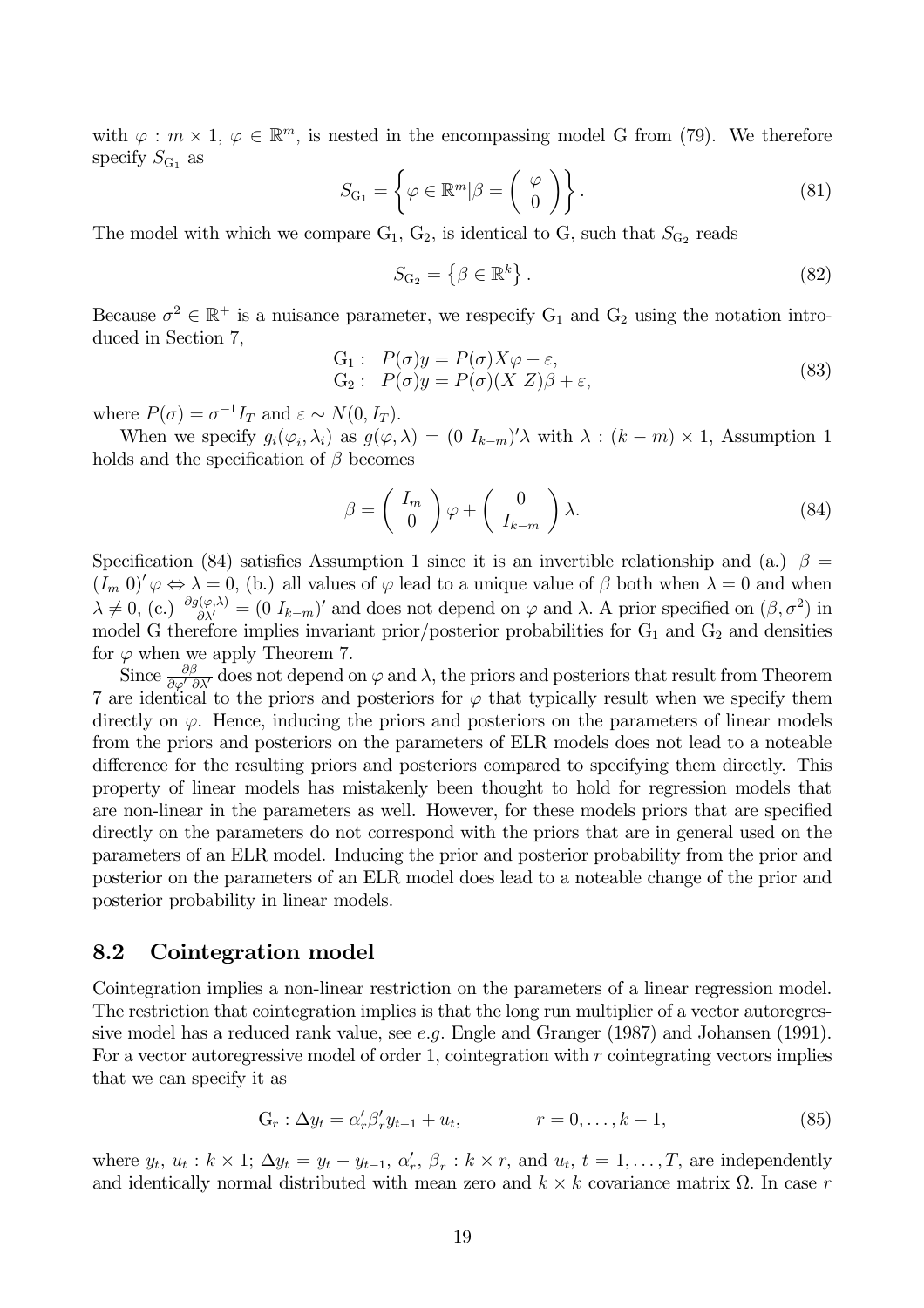with  $\varphi : m \times 1, \varphi \in \mathbb{R}^m$ , is nested in the encompassing model G from (79). We therefore specify  $S_{G_1}$  as

$$
S_{\mathcal{G}_1} = \left\{ \varphi \in \mathbb{R}^m | \beta = \left( \begin{array}{c} \varphi \\ 0 \end{array} \right) \right\}.
$$
 (81)

The model with which we compare  $G_1, G_2$ , is identical to G, such that  $S_{G_2}$  reads

$$
S_{\mathcal{G}_2} = \left\{ \beta \in \mathbb{R}^k \right\}.
$$
\n
$$
(82)
$$

Because  $\sigma^2 \in \mathbb{R}^+$  is a nuisance parameter, we respecify  $G_1$  and  $G_2$  using the notation introduced in Section 7.

$$
G_1: P(\sigma)y = P(\sigma)X\varphi + \varepsilon,G_2: P(\sigma)y = P(\sigma)(X Z)\beta + \varepsilon,
$$
\n(83)

where  $P(\sigma) = \sigma^{-1} I_T$  and  $\varepsilon \sim N(0, I_T)$ .

When we specify  $g_i(\varphi_i, \lambda_i)$  as  $g(\varphi, \lambda) = (0 I_{k-m})' \lambda$  with  $\lambda : (k-m) \times 1$ , Assumption 1 holds and the specification of  $\beta$  becomes

$$
\beta = \begin{pmatrix} I_m \\ 0 \end{pmatrix} \varphi + \begin{pmatrix} 0 \\ I_{k-m} \end{pmatrix} \lambda.
$$
 (84)

Specification (84) satisfies Assumption 1 since it is an invertible relationship and (a.)  $\beta =$  $(I_m 0)' \varphi \Leftrightarrow \lambda = 0$ , (b.) all values of  $\varphi$  lead to a unique value of  $\beta$  both when  $\lambda = 0$  and when  $\lambda \neq 0$ , (c.)  $\frac{\partial g(\varphi,\lambda)}{\partial \lambda'} = (0 I_{k-m})'$  and does not depend on  $\varphi$  and  $\lambda$ . A prior specified on  $(\beta, \sigma^2)$  in model  $G$  therefore implies invariant prior/posterior probabilities for  $G_1$  and  $G_2$  and densities for  $\varphi$  when we apply Theorem 7.<br>Since  $\frac{\partial \beta}{\partial \varphi' \partial \lambda'}$  does not depend on  $\varphi$  and  $\lambda$ , the priors and posteriors that result from Theorem

7 are identical to the priors and posteriors for  $\varphi$  that typically result when we specify them directly on  $\varphi$ . Hence, inducing the priors and posteriors on the parameters of linear models from the priors and posteriors on the parameters of ELR models does not lead to a noteable difference for the resulting priors and posteriors compared to specifying them directly. This property of linear models has mistakenly been thought to hold for regression models that are non-linear in the parameters as well. However, for these models priors that are specified directly on the parameters do not correspond with the priors that are in general used on the parameters of an ELR model. Inducing the prior and posterior probability from the prior and posterior on the parameters of an ELR model does lead to a noteable change of the prior and posterior probability in linear models.

#### 8.2 Cointegration model

Cointegration implies a non-linear restriction on the parameters of a linear regression model. The restriction that cointegration implies is that the long run multiplier of a vector autoregressive model has a reduced rank value, see e.g. Engle and Granger  $(1987)$  and Johansen  $(1991)$ . For a vector autoregressive model of order 1, cointegration with  $r$  cointegrating vectors implies that we can specify it as

$$
G_r: \Delta y_t = \alpha'_r \beta'_r y_{t-1} + u_t, \qquad r = 0, \dots, k-1,
$$
 (85)

where  $y_t$ ,  $u_t : k \times 1$ ;  $\Delta y_t = y_t - y_{t-1}$ ,  $\alpha'_r$ ,  $\beta_r : k \times r$ , and  $u_t$ ,  $t = 1, ..., T$ , are independently and identically normal distributed with mean zero and  $k \times k$  covariance matrix  $\Omega$ . In case r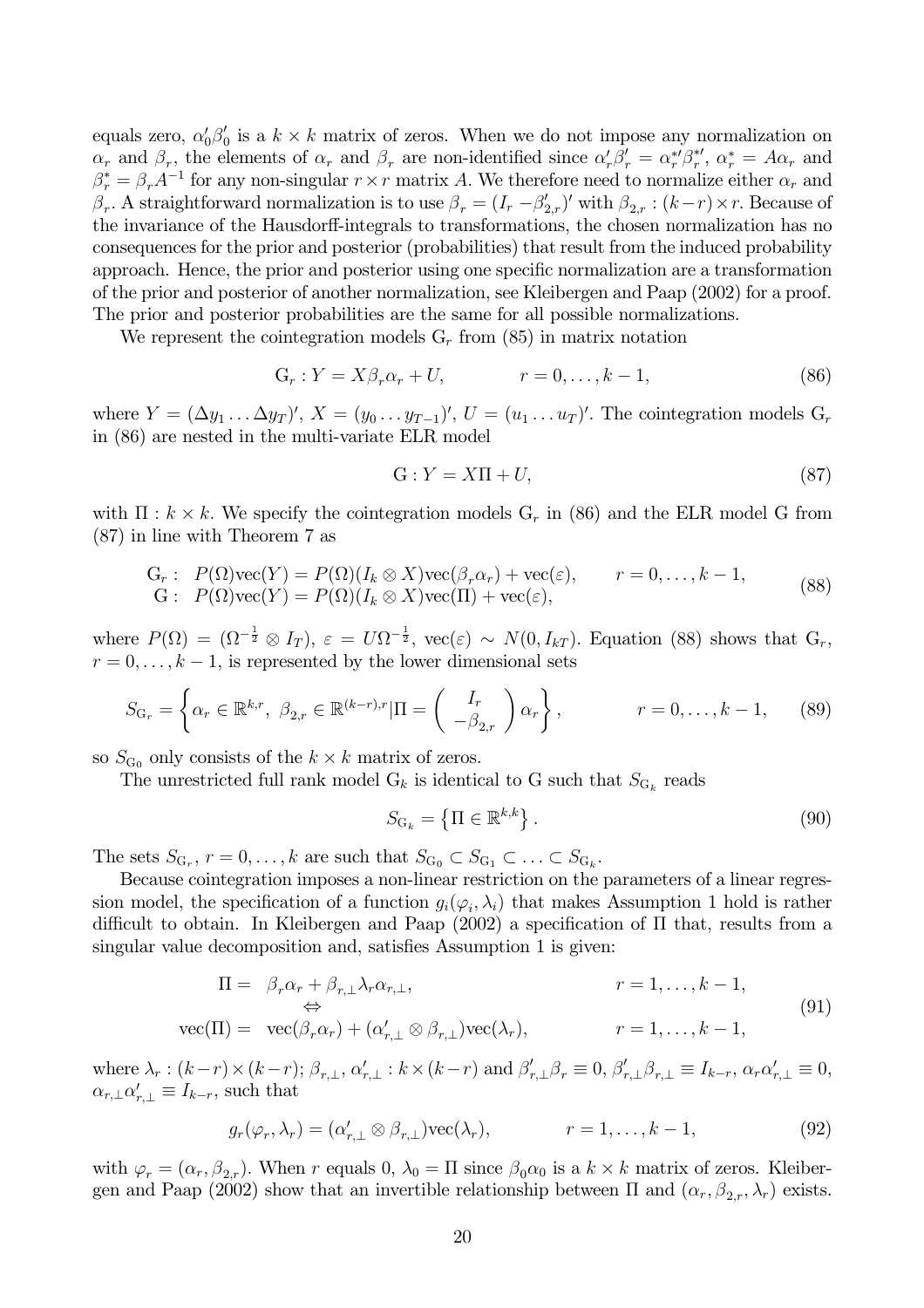equals zero,  $\alpha'_0\beta'_0$  is a  $k \times k$  matrix of zeros. When we do not impose any normalization on  $\alpha_r$  and  $\beta_r$ , the elements of  $\alpha_r$  and  $\beta_r$  are non-identified since  $\alpha'_r \beta'_r = \alpha^*_{r'} \beta^*_{r'}$ ,  $\alpha^*_{r} = A \alpha_r$  and  $\beta_r^* = \beta_r A^{-1}$  for any non-singular  $r \times r$  matrix A. We therefore need to normalize either  $\alpha_r$  and  $\beta_r$ . A straightforward normalization is to use  $\beta_r = (I_r - \beta'_{2,r})'$  with  $\beta_{2,r} : (k-r) \times r$ . Because of the invariance of the Hausdorff-integrals to transformations, the chosen normalization has no consequences for the prior and posterior (probabilities) that result from the induced probability approach. Hence, the prior and posterior using one specific normalization are a transformation of the prior and posterior of another normalization, see Kleibergen and Paap (2002) for a proof. The prior and posterior probabilities are the same for all possible normalizations.

We represent the cointegration models  $G_r$  from (85) in matrix notation

$$
G_r: Y = X\beta_r \alpha_r + U, \qquad r = 0, \dots, k - 1,\tag{86}
$$

where  $Y = (\Delta y_1 \dots \Delta y_T)'$ ,  $X = (y_0 \dots y_{T-1})'$ ,  $U = (u_1 \dots u_T)'$ . The cointegration models  $G_r$ in (86) are nested in the multi-variate ELR model

$$
G: Y = X\Pi + U,\tag{87}
$$

with  $\Pi : k \times k$ . We specify the cointegration models  $G_r$  in (86) and the ELR model G from  $(87)$  in line with Theorem 7 as

$$
G_r: P(\Omega)\text{vec}(Y) = P(\Omega)(I_k \otimes X)\text{vec}(\beta_r \alpha_r) + \text{vec}(\varepsilon), \qquad r = 0, \dots, k - 1,
$$
  
\n
$$
G: P(\Omega)\text{vec}(Y) = P(\Omega)(I_k \otimes X)\text{vec}(\Pi) + \text{vec}(\varepsilon),
$$
\n(88)

where  $P(\Omega) = (\Omega^{-\frac{1}{2}} \otimes I_T), \varepsilon = U \Omega^{-\frac{1}{2}}, \text{vec}(\varepsilon) \sim N(0, I_{kT}).$  Equation (88) shows that  $G_r$ ,  $r = 0, \ldots, k - 1$ , is represented by the lower dimensional sets

$$
S_{\mathcal{G}_r} = \left\{ \alpha_r \in \mathbb{R}^{k,r}, \ \beta_{2,r} \in \mathbb{R}^{(k-r),r} | \Pi = \begin{pmatrix} I_r \\ -\beta_{2,r} \end{pmatrix} \alpha_r \right\}, \qquad r = 0, \dots, k-1,
$$
 (89)

so  $S_{G_0}$  only consists of the  $k \times k$  matrix of zeros.

The unrestricted full rank model  $G_k$  is identical to G such that  $S_{G_k}$  reads

$$
S_{\mathcal{G}_k} = \left\{ \Pi \in \mathbb{R}^{k,k} \right\}.
$$
\n
$$
(90)
$$

The sets  $S_{G_r}$ ,  $r = 0, \ldots, k$  are such that  $S_{G_0} \subset S_{G_1} \subset \ldots \subset S_{G_k}$ .

Because cointegration imposes a non-linear restriction on the parameters of a linear regression model, the specification of a function  $g_i(\varphi_i, \lambda_i)$  that makes Assumption 1 hold is rather difficult to obtain. In Kleibergen and Paap  $(2002)$  a specification of  $\Pi$  that, results from a singular value decomposition and, satisfies Assumption 1 is given:

$$
\Pi = \beta_r \alpha_r + \beta_{r,\perp} \lambda_r \alpha_{r,\perp},
$$
\n
$$
\Leftrightarrow
$$
\n
$$
\text{vec}(\Pi) = \text{vec}(\beta_r \alpha_r) + (\alpha'_{r,\perp} \otimes \beta_{r,\perp}) \text{vec}(\lambda_r),
$$
\n
$$
r = 1, \dots, k - 1,
$$
\n(91)

where  $\lambda_r$ :  $(k-r) \times (k-r)$ ;  $\beta_{r,\perp}$ ,  $\alpha'_{r,\perp}$ :  $k \times (k-r)$  and  $\beta'_{r,\perp} \beta_r \equiv 0$ ,  $\beta'_{r,\perp} \beta_{r,\perp} \equiv I_{k-r}$ ,  $\alpha_r \alpha'_{r,\perp} \equiv 0$ ,  $\alpha_{r,\perp} \alpha'_{r,\perp} \equiv I_{k-r}$ , such that

$$
g_r(\varphi_r, \lambda_r) = (\alpha'_{r,\perp} \otimes \beta_{r,\perp}) \text{vec}(\lambda_r), \qquad r = 1, \dots, k-1,
$$
\n(92)

with  $\varphi_r = (\alpha_r, \beta_{2,r})$ . When r equals 0,  $\lambda_0 = \Pi$  since  $\beta_0 \alpha_0$  is a  $k \times k$  matrix of zeros. Kleibergen and Paap (2002) show that an invertible relationship between  $\Pi$  and  $(\alpha_r, \beta_{2r}, \lambda_r)$  exists.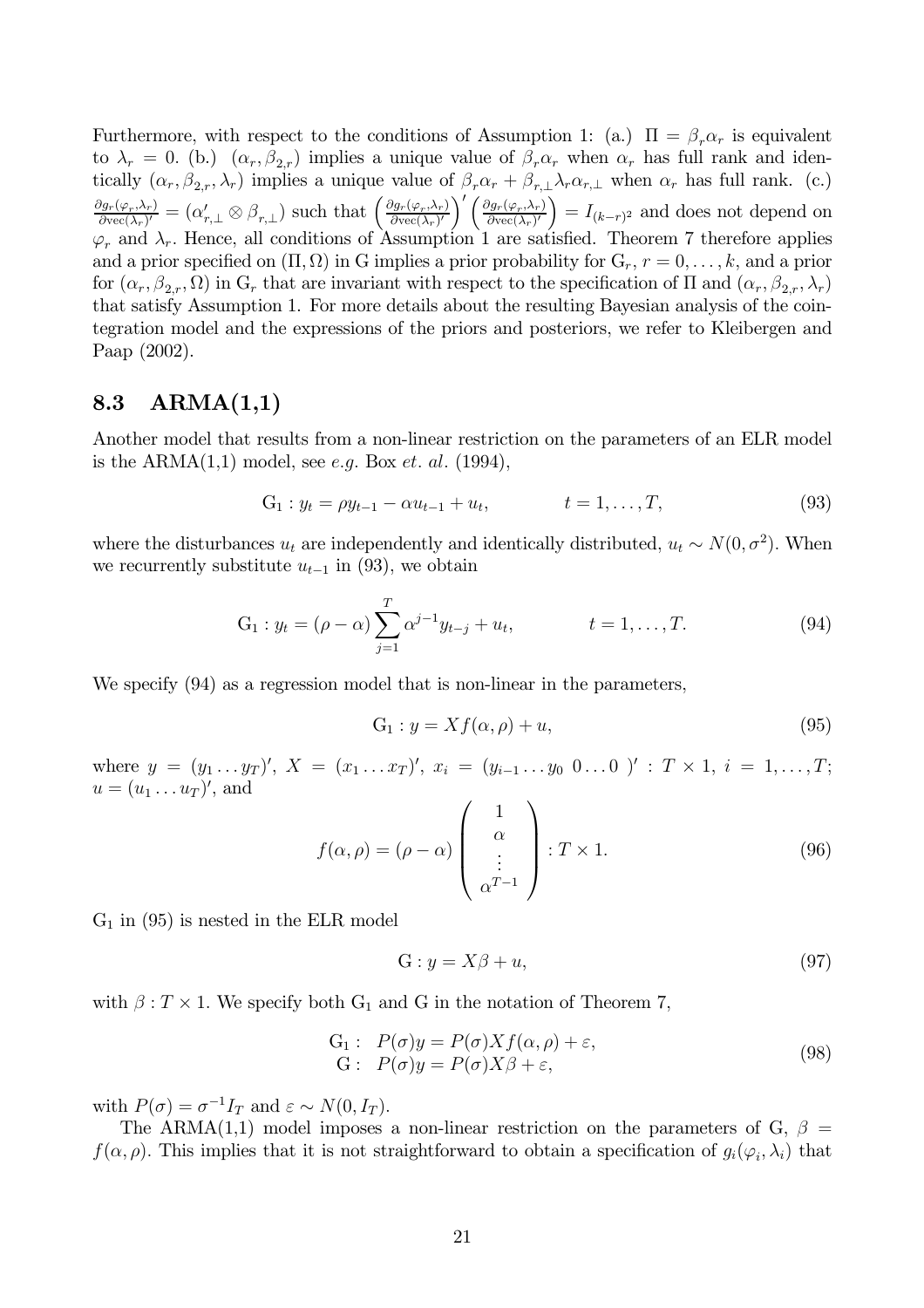Furthermore, with respect to the conditions of Assumption 1: (a.)  $\Pi = \beta_r \alpha_r$  is equivalent to  $\lambda_r = 0$ . (b.)  $(\alpha_r, \beta_{2,r})$  implies a unique value of  $\beta_r \alpha_r$  when  $\alpha_r$  has full rank and identically  $(\alpha_r, \beta_{2,r}, \lambda_r)$  implies a unique value of  $\beta_r \alpha_r + \beta_{r,\perp} \lambda_r \alpha_{r,\perp}$  when  $\alpha_r$  has full rank. (c.)  $\frac{\partial g_r(\varphi_r,\lambda_r)}{\partial \text{vec}(\lambda_r)'} = (\alpha'_{r,\perp} \otimes \beta_{r,\perp})$  such that  $\left(\frac{\partial g_r(\varphi_r,\lambda_r)}{\partial \text{vec}(\lambda_r)'}\right)' \left(\frac{\partial g_r(\varphi_r,\lambda_r)}{\partial \text{vec}(\lambda_r)'}\right) = I_{(k-r)^2}$  and does not depend on  $\varphi_r$  and  $\lambda_r$ . Hence, all conditions of Assumption 1 are sati and a prior specified on  $(\Pi, \Omega)$  in G implies a prior probability for  $G_r$ ,  $r = 0, \ldots, k$ , and a prior for  $(\alpha_r, \beta_{2,r}, \Omega)$  in G<sub>r</sub> that are invariant with respect to the specification of  $\Pi$  and  $(\alpha_r, \beta_{2,r}, \lambda_r)$ that satisfy Assumption 1. For more details about the resulting Bayesian analysis of the cointegration model and the expressions of the priors and posteriors, we refer to Kleibergen and Paap  $(2002)$ .

#### 8.3  $ARMA(1,1)$

Another model that results from a non-linear restriction on the parameters of an ELR model is the ARMA $(1,1)$  model, see e.g. Box et. al. (1994),

$$
G_1: y_t = \rho y_{t-1} - \alpha u_{t-1} + u_t, \qquad t = 1, \dots, T,
$$
\n(93)

where the disturbances  $u_t$  are independently and identically distributed,  $u_t \sim N(0, \sigma^2)$ . When we recurrently substitute  $u_{t-1}$  in (93), we obtain

$$
G_1: y_t = (\rho - \alpha) \sum_{j=1}^T \alpha^{j-1} y_{t-j} + u_t, \qquad t = 1, ..., T.
$$
 (94)

We specify  $(94)$  as a regression model that is non-linear in the parameters,

$$
G_1: y = Xf(\alpha, \rho) + u,\tag{95}
$$

where  $y = (y_1 \ldots y_T)'$ ,  $X = (x_1 \ldots x_T)'$ ,  $x_i = (y_{i-1} \ldots y_0 \ 0 \ldots 0)'$ :  $T \times 1$ ,  $i = 1, \ldots, T$ ;  $u=(u_1 \ldots u_T)'$ , and

$$
f(\alpha, \rho) = (\rho - \alpha) \begin{pmatrix} 1 \\ \alpha \\ \vdots \\ \alpha^{T-1} \end{pmatrix} : T \times 1.
$$
 (96)

 $G_1$  in (95) is nested in the ELR model

$$
G: y = X\beta + u,\tag{97}
$$

with  $\beta$ :  $T \times 1$ . We specify both G<sub>1</sub> and G in the notation of Theorem 7,

$$
G_1: P(\sigma)y = P(\sigma)Xf(\alpha, \rho) + \varepsilon,G: P(\sigma)y = P(\sigma)X\beta + \varepsilon,
$$
\n(98)

with  $P(\sigma) = \sigma^{-1} I_T$  and  $\varepsilon \sim N(0, I_T)$ .

The ARMA(1,1) model imposes a non-linear restriction on the parameters of G,  $\beta$  =  $f(\alpha,\rho)$ . This implies that it is not straightforward to obtain a specification of  $g_i(\varphi_i,\lambda_i)$  that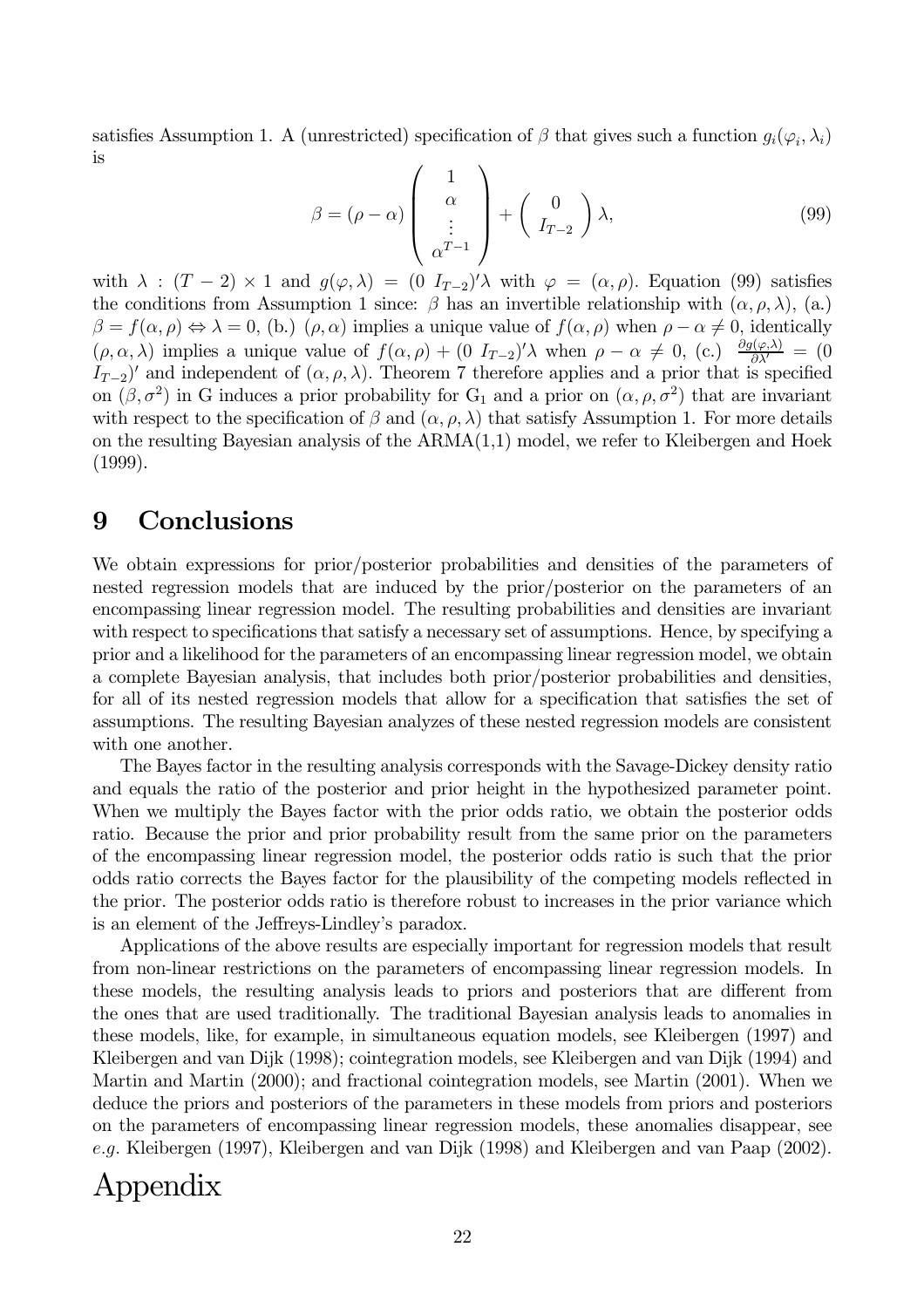satisfies Assumption 1. A (unrestricted) specification of  $\beta$  that gives such a function  $g_i(\varphi_i, \lambda_i)$ is

$$
\beta = (\rho - \alpha) \begin{pmatrix} 1 \\ \alpha \\ \vdots \\ \alpha^{T-1} \end{pmatrix} + \begin{pmatrix} 0 \\ I_{T-2} \end{pmatrix} \lambda, \tag{99}
$$

with  $\lambda : (T-2) \times 1$  and  $g(\varphi, \lambda) = (0 I_{T-2})'\lambda$  with  $\varphi = (\alpha, \rho)$ . Equation (99) satisfies the conditions from Assumption 1 since:  $\beta$  has an invertible relationship with  $(\alpha, \rho, \lambda)$ , (a.)  $\beta = f(\alpha, \rho) \Leftrightarrow \lambda = 0$ , (b.)  $(\rho, \alpha)$  implies a unique value of  $f(\alpha, \rho)$  when  $\rho - \alpha \neq 0$ , identically  $(\rho, \alpha, \lambda)$  implies a unique value of  $f(\alpha, \rho) + (0 I_{T-2})' \lambda$  when  $\rho - \alpha \neq 0$ , (c.)  $\frac{\partial g(\varphi, \lambda)}{\partial \lambda'} = (0 I_{T-2})'$  and independent of  $(\alpha, \rho, \lambda)$ . Theorem 7 therefore applies and a prior that is specified on  $(\beta, \sigma^2)$  in G induces a prior probability for G<sub>1</sub> and a prior on  $(\alpha, \rho, \sigma^2)$  that are invariant with respect to the specification of  $\beta$  and  $(\alpha, \rho, \lambda)$  that satisfy Assumption 1. For more details on the resulting Bayesian analysis of the  $ARMA(1,1)$  model, we refer to Kleibergen and Hoek  $(1999).$ 

#### Conclusions 9

We obtain expressions for prior/posterior probabilities and densities of the parameters of nested regression models that are induced by the prior/posterior on the parameters of an encompassing linear regression model. The resulting probabilities and densities are invariant with respect to specifications that satisfy a necessary set of assumptions. Hence, by specifying a prior and a likelihood for the parameters of an encompassing linear regression model, we obtain a complete Bayesian analysis, that includes both prior/posterior probabilities and densities, for all of its nested regression models that allow for a specification that satisfies the set of assumptions. The resulting Bayesian analyzes of these nested regression models are consistent with one another.

The Bayes factor in the resulting analysis corresponds with the Savage-Dickey density ratio and equals the ratio of the posterior and prior height in the hypothesized parameter point. When we multiply the Bayes factor with the prior odds ratio, we obtain the posterior odds ratio. Because the prior and prior probability result from the same prior on the parameters of the encompassing linear regression model, the posterior odds ratio is such that the prior odds ratio corrects the Bayes factor for the plausibility of the competing models reflected in the prior. The posterior odds ratio is therefore robust to increases in the prior variance which is an element of the Jeffreys-Lindley's paradox.

Applications of the above results are especially important for regression models that result from non-linear restrictions on the parameters of encompassing linear regression models. In these models, the resulting analysis leads to priors and posteriors that are different from the ones that are used traditionally. The traditional Bayesian analysis leads to anomalies in these models, like, for example, in simultaneous equation models, see Kleibergen (1997) and Kleibergen and van Dijk (1998); cointegration models, see Kleibergen and van Dijk (1994) and Martin and Martin (2000); and fractional cointegration models, see Martin (2001). When we deduce the priors and posteriors of the parameters in these models from priors and posteriors on the parameters of encompassing linear regression models, these anomalies disappear, see e.g. Kleibergen (1997), Kleibergen and van Dijk (1998) and Kleibergen and van Paap (2002).

## Appendix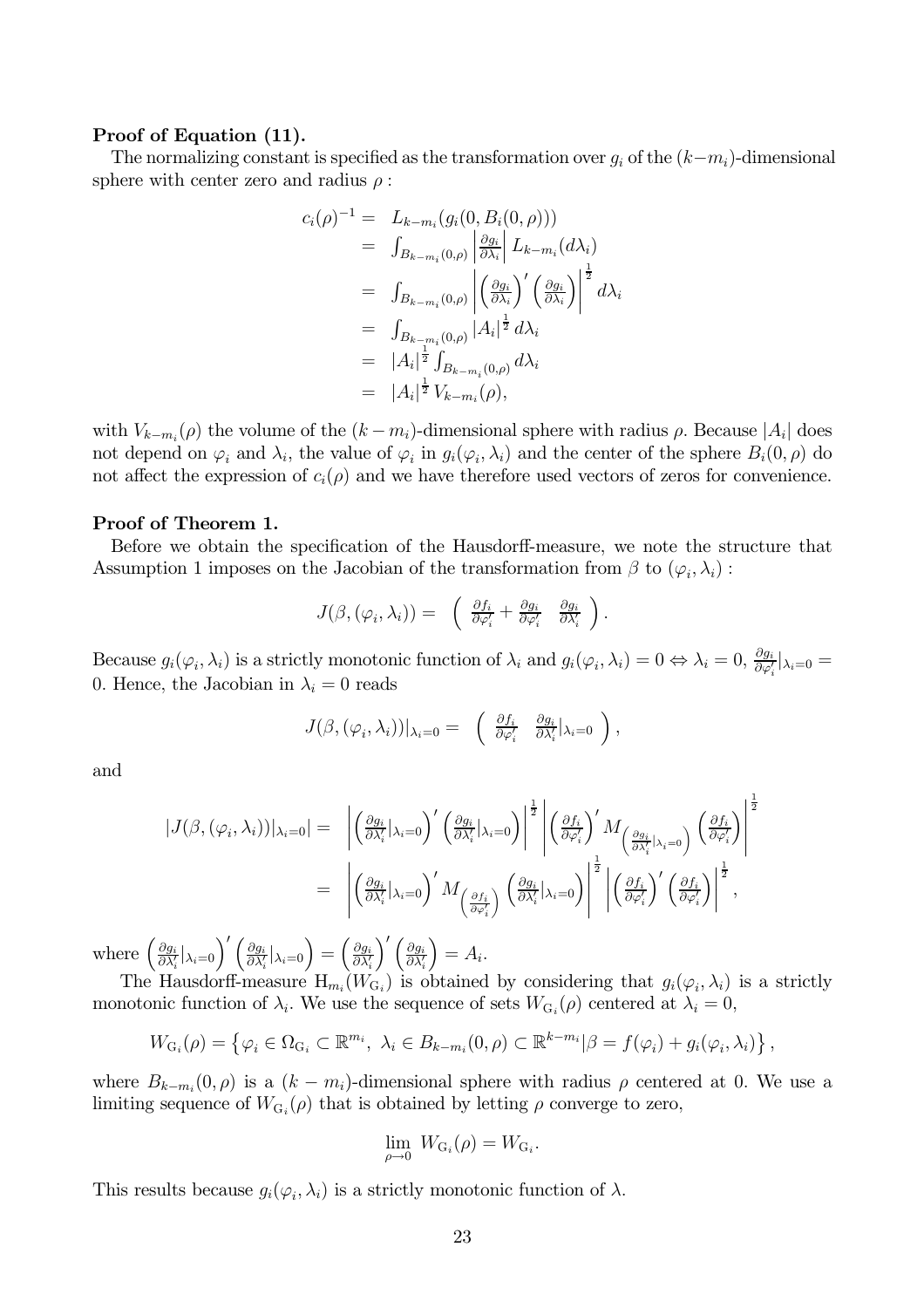## Proof of Equation (11).

The normalizing constant is specified as the transformation over  $g_i$  of the  $(k-m_i)$ -dimensional sphere with center zero and radius  $\rho$ :

$$
c_i(\rho)^{-1} = L_{k-m_i}(g_i(0, B_i(0, \rho)))
$$
  
\n
$$
= \int_{B_{k-m_i}(0, \rho)} \left| \frac{\partial g_i}{\partial \lambda_i} \right| L_{k-m_i}(d\lambda_i)
$$
  
\n
$$
= \int_{B_{k-m_i}(0, \rho)} \left| \left( \frac{\partial g_i}{\partial \lambda_i} \right)' \left( \frac{\partial g_i}{\partial \lambda_i} \right) \right|^{\frac{1}{2}} d\lambda_i
$$
  
\n
$$
= \int_{B_{k-m_i}(0, \rho)} |A_i|^{\frac{1}{2}} d\lambda_i
$$
  
\n
$$
= |A_i|^{\frac{1}{2}} \int_{B_{k-m_i}(0, \rho)} d\lambda_i
$$
  
\n
$$
= |A_i|^{\frac{1}{2}} V_{k-m_i}(\rho),
$$

with  $V_{k-m_i}(\rho)$  the volume of the  $(k-m_i)$ -dimensional sphere with radius  $\rho$ . Because  $|A_i|$  does not depend on  $\varphi_i$  and  $\lambda_i$ , the value of  $\varphi_i$  in  $g_i(\varphi_i, \lambda_i)$  and the center of the sphere  $B_i(0, \rho)$  do not affect the expression of  $c_i(\rho)$  and we have therefore used vectors of zeros for convenience.

### Proof of Theorem 1.

Before we obtain the specification of the Hausdorff-measure, we note the structure that Assumption 1 imposes on the Jacobian of the transformation from  $\beta$  to  $(\varphi_i, \lambda_i)$ :

$$
J(\beta,(\varphi_i,\lambda_i)) = \left(\begin{array}{cc} \frac{\partial f_i}{\partial \varphi'_i} + \frac{\partial g_i}{\partial \varphi'_i} & \frac{\partial g_i}{\partial \lambda'_i} \end{array}\right)
$$

Because  $g_i(\varphi_i, \lambda_i)$  is a strictly monotonic function of  $\lambda_i$  and  $g_i(\varphi_i, \lambda_i) = 0 \Leftrightarrow \lambda_i = 0$ ,  $\frac{\partial g_i}{\partial \varphi'_i} |_{\lambda_i = 0} =$ 0. Hence, the Jacobian in  $\lambda_i = 0$  reads

$$
J(\beta,(\varphi_i,\lambda_i))|_{\lambda_i=0}=\left(\begin{array}{cc}\frac{\partial f_i}{\partial \varphi'_i}&\frac{\partial g_i}{\partial \lambda'_i}|_{\lambda_i=0}\end{array}\right),\,
$$

and

$$
|J(\beta,(\varphi_i,\lambda_i))|_{\lambda_i=0}| = \left| \left(\frac{\partial g_i}{\partial \lambda_i'}|_{\lambda_i=0}\right)' \left(\frac{\partial g_i}{\partial \lambda_i'}|_{\lambda_i=0}\right) \right|^{\frac{1}{2}} \left| \left(\frac{\partial f_i}{\partial \varphi_i'}\right)' M_{\left(\frac{\partial g_i}{\partial \lambda_i'}|_{\lambda_i=0}\right)} \left(\frac{\partial f_i}{\partial \varphi_i'}\right) \right|^{\frac{1}{2}} \right|
$$
  

$$
= \left| \left(\frac{\partial g_i}{\partial \lambda_i'}|_{\lambda_i=0}\right)' M_{\left(\frac{\partial f_i}{\partial \varphi_i'}\right)} \left(\frac{\partial g_i}{\partial \lambda_i'}|_{\lambda_i=0}\right) \right|^{\frac{1}{2}} \left| \left(\frac{\partial f_i}{\partial \varphi_i'}\right)' \left(\frac{\partial f_i}{\partial \varphi_i'}\right) \right|^{\frac{1}{2}},
$$

where  $\left(\frac{\partial g_i}{\partial \lambda'_i} |_{\lambda_i=0}\right)' \left(\frac{\partial g_i}{\partial \lambda'_i} |_{\lambda_i=0}\right) = \left(\frac{\partial g_i}{\partial \lambda'_i}\right)' \left(\frac{\partial g_i}{\partial \lambda'_i}\right) = A_i.$ 

The Hausdorff-measure  $H_{m_i}(W_{G_i})$  is obtained by considering that  $g_i(\varphi_i, \lambda_i)$  is a strictly monotonic function of  $\lambda_i$ . We use the sequence of sets  $W_{G_i}(\rho)$  centered at  $\lambda_i = 0$ ,

$$
W_{G_i}(\rho) = \left\{ \varphi_i \in \Omega_{G_i} \subset \mathbb{R}^{m_i}, \ \lambda_i \in B_{k-m_i}(0, \rho) \subset \mathbb{R}^{k-m_i} | \beta = f(\varphi_i) + g_i(\varphi_i, \lambda_i) \right\},\
$$

where  $B_{k-m_i}(0,\rho)$  is a  $(k-m_i)$ -dimensional sphere with radius  $\rho$  centered at 0. We use a limiting sequence of  $W_{G_i}(\rho)$  that is obtained by letting  $\rho$  converge to zero,

$$
\lim_{\rho \to 0} W_{G_i}(\rho) = W_{G_i}.
$$

This results because  $g_i(\varphi_i, \lambda_i)$  is a strictly monotonic function of  $\lambda$ .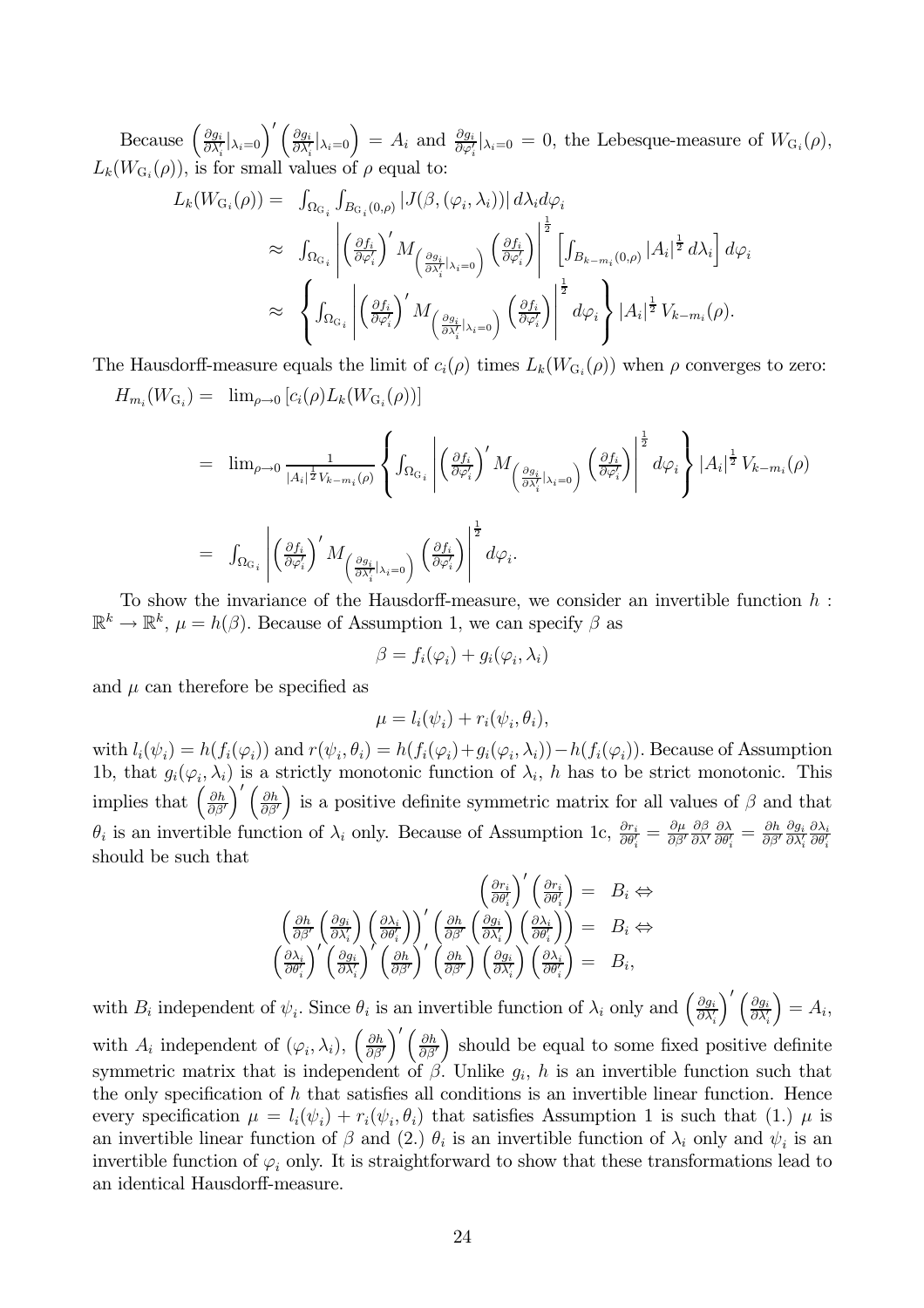Because  $\left(\frac{\partial g_i}{\partial \lambda'_i} |_{\lambda_i=0}\right)' \left(\frac{\partial g_i}{\partial \lambda'_i} |_{\lambda_i=0}\right) = A_i$  and  $\frac{\partial g_i}{\partial \varphi'_i} |_{\lambda_i=0} = 0$ , the Lebesque-measure of  $W_{G_i}(\rho)$ ,  $L_k(W_{G_i}(\rho))$ , is for small values of  $\rho$  equal to:

$$
L_k(W_{G_i}(\rho)) = \int_{\Omega_{G_i}} \int_{B_{G_i}(0,\rho)} |J(\beta, (\varphi_i, \lambda_i))| d\lambda_i d\varphi_i
$$
  
\n
$$
\approx \int_{\Omega_{G_i}} \left| \left( \frac{\partial f_i}{\partial \varphi'_i} \right)' M_{\left( \frac{\partial g_i}{\partial \lambda'_i} |_{\lambda_i = 0} \right)} \left( \frac{\partial f_i}{\partial \varphi'_i} \right) \right|^{\frac{1}{2}} \left[ \int_{B_{k-m_i}(0,\rho)} |A_i|^{\frac{1}{2}} d\lambda_i \right] d\varphi_i
$$
  
\n
$$
\approx \left\{ \int_{\Omega_{G_i}} \left| \left( \frac{\partial f_i}{\partial \varphi'_i} \right)' M_{\left( \frac{\partial g_i}{\partial \lambda'_i} |_{\lambda_i = 0} \right)} \left( \frac{\partial f_i}{\partial \varphi'_i} \right) \right|^{\frac{1}{2}} d\varphi_i \right\} |A_i|^{\frac{1}{2}} V_{k-m_i}(\rho).
$$

The Hausdorff-measure equals the limit of  $c_i(\rho)$  times  $L_k(W_{G_i}(\rho))$  when  $\rho$  converges to zero:  $H_{m_i}(W_{G_i}) = \lim_{\rho \to 0} [c_i(\rho) L_k(W_{G_i}(\rho))]$ 

$$
= \lim_{\rho \to 0} \frac{1}{|A_i|^{\frac{1}{2}} V_{k-m_i}(\rho)} \left\{ \int_{\Omega_{G_i}} \left| \left( \frac{\partial f_i}{\partial \varphi'_i} \right)' M_{\left( \frac{\partial g_i}{\partial \lambda'_i} | \lambda_i = 0 \right)} \left( \frac{\partial f_i}{\partial \varphi'_i} \right) \right|^{\frac{1}{2}} d\varphi_i \right\} |A_i|^{\frac{1}{2}} V_{k-m_i}(\rho)
$$
  

$$
= \int_{\Omega_{G_i}} \left| \left( \frac{\partial f_i}{\partial \varphi'_i} \right)' M_{\left( \frac{\partial g_i}{\partial \lambda'_i} | \lambda_i = 0 \right)} \left( \frac{\partial f_i}{\partial \varphi'_i} \right) \right|^{\frac{1}{2}} d\varphi_i.
$$

To show the invariance of the Hausdorff-measure, we consider an invertible function  $h$ :  $\mathbb{R}^k \to \mathbb{R}^k$ ,  $\mu = h(\beta)$ . Because of Assumption 1, we can specify  $\beta$  as

$$
\beta = f_i(\varphi_i) + g_i(\varphi_i, \lambda_i)
$$

and  $\mu$  can therefore be specified as

$$
\mu = l_i(\psi_i) + r_i(\psi_i, \theta_i),
$$

with  $l_i(\psi_i) = h(f_i(\varphi_i))$  and  $r(\psi_i, \theta_i) = h(f_i(\varphi_i) + g_i(\varphi_i, \lambda_i)) - h(f_i(\varphi_i))$ . Because of Assumption 1b, that  $g_i(\varphi_i, \lambda_i)$  is a strictly monotonic function of  $\lambda_i$ , h has to be strict monotonic. This implies that  $\left(\frac{\partial h}{\partial \beta'}\right)' \left(\frac{\partial h}{\partial \beta'}\right)$  is a positive definite symmetric matrix for all values of  $\beta$  and that  $\theta_i$  is an invertible function of  $\lambda_i$  only. Because of Assumption 1c,  $\frac{\partial r_i}{\partial \theta'_i} = \frac{\partial \mu}{\partial \beta'}$ should be such that

$$
\begin{array}{rcl}\n\left(\frac{\partial r_i}{\partial \theta'_i}\right)' \left(\frac{\partial r_i}{\partial \theta'_i}\right) &=& B_i \Leftrightarrow \\
\left(\frac{\partial h}{\partial \beta'} \left(\frac{\partial g_i}{\partial \lambda'_i}\right) \left(\frac{\partial \lambda_i}{\partial \theta'_i}\right)\right)' \left(\frac{\partial h}{\partial \beta'} \left(\frac{\partial g_i}{\partial \lambda'_i}\right) \left(\frac{\partial \lambda_i}{\partial \theta'_i}\right)\right) &=& B_i \Leftrightarrow \\
\left(\frac{\partial \lambda_i}{\partial \theta'_i}\right)' \left(\frac{\partial g_i}{\partial \lambda'_i}\right)' \left(\frac{\partial h}{\partial \beta'}\right)' \left(\frac{\partial h}{\partial \beta'}\right) \left(\frac{\partial g_i}{\partial \lambda'_i}\right) \left(\frac{\partial \lambda_i}{\partial \theta'_i}\right) &=& B_i,\n\end{array}
$$

with  $B_i$  independent of  $\psi_i$ . Since  $\theta_i$  is an invertible function of  $\lambda_i$  only and  $\left(\frac{\partial g_i}{\partial \lambda_i'}\right)' \left(\frac{\partial g_i}{\partial \lambda_i'}\right) = A_i$ , with  $A_i$  independent of  $(\varphi_i, \lambda_i)$ ,  $\left(\frac{\partial h}{\partial \beta'}\right)' \left(\frac{\partial h}{\partial \beta'}\right)$  should be equal to some fixed positive definite symmetric matrix that is independent of  $\beta$ . Unlike  $g_i$ , h is an invertible function such that the only specification of  $h$  that satisfies all conditions is an invertible linear function. Hence every specification  $\mu = l_i(\psi_i) + r_i(\psi_i, \theta_i)$  that satisfies Assumption 1 is such that (1.)  $\mu$  is an invertible linear function of  $\beta$  and (2.)  $\theta_i$  is an invertible function of  $\lambda_i$  only and  $\psi_i$  is an invertible function of  $\varphi_i$  only. It is straightforward to show that these transformations lead to an identical Hausdorff-measure.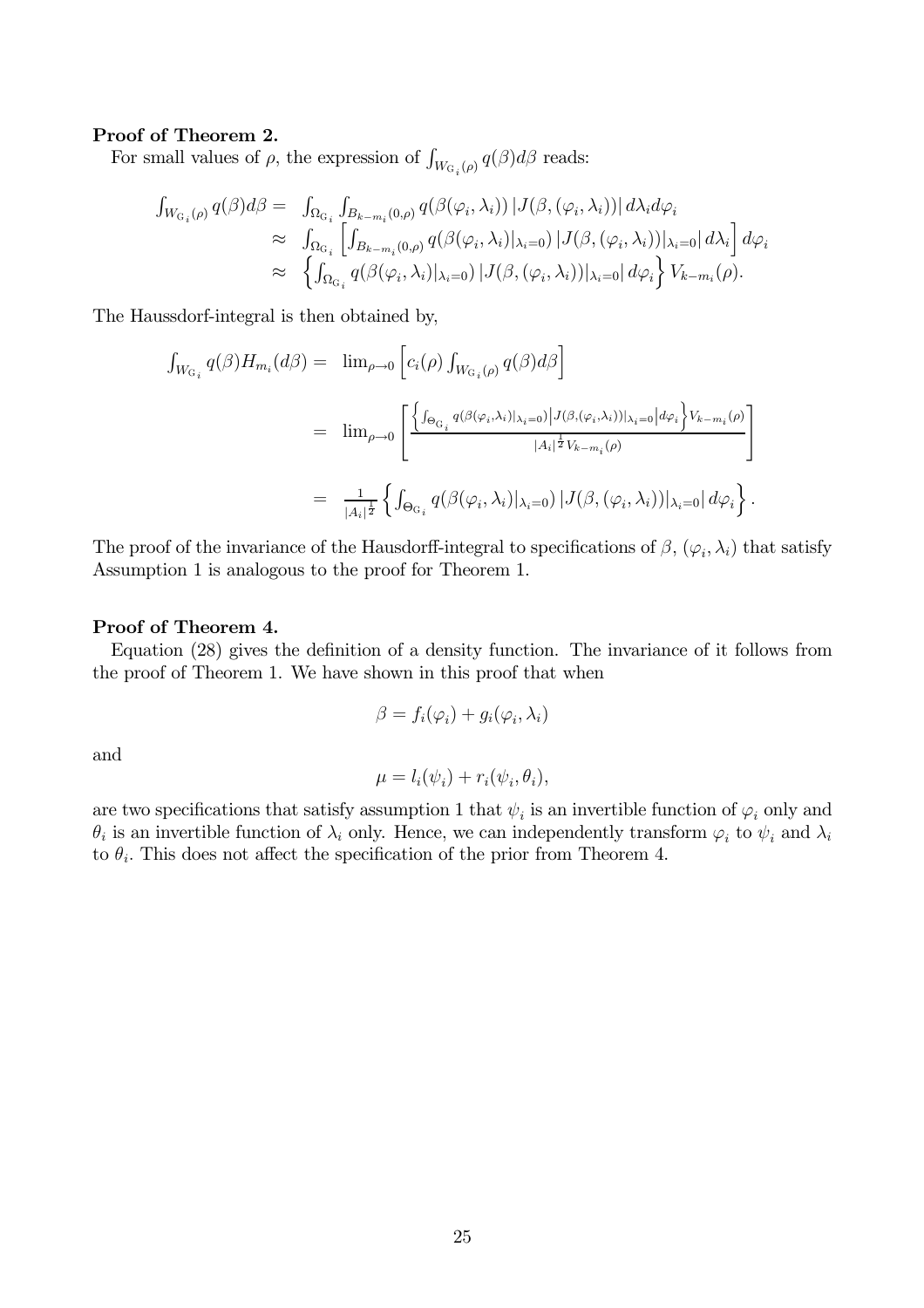## Proof of Theorem 2.

For small values of  $\rho$ , the expression of  $\int_{W_{\text{G}_i}(\rho)} q(\beta) d\beta$  reads:

$$
\int_{W_{G_i}(\rho)} q(\beta) d\beta = \int_{\Omega_{G_i}} \int_{B_{k-m_i}(0,\rho)} q(\beta(\varphi_i, \lambda_i)) |J(\beta, (\varphi_i, \lambda_i))| d\lambda_i d\varphi_i
$$
  
\n
$$
\approx \int_{\Omega_{G_i}} \left[ \int_{B_{k-m_i}(0,\rho)} q(\beta(\varphi_i, \lambda_i)|_{\lambda_i=0}) |J(\beta, (\varphi_i, \lambda_i))|_{\lambda_i=0} |d\lambda_i \right] d\varphi_i
$$
  
\n
$$
\approx \left\{ \int_{\Omega_{G_i}} q(\beta(\varphi_i, \lambda_i)|_{\lambda_i=0}) |J(\beta, (\varphi_i, \lambda_i))|_{\lambda_i=0} |d\varphi_i \right\} V_{k-m_i}(\rho).
$$

The Haussdorf-integral is then obtained by,

$$
\int_{W_{\mathcal{G}_i}} q(\beta) H_{m_i}(d\beta) = \lim_{\rho \to 0} \left[ c_i(\rho) \int_{W_{\mathcal{G}_i}(\rho)} q(\beta) d\beta \right]
$$
  
\n
$$
= \lim_{\rho \to 0} \left[ \frac{\left\{ \int_{\Theta_{\mathcal{G}_i}} q(\beta(\varphi_i, \lambda_i)|_{\lambda_i=0}) |J(\beta, (\varphi_i, \lambda_i))|_{\lambda_i=0} |d\varphi_i \right\} V_{k-m_i}(\rho)}{|A_i|^{\frac{1}{2}} V_{k-m_i}(\rho)} \right]
$$
  
\n
$$
= \frac{1}{|A_i|^{\frac{1}{2}}} \left\{ \int_{\Theta_{\mathcal{G}_i}} q(\beta(\varphi_i, \lambda_i)|_{\lambda_i=0}) |J(\beta, (\varphi_i, \lambda_i))|_{\lambda_i=0} |d\varphi_i \right\}.
$$

The proof of the invariance of the Hausdorff-integral to specifications of  $\beta$ ,  $(\varphi_i, \lambda_i)$  that satisfy Assumption 1 is analogous to the proof for Theorem 1.

## Proof of Theorem 4.

Equation (28) gives the definition of a density function. The invariance of it follows from the proof of Theorem 1. We have shown in this proof that when

$$
\beta = f_i(\varphi_i) + g_i(\varphi_i, \lambda_i)
$$

and

$$
\mu = l_i(\psi_i) + r_i(\psi_i, \theta_i),
$$

are two specifications that satisfy assumption 1 that  $\psi_i$  is an invertible function of  $\varphi_i$  only and  $\theta_i$  is an invertible function of  $\lambda_i$  only. Hence, we can independently transform  $\varphi_i$  to  $\psi_i$  and  $\lambda_i$ to  $\theta_i$ . This does not affect the specification of the prior from Theorem 4.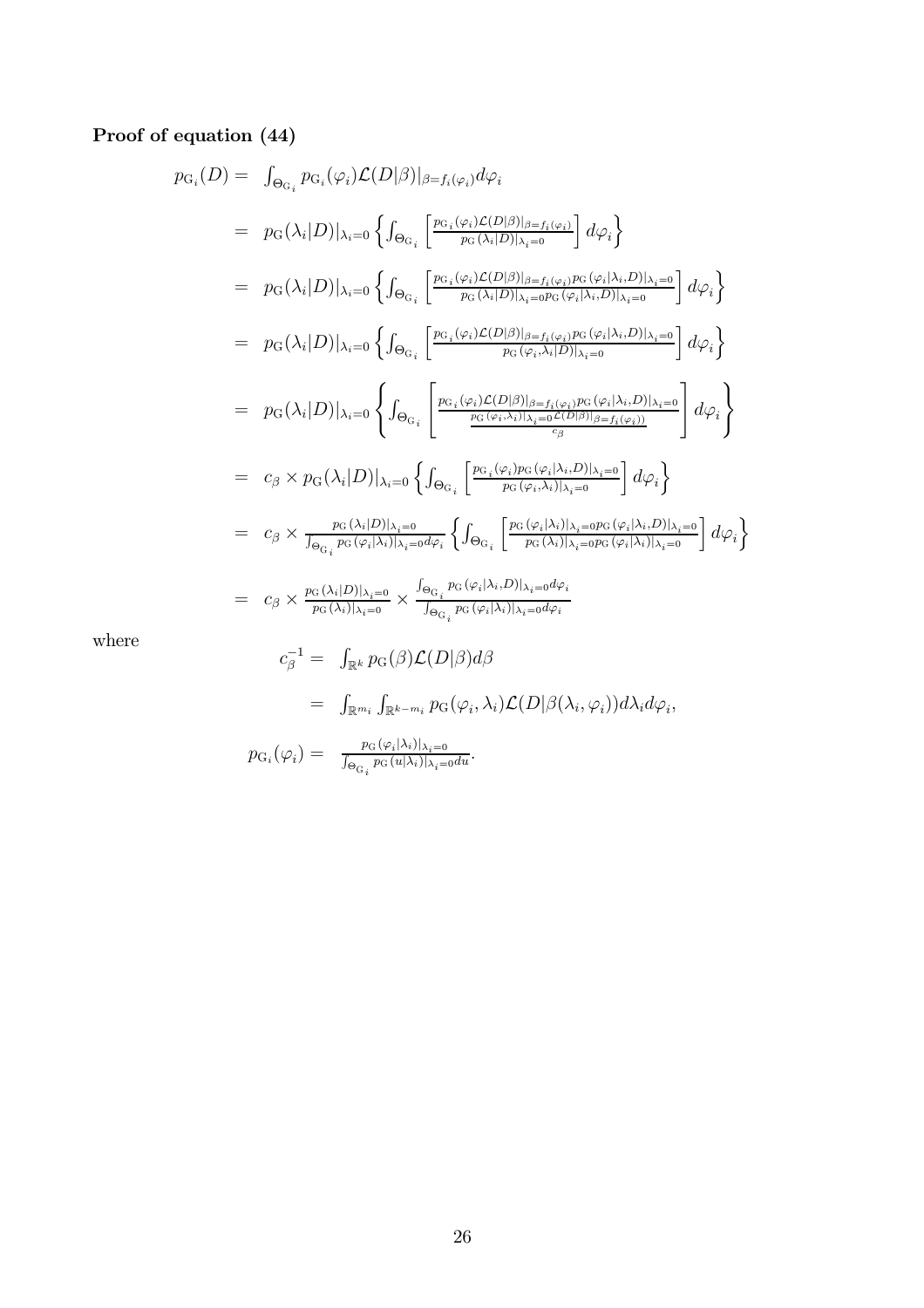## Proof of equation  $(44)$

$$
p_{G_i}(D) = \int_{\Theta_{G_i}} p_{G_i}(\varphi_i) \mathcal{L}(D|\beta)|_{\beta=f_i(\varphi_i)} d\varphi_i
$$
  
\n
$$
= p_G(\lambda_i | D)|_{\lambda_i=0} \left\{ \int_{\Theta_{G_i}} \left[ \frac{p_{G_i}(\varphi_i) \mathcal{L}(D|\beta)|_{\beta=f_i(\varphi_i)}}{p_G(\lambda_i | D)|_{\lambda_i=0}} \right] d\varphi_i \right\}
$$
  
\n
$$
= p_G(\lambda_i | D)|_{\lambda_i=0} \left\{ \int_{\Theta_{G_i}} \left[ \frac{p_{G_i}(\varphi_i) \mathcal{L}(D|\beta)|_{\beta=f_i(\varphi_i)} p_G(\varphi_i |\lambda_i, D)|_{\lambda_i=0}}{p_G(\lambda_i | D)|_{\lambda_i=0} p_G(\varphi_i |\lambda_i, D)|_{\lambda_i=0}} \right] d\varphi_i \right\}
$$
  
\n
$$
= p_G(\lambda_i | D)|_{\lambda_i=0} \left\{ \int_{\Theta_{G_i}} \left[ \frac{p_{G_i}(\varphi_i) \mathcal{L}(D|\beta)|_{\beta=f_i(\varphi_i)} p_G(\varphi_i |\lambda_i, D)|_{\lambda_i=0}}{p_G(\varphi_i, \lambda_i | D)|_{\lambda_i=0}} \right] d\varphi_i \right\}
$$
  
\n
$$
= p_G(\lambda_i | D)|_{\lambda_i=0} \left\{ \int_{\Theta_{G_i}} \left[ \frac{p_{G_i}(\varphi_i) \mathcal{L}(D|\beta)|_{\beta=f_i(\varphi_i)} p_G(\varphi_i |\lambda_i, D)|_{\lambda_i=0}}{p_G(\varphi_i, \lambda_i)|_{\lambda_i=0} \frac{p_G(\varphi_i |\lambda_i, D)|_{\lambda_i=0}}{p_G(\varphi_i, \lambda_i)} \right] d\varphi_i \right\}
$$
  
\n
$$
= c_\beta \times p_G(\lambda_i | D)|_{\lambda_i=0} \left\{ \int_{\Theta_{G_i}} \left[ \frac{p_G(\varphi_i | \lambda_i, D)|_{\lambda_i=0}}{p_G(\varphi_i | \lambda_i) |_{\lambda_i=0} p_G(\varphi_i |\lambda_i, D)|_{\lambda_i=0}} \right] d\varphi_i \right\}
$$
  
\n
$$
= c_\beta \times \frac{p_G(\lambda_i | D)|_{\lambda_i=0}}{p_G(\lambda_i | \lambda_i) |_{\lambda
$$

where

$$
c_{\beta}^{-1} = \int_{\mathbb{R}^k} p_G(\beta) \mathcal{L}(D|\beta) d\beta
$$
  
\n
$$
= \int_{\mathbb{R}^{m_i}} \int_{\mathbb{R}^{k-m_i}} p_G(\varphi_i, \lambda_i) \mathcal{L}(D|\beta(\lambda_i, \varphi_i)) d\lambda_i d\varphi_i,
$$
  
\n
$$
p_{G_i}(\varphi_i) = \frac{p_G(\varphi_i|\lambda_i)|_{\lambda_i=0}}{\int_{\Theta_{G_i}} p_G(u|\lambda_i)|_{\lambda_i=0} du}.
$$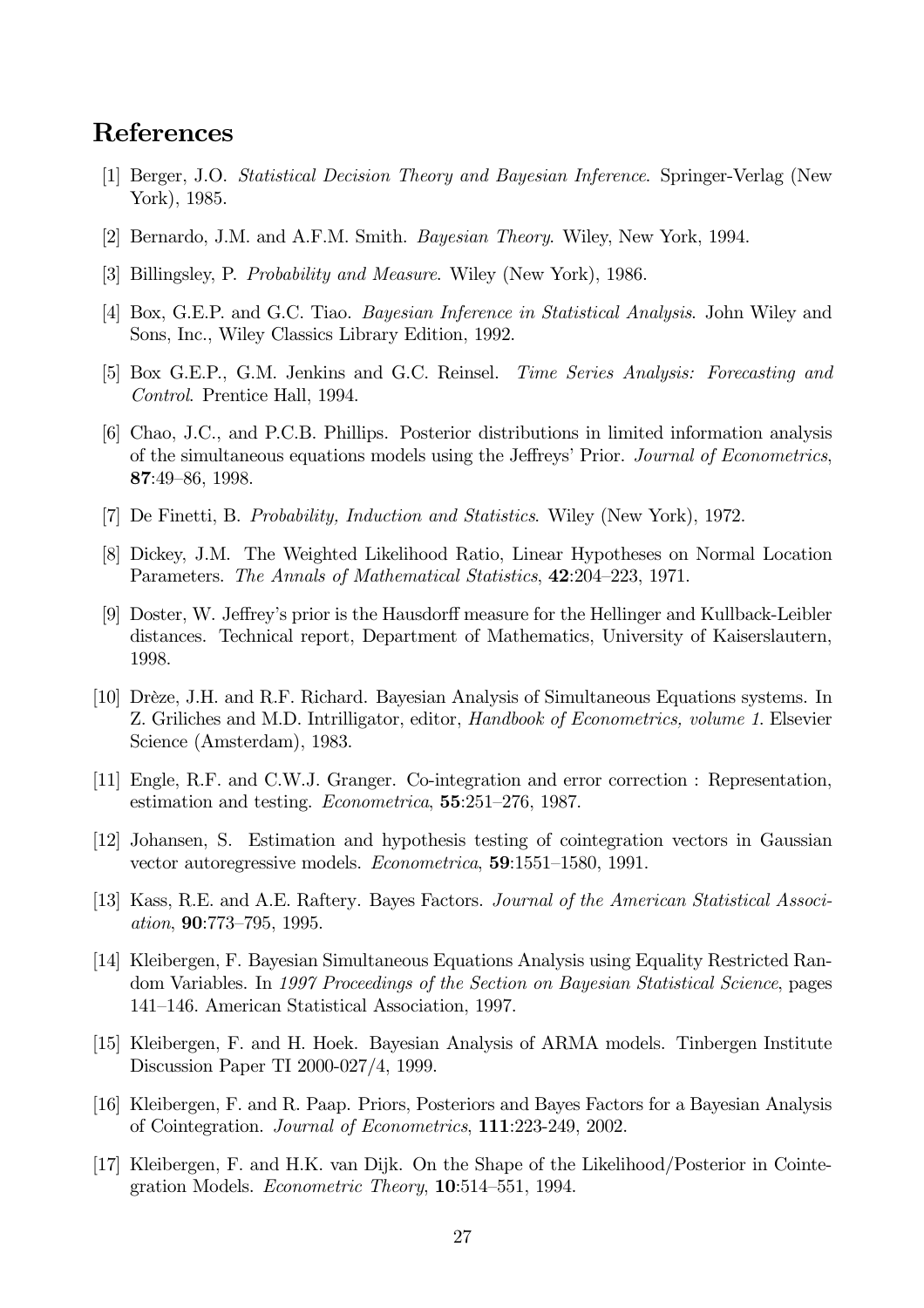## **References**

- [1] Berger, J.O. Statistical Decision Theory and Bayesian Inference. Springer-Verlag (New York), 1985.
- [2] Bernardo, J.M. and A.F.M. Smith. *Bayesian Theory*. Wiley, New York, 1994.
- [3] Billingsley, P. Probability and Measure. Wiley (New York), 1986.
- [4] Box, G.E.P. and G.C. Tiao. *Bayesian Inference in Statistical Analysis*. John Wiley and Sons, Inc., Wiley Classics Library Edition, 1992.
- [5] Box G.E.P., G.M. Jenkins and G.C. Reinsel. *Time Series Analysis: Forecasting and* Control. Prentice Hall, 1994.
- [6] Chao, J.C., and P.C.B. Phillips. Posterior distributions in limited information analysis of the simultaneous equations models using the Jeffreys' Prior. Journal of Econometrics,  $87:49-86, 1998.$
- [7] De Finetti, B. Probability, Induction and Statistics. Wiley (New York), 1972.
- [8] Dickey, J.M. The Weighted Likelihood Ratio, Linear Hypotheses on Normal Location Parameters. The Annals of Mathematical Statistics, 42:204-223, 1971.
- [9] Doster, W. Jeffrey's prior is the Hausdorff measure for the Hellinger and Kullback-Leibler distances. Technical report, Department of Mathematics, University of Kaiserslautern, 1998.
- [10] Drèze, J.H. and R.F. Richard. Bayesian Analysis of Simultaneous Equations systems. In Z. Griliches and M.D. Intrilligator, editor, *Handbook of Econometrics*, *volume 1*. Elsevier Science (Amsterdam), 1983.
- [11] Engle, R.F. and C.W.J. Granger. Co-integration and error correction : Representation, estimation and testing. *Econometrica*, **55**:251-276, 1987.
- [12] Johansen, S. Estimation and hypothesis testing of cointegration vectors in Gaussian vector autoregressive models. *Econometrica*, **59**:1551–1580, 1991.
- [13] Kass, R.E. and A.E. Raftery. Bayes Factors. Journal of the American Statistical Associ*ation*, 90:773-795, 1995.
- [14] Kleibergen, F. Bayesian Simultaneous Equations Analysis using Equality Restricted Random Variables. In 1997 Proceedings of the Section on Bayesian Statistical Science, pages 141–146. American Statistical Association, 1997.
- [15] Kleibergen, F. and H. Hoek. Bayesian Analysis of ARMA models. Tinbergen Institute Discussion Paper TI 2000-027/4, 1999.
- [16] Kleibergen, F. and R. Paap. Priors, Posteriors and Bayes Factors for a Bayesian Analysis of Cointegration. Journal of Econometrics, 111:223-249, 2002.
- [17] Kleibergen, F. and H.K. van Dijk. On the Shape of the Likelihood/Posterior in Cointegration Models. *Econometric Theory*, **10**:514–551, 1994.